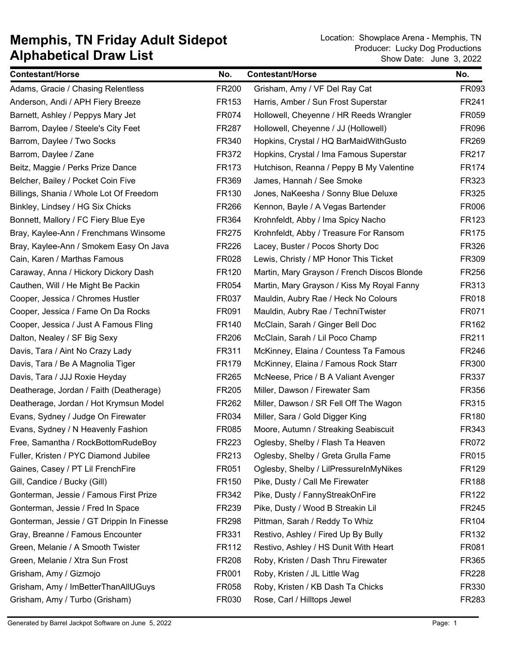| <b>Contestant/Horse</b>                   | No.          | <b>Contestant/Horse</b>                     | No.          |
|-------------------------------------------|--------------|---------------------------------------------|--------------|
| Adams, Gracie / Chasing Relentless        | FR200        | Grisham, Amy / VF Del Ray Cat               | FR093        |
| Anderson, Andi / APH Fiery Breeze         | FR153        | Harris, Amber / Sun Frost Superstar         | FR241        |
| Barnett, Ashley / Peppys Mary Jet         | FR074        | Hollowell, Cheyenne / HR Reeds Wrangler     | FR059        |
| Barrom, Daylee / Steele's City Feet       | FR287        | Hollowell, Cheyenne / JJ (Hollowell)        | FR096        |
| Barrom, Daylee / Two Socks                | FR340        | Hopkins, Crystal / HQ BarMaidWithGusto      | FR269        |
| Barrom, Daylee / Zane                     | FR372        | Hopkins, Crystal / Ima Famous Superstar     | FR217        |
| Beitz, Maggie / Perks Prize Dance         | <b>FR173</b> | Hutchison, Reanna / Peppy B My Valentine    | FR174        |
| Belcher, Bailey / Pocket Coin Five        | FR369        | James, Hannah / See Smoke                   | FR323        |
| Billings, Shania / Whole Lot Of Freedom   | FR130        | Jones, NaKeesha / Sonny Blue Deluxe         | FR325        |
| Binkley, Lindsey / HG Six Chicks          | <b>FR266</b> | Kennon, Bayle / A Vegas Bartender           | FR006        |
| Bonnett, Mallory / FC Fiery Blue Eye      | FR364        | Krohnfeldt, Abby / Ima Spicy Nacho          | FR123        |
| Bray, Kaylee-Ann / Frenchmans Winsome     | <b>FR275</b> | Krohnfeldt, Abby / Treasure For Ransom      | <b>FR175</b> |
| Bray, Kaylee-Ann / Smokem Easy On Java    | FR226        | Lacey, Buster / Pocos Shorty Doc            | FR326        |
| Cain, Karen / Marthas Famous              | FR028        | Lewis, Christy / MP Honor This Ticket       | FR309        |
| Caraway, Anna / Hickory Dickory Dash      | FR120        | Martin, Mary Grayson / French Discos Blonde | FR256        |
| Cauthen, Will / He Might Be Packin        | FR054        | Martin, Mary Grayson / Kiss My Royal Fanny  | FR313        |
| Cooper, Jessica / Chromes Hustler         | FR037        | Mauldin, Aubry Rae / Heck No Colours        | FR018        |
| Cooper, Jessica / Fame On Da Rocks        | FR091        | Mauldin, Aubry Rae / TechniTwister          | FR071        |
| Cooper, Jessica / Just A Famous Fling     | FR140        | McClain, Sarah / Ginger Bell Doc            | FR162        |
| Dalton, Nealey / SF Big Sexy              | <b>FR206</b> | McClain, Sarah / Lil Poco Champ             | FR211        |
| Davis, Tara / Aint No Crazy Lady          | FR311        | McKinney, Elaina / Countess Ta Famous       | FR246        |
| Davis, Tara / Be A Magnolia Tiger         | FR179        | McKinney, Elaina / Famous Rock Starr        | FR300        |
| Davis, Tara / JJJ Roxie Heyday            | FR265        | McNeese, Price / B A Valiant Avenger        | FR337        |
| Deatherage, Jordan / Faith (Deatherage)   | FR205        | Miller, Dawson / Firewater Sam              | FR356        |
| Deatherage, Jordan / Hot Krymsun Model    | FR262        | Miller, Dawson / SR Fell Off The Wagon      | FR315        |
| Evans, Sydney / Judge On Firewater        | FR034        | Miller, Sara / Gold Digger King             | FR180        |
| Evans, Sydney / N Heavenly Fashion        | FR085        | Moore, Autumn / Streaking Seabiscuit        | FR343        |
| Free, Samantha / RockBottomRudeBoy        | FR223        | Oglesby, Shelby / Flash Ta Heaven           | FR072        |
| Fuller, Kristen / PYC Diamond Jubilee     | FR213        | Oglesby, Shelby / Greta Grulla Fame         | FR015        |
| Gaines, Casey / PT Lil FrenchFire         | FR051        | Oglesby, Shelby / LilPressureInMyNikes      | FR129        |
| Gill, Candice / Bucky (Gill)              | FR150        | Pike, Dusty / Call Me Firewater             | <b>FR188</b> |
| Gonterman, Jessie / Famous First Prize    | FR342        | Pike, Dusty / FannyStreakOnFire             | FR122        |
| Gonterman, Jessie / Fred In Space         | FR239        | Pike, Dusty / Wood B Streakin Lil           | FR245        |
| Gonterman, Jessie / GT Drippin In Finesse | FR298        | Pittman, Sarah / Reddy To Whiz              | FR104        |
| Gray, Breanne / Famous Encounter          | FR331        | Restivo, Ashley / Fired Up By Bully         | FR132        |
| Green, Melanie / A Smooth Twister         | FR112        | Restivo, Ashley / HS Dunit With Heart       | FR081        |
| Green, Melanie / Xtra Sun Frost           | FR208        | Roby, Kristen / Dash Thru Firewater         | FR365        |
| Grisham, Amy / Gizmojo                    | FR001        | Roby, Kristen / JL Little Wag               | FR228        |
| Grisham, Amy / ImBetterThanAllUGuys       | FR058        | Roby, Kristen / KB Dash Ta Chicks           | FR330        |
| Grisham, Amy / Turbo (Grisham)            | FR030        | Rose, Carl / Hilltops Jewel                 | FR283        |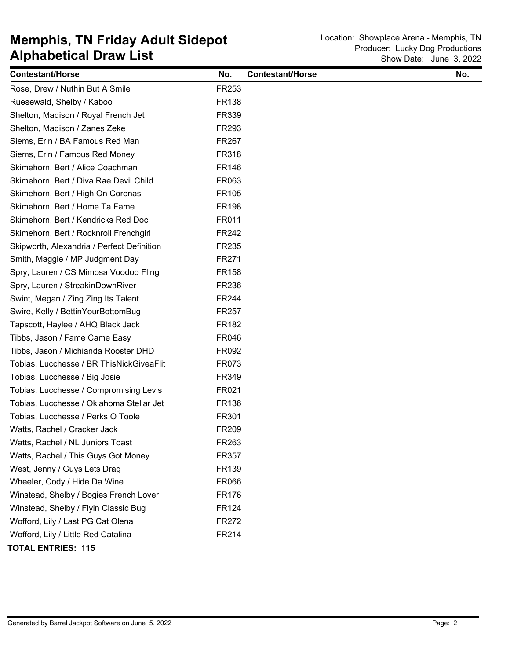| <b>Contestant/Horse</b>                    | No.          | <b>Contestant/Horse</b> | No. |
|--------------------------------------------|--------------|-------------------------|-----|
| Rose, Drew / Nuthin But A Smile            | FR253        |                         |     |
| Ruesewald, Shelby / Kaboo                  | FR138        |                         |     |
| Shelton, Madison / Royal French Jet        | FR339        |                         |     |
| Shelton, Madison / Zanes Zeke              | FR293        |                         |     |
| Siems, Erin / BA Famous Red Man            | FR267        |                         |     |
| Siems, Erin / Famous Red Money             | FR318        |                         |     |
| Skimehorn, Bert / Alice Coachman           | FR146        |                         |     |
| Skimehorn, Bert / Diva Rae Devil Child     | FR063        |                         |     |
| Skimehorn, Bert / High On Coronas          | FR105        |                         |     |
| Skimehorn, Bert / Home Ta Fame             | <b>FR198</b> |                         |     |
| Skimehorn, Bert / Kendricks Red Doc        | FR011        |                         |     |
| Skimehorn, Bert / Rocknroll Frenchgirl     | FR242        |                         |     |
| Skipworth, Alexandria / Perfect Definition | FR235        |                         |     |
| Smith, Maggie / MP Judgment Day            | FR271        |                         |     |
| Spry, Lauren / CS Mimosa Voodoo Fling      | <b>FR158</b> |                         |     |
| Spry, Lauren / StreakinDownRiver           | FR236        |                         |     |
| Swint, Megan / Zing Zing Its Talent        | FR244        |                         |     |
| Swire, Kelly / BettinYourBottomBug         | FR257        |                         |     |
| Tapscott, Haylee / AHQ Black Jack          | FR182        |                         |     |
| Tibbs, Jason / Fame Came Easy              | FR046        |                         |     |
| Tibbs, Jason / Michianda Rooster DHD       | FR092        |                         |     |
| Tobias, Lucchesse / BR ThisNickGiveaFlit   | FR073        |                         |     |
| Tobias, Lucchesse / Big Josie              | FR349        |                         |     |
| Tobias, Lucchesse / Compromising Levis     | FR021        |                         |     |
| Tobias, Lucchesse / Oklahoma Stellar Jet   | FR136        |                         |     |
| Tobias, Lucchesse / Perks O Toole          | FR301        |                         |     |
| Watts, Rachel / Cracker Jack               | FR209        |                         |     |
| Watts, Rachel / NL Juniors Toast           | FR263        |                         |     |
| Watts, Rachel / This Guys Got Money        | FR357        |                         |     |
| West, Jenny / Guys Lets Drag               | FR139        |                         |     |
| Wheeler, Cody / Hide Da Wine               | <b>FR066</b> |                         |     |
| Winstead, Shelby / Bogies French Lover     | FR176        |                         |     |
| Winstead, Shelby / Flyin Classic Bug       | FR124        |                         |     |
| Wofford, Lily / Last PG Cat Olena          | FR272        |                         |     |
| Wofford, Lily / Little Red Catalina        | FR214        |                         |     |
| <b>TOTAL ENTRIES: 115</b>                  |              |                         |     |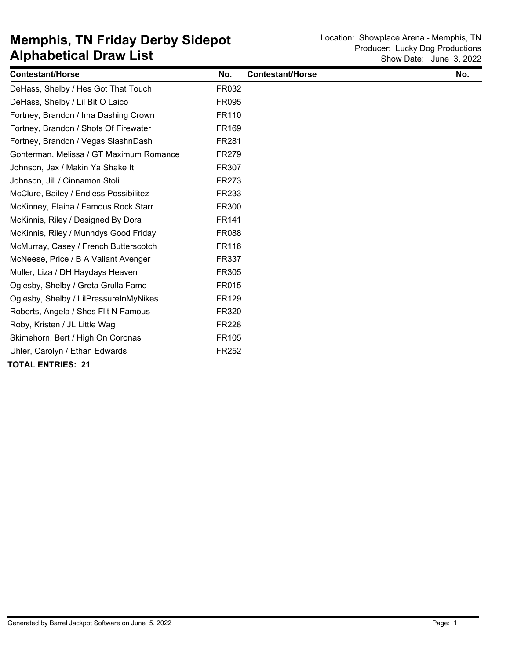| <b>Contestant/Horse</b>                 | No.          | <b>Contestant/Horse</b> | No. |
|-----------------------------------------|--------------|-------------------------|-----|
| DeHass, Shelby / Hes Got That Touch     | FR032        |                         |     |
| DeHass, Shelby / Lil Bit O Laico        | <b>FR095</b> |                         |     |
| Fortney, Brandon / Ima Dashing Crown    | FR110        |                         |     |
| Fortney, Brandon / Shots Of Firewater   | <b>FR169</b> |                         |     |
| Fortney, Brandon / Vegas SlashnDash     | FR281        |                         |     |
| Gonterman, Melissa / GT Maximum Romance | <b>FR279</b> |                         |     |
| Johnson, Jax / Makin Ya Shake It        | <b>FR307</b> |                         |     |
| Johnson, Jill / Cinnamon Stoli          | <b>FR273</b> |                         |     |
| McClure, Bailey / Endless Possibilitez  | FR233        |                         |     |
| McKinney, Elaina / Famous Rock Starr    | FR300        |                         |     |
| McKinnis, Riley / Designed By Dora      | FR141        |                         |     |
| McKinnis, Riley / Munndys Good Friday   | <b>FR088</b> |                         |     |
| McMurray, Casey / French Butterscotch   | <b>FR116</b> |                         |     |
| McNeese, Price / B A Valiant Avenger    | FR337        |                         |     |
| Muller, Liza / DH Haydays Heaven        | FR305        |                         |     |
| Oglesby, Shelby / Greta Grulla Fame     | <b>FR015</b> |                         |     |
| Oglesby, Shelby / LilPressureInMyNikes  | FR129        |                         |     |
| Roberts, Angela / Shes Flit N Famous    | <b>FR320</b> |                         |     |
| Roby, Kristen / JL Little Wag           | <b>FR228</b> |                         |     |
| Skimehorn, Bert / High On Coronas       | FR105        |                         |     |
| Uhler, Carolyn / Ethan Edwards          | <b>FR252</b> |                         |     |
| <b>TOTAL ENTRIES: 21</b>                |              |                         |     |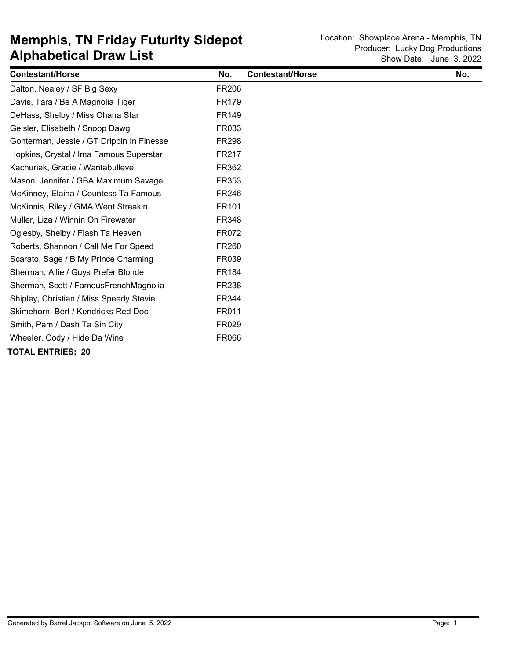| <b>Contestant/Horse</b>                   | No.          | <b>Contestant/Horse</b> | No. |
|-------------------------------------------|--------------|-------------------------|-----|
| Dalton, Nealey / SF Big Sexy              | <b>FR206</b> |                         |     |
| Davis, Tara / Be A Magnolia Tiger         | FR179        |                         |     |
| DeHass, Shelby / Miss Ohana Star          | <b>FR149</b> |                         |     |
| Geisler, Elisabeth / Snoop Dawg           | FR033        |                         |     |
| Gonterman, Jessie / GT Drippin In Finesse | <b>FR298</b> |                         |     |
| Hopkins, Crystal / Ima Famous Superstar   | FR217        |                         |     |
| Kachuriak, Gracie / Wantabulleve          | FR362        |                         |     |
| Mason, Jennifer / GBA Maximum Savage      | FR353        |                         |     |
| McKinney, Elaina / Countess Ta Famous     | <b>FR246</b> |                         |     |
| McKinnis, Riley / GMA Went Streakin       | FR101        |                         |     |
| Muller, Liza / Winnin On Firewater        | <b>FR348</b> |                         |     |
| Oglesby, Shelby / Flash Ta Heaven         | FR072        |                         |     |
| Roberts, Shannon / Call Me For Speed      | <b>FR260</b> |                         |     |
| Scarato, Sage / B My Prince Charming      | <b>FR039</b> |                         |     |
| Sherman, Allie / Guys Prefer Blonde       | <b>FR184</b> |                         |     |
| Sherman, Scott / FamousFrenchMagnolia     | <b>FR238</b> |                         |     |
| Shipley, Christian / Miss Speedy Stevie   | FR344        |                         |     |
| Skimehorn, Bert / Kendricks Red Doc       | FR011        |                         |     |
| Smith, Pam / Dash Ta Sin City             | <b>FR029</b> |                         |     |
| Wheeler, Cody / Hide Da Wine              | <b>FR066</b> |                         |     |
| <b>TOTAL ENTRIES: 20</b>                  |              |                         |     |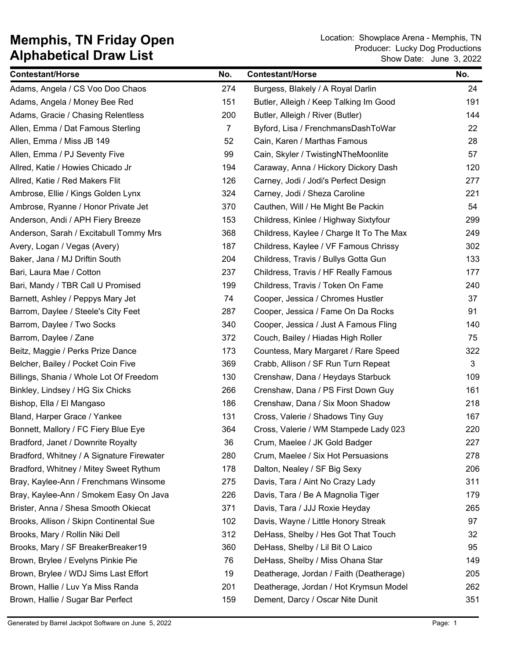| <b>Contestant/Horse</b>                   | No. | <b>Contestant/Horse</b>                  | No. |
|-------------------------------------------|-----|------------------------------------------|-----|
| Adams, Angela / CS Voo Doo Chaos          | 274 | Burgess, Blakely / A Royal Darlin        | 24  |
| Adams, Angela / Money Bee Red             | 151 | Butler, Alleigh / Keep Talking Im Good   | 191 |
| Adams, Gracie / Chasing Relentless        | 200 | Butler, Alleigh / River (Butler)         | 144 |
| Allen, Emma / Dat Famous Sterling         | 7   | Byford, Lisa / FrenchmansDashToWar       | 22  |
| Allen, Emma / Miss JB 149                 | 52  | Cain, Karen / Marthas Famous             | 28  |
| Allen, Emma / PJ Seventy Five             | 99  | Cain, Skyler / TwistingNTheMoonlite      | 57  |
| Allred, Katie / Howies Chicado Jr         | 194 | Caraway, Anna / Hickory Dickory Dash     | 120 |
| Allred, Katie / Red Makers Flit           | 126 | Carney, Jodi / Jodi's Perfect Design     | 277 |
| Ambrose, Ellie / Kings Golden Lynx        | 324 | Carney, Jodi / Sheza Caroline            | 221 |
| Ambrose, Ryanne / Honor Private Jet       | 370 | Cauthen, Will / He Might Be Packin       | 54  |
| Anderson, Andi / APH Fiery Breeze         | 153 | Childress, Kinlee / Highway Sixtyfour    | 299 |
| Anderson, Sarah / Excitabull Tommy Mrs    | 368 | Childress, Kaylee / Charge It To The Max | 249 |
| Avery, Logan / Vegas (Avery)              | 187 | Childress, Kaylee / VF Famous Chrissy    | 302 |
| Baker, Jana / MJ Driftin South            | 204 | Childress, Travis / Bullys Gotta Gun     | 133 |
| Bari, Laura Mae / Cotton                  | 237 | Childress, Travis / HF Really Famous     | 177 |
| Bari, Mandy / TBR Call U Promised         | 199 | Childress, Travis / Token On Fame        | 240 |
| Barnett, Ashley / Peppys Mary Jet         | 74  | Cooper, Jessica / Chromes Hustler        | 37  |
| Barrom, Daylee / Steele's City Feet       | 287 | Cooper, Jessica / Fame On Da Rocks       | 91  |
| Barrom, Daylee / Two Socks                | 340 | Cooper, Jessica / Just A Famous Fling    | 140 |
| Barrom, Daylee / Zane                     | 372 | Couch, Bailey / Hiadas High Roller       | 75  |
| Beitz, Maggie / Perks Prize Dance         | 173 | Countess, Mary Margaret / Rare Speed     | 322 |
| Belcher, Bailey / Pocket Coin Five        | 369 | Crabb, Allison / SF Run Turn Repeat      | 3   |
| Billings, Shania / Whole Lot Of Freedom   | 130 | Crenshaw, Dana / Heydays Starbuck        | 109 |
| Binkley, Lindsey / HG Six Chicks          | 266 | Crenshaw, Dana / PS First Down Guy       | 161 |
| Bishop, Ella / El Mangaso                 | 186 | Crenshaw, Dana / Six Moon Shadow         | 218 |
| Bland, Harper Grace / Yankee              | 131 | Cross, Valerie / Shadows Tiny Guy        | 167 |
| Bonnett, Mallory / FC Fiery Blue Eye      | 364 | Cross, Valerie / WM Stampede Lady 023    | 220 |
| Bradford, Janet / Downrite Royalty        | 36  | Crum, Maelee / JK Gold Badger            | 227 |
| Bradford, Whitney / A Signature Firewater | 280 | Crum, Maelee / Six Hot Persuasions       | 278 |
| Bradford, Whitney / Mitey Sweet Rythum    | 178 | Dalton, Nealey / SF Big Sexy             | 206 |
| Bray, Kaylee-Ann / Frenchmans Winsome     | 275 | Davis, Tara / Aint No Crazy Lady         | 311 |
| Bray, Kaylee-Ann / Smokem Easy On Java    | 226 | Davis, Tara / Be A Magnolia Tiger        | 179 |
| Brister, Anna / Shesa Smooth Okiecat      | 371 | Davis, Tara / JJJ Roxie Heyday           | 265 |
| Brooks, Allison / Skipn Continental Sue   | 102 | Davis, Wayne / Little Honory Streak      | 97  |
| Brooks, Mary / Rollin Niki Dell           | 312 | DeHass, Shelby / Hes Got That Touch      | 32  |
| Brooks, Mary / SF BreakerBreaker19        | 360 | DeHass, Shelby / Lil Bit O Laico         | 95  |
| Brown, Brylee / Evelyns Pinkie Pie        | 76  | DeHass, Shelby / Miss Ohana Star         | 149 |
| Brown, Brylee / WDJ Sims Last Effort      | 19  | Deatherage, Jordan / Faith (Deatherage)  | 205 |
| Brown, Hallie / Luv Ya Miss Randa         | 201 | Deatherage, Jordan / Hot Krymsun Model   | 262 |
| Brown, Hallie / Sugar Bar Perfect         | 159 | Dement, Darcy / Oscar Nite Dunit         | 351 |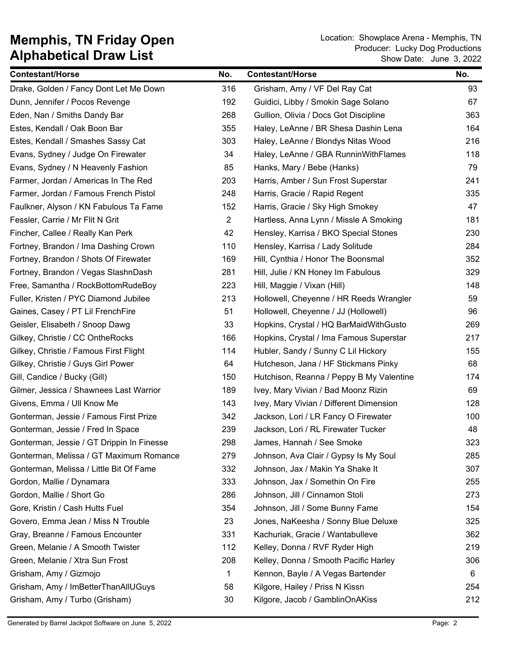| <b>Contestant/Horse</b>                   | No.            | <b>Contestant/Horse</b>                  | No. |
|-------------------------------------------|----------------|------------------------------------------|-----|
| Drake, Golden / Fancy Dont Let Me Down    | 316            | Grisham, Amy / VF Del Ray Cat            | 93  |
| Dunn, Jennifer / Pocos Revenge            | 192            | Guidici, Libby / Smokin Sage Solano      | 67  |
| Eden, Nan / Smiths Dandy Bar              | 268            | Gullion, Olivia / Docs Got Discipline    | 363 |
| Estes, Kendall / Oak Boon Bar             | 355            | Haley, LeAnne / BR Shesa Dashin Lena     | 164 |
| Estes, Kendall / Smashes Sassy Cat        | 303            | Haley, LeAnne / Blondys Nitas Wood       | 216 |
| Evans, Sydney / Judge On Firewater        | 34             | Haley, LeAnne / GBA RunninWithFlames     | 118 |
| Evans, Sydney / N Heavenly Fashion        | 85             | Hanks, Mary / Bebe (Hanks)               | 79  |
| Farmer, Jordan / Americas In The Red      | 203            | Harris, Amber / Sun Frost Superstar      | 241 |
| Farmer, Jordan / Famous French Pistol     | 248            | Harris, Gracie / Rapid Regent            | 335 |
| Faulkner, Alyson / KN Fabulous Ta Fame    | 152            | Harris, Gracie / Sky High Smokey         | 47  |
| Fessler, Carrie / Mr Flit N Grit          | $\overline{2}$ | Hartless, Anna Lynn / Missle A Smoking   | 181 |
| Fincher, Callee / Really Kan Perk         | 42             | Hensley, Karrisa / BKO Special Stones    | 230 |
| Fortney, Brandon / Ima Dashing Crown      | 110            | Hensley, Karrisa / Lady Solitude         | 284 |
| Fortney, Brandon / Shots Of Firewater     | 169            | Hill, Cynthia / Honor The Boonsmal       | 352 |
| Fortney, Brandon / Vegas SlashnDash       | 281            | Hill, Julie / KN Honey Im Fabulous       | 329 |
| Free, Samantha / RockBottomRudeBoy        | 223            | Hill, Maggie / Vixan (Hill)              | 148 |
| Fuller, Kristen / PYC Diamond Jubilee     | 213            | Hollowell, Cheyenne / HR Reeds Wrangler  | 59  |
| Gaines, Casey / PT Lil FrenchFire         | 51             | Hollowell, Cheyenne / JJ (Hollowell)     | 96  |
| Geisler, Elisabeth / Snoop Dawg           | 33             | Hopkins, Crystal / HQ BarMaidWithGusto   | 269 |
| Gilkey, Christie / CC OntheRocks          | 166            | Hopkins, Crystal / Ima Famous Superstar  | 217 |
| Gilkey, Christie / Famous First Flight    | 114            | Hubler, Sandy / Sunny C Lil Hickory      | 155 |
| Gilkey, Christie / Guys Girl Power        | 64             | Hutcheson, Jana / HF Stickmans Pinky     | 68  |
| Gill, Candice / Bucky (Gill)              | 150            | Hutchison, Reanna / Peppy B My Valentine | 174 |
| Gilmer, Jessica / Shawnees Last Warrior   | 189            | Ivey, Mary Vivian / Bad Moonz Rizin      | 69  |
| Givens, Emma / Ull Know Me                | 143            | Ivey, Mary Vivian / Different Dimension  | 128 |
| Gonterman, Jessie / Famous First Prize    | 342            | Jackson, Lori / LR Fancy O Firewater     | 100 |
| Gonterman, Jessie / Fred In Space         | 239            | Jackson, Lori / RL Firewater Tucker      | 48  |
| Gonterman, Jessie / GT Drippin In Finesse | 298            | James, Hannah / See Smoke                | 323 |
| Gonterman, Melissa / GT Maximum Romance   | 279            | Johnson, Ava Clair / Gypsy Is My Soul    | 285 |
| Gonterman, Melissa / Little Bit Of Fame   | 332            | Johnson, Jax / Makin Ya Shake It         | 307 |
| Gordon, Mallie / Dynamara                 | 333            | Johnson, Jax / Somethin On Fire          | 255 |
| Gordon, Mallie / Short Go                 | 286            | Johnson, Jill / Cinnamon Stoli           | 273 |
| Gore, Kristin / Cash Hutts Fuel           | 354            | Johnson, Jill / Some Bunny Fame          | 154 |
| Govero, Emma Jean / Miss N Trouble        | 23             | Jones, NaKeesha / Sonny Blue Deluxe      | 325 |
| Gray, Breanne / Famous Encounter          | 331            | Kachuriak, Gracie / Wantabulleve         | 362 |
| Green, Melanie / A Smooth Twister         | 112            | Kelley, Donna / RVF Ryder High           | 219 |
| Green, Melanie / Xtra Sun Frost           | 208            | Kelley, Donna / Smooth Pacific Harley    | 306 |
| Grisham, Amy / Gizmojo                    | 1              | Kennon, Bayle / A Vegas Bartender        | 6   |
| Grisham, Amy / ImBetterThanAllUGuys       | 58             | Kilgore, Hailey / Priss N Kissn          | 254 |
| Grisham, Amy / Turbo (Grisham)            | 30             | Kilgore, Jacob / GamblinOnAKiss          | 212 |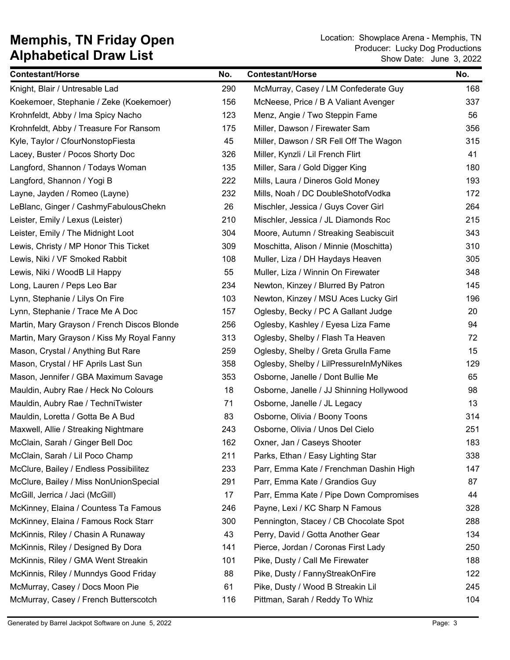| <b>Contestant/Horse</b>                     | No. | <b>Contestant/Horse</b>                  | No. |
|---------------------------------------------|-----|------------------------------------------|-----|
| Knight, Blair / Untresable Lad              | 290 | McMurray, Casey / LM Confederate Guy     | 168 |
| Koekemoer, Stephanie / Zeke (Koekemoer)     | 156 | McNeese, Price / B A Valiant Avenger     | 337 |
| Krohnfeldt, Abby / Ima Spicy Nacho          | 123 | Menz, Angie / Two Steppin Fame           | 56  |
| Krohnfeldt, Abby / Treasure For Ransom      | 175 | Miller, Dawson / Firewater Sam           | 356 |
| Kyle, Taylor / CfourNonstopFiesta           | 45  | Miller, Dawson / SR Fell Off The Wagon   | 315 |
| Lacey, Buster / Pocos Shorty Doc            | 326 | Miller, Kynzli / Lil French Flirt        | 41  |
| Langford, Shannon / Todays Woman            | 135 | Miller, Sara / Gold Digger King          | 180 |
| Langford, Shannon / Yogi B                  | 222 | Mills, Laura / Dineros Gold Money        | 193 |
| Layne, Jayden / Romeo (Layne)               | 232 | Mills, Noah / DC DoubleShotofVodka       | 172 |
| LeBlanc, Ginger / CashmyFabulousChekn       | 26  | Mischler, Jessica / Guys Cover Girl      | 264 |
| Leister, Emily / Lexus (Leister)            | 210 | Mischler, Jessica / JL Diamonds Roc      | 215 |
| Leister, Emily / The Midnight Loot          | 304 | Moore, Autumn / Streaking Seabiscuit     | 343 |
| Lewis, Christy / MP Honor This Ticket       | 309 | Moschitta, Alison / Minnie (Moschitta)   | 310 |
| Lewis, Niki / VF Smoked Rabbit              | 108 | Muller, Liza / DH Haydays Heaven         | 305 |
| Lewis, Niki / WoodB Lil Happy               | 55  | Muller, Liza / Winnin On Firewater       | 348 |
| Long, Lauren / Peps Leo Bar                 | 234 | Newton, Kinzey / Blurred By Patron       | 145 |
| Lynn, Stephanie / Lilys On Fire             | 103 | Newton, Kinzey / MSU Aces Lucky Girl     | 196 |
| Lynn, Stephanie / Trace Me A Doc            | 157 | Oglesby, Becky / PC A Gallant Judge      | 20  |
| Martin, Mary Grayson / French Discos Blonde | 256 | Oglesby, Kashley / Eyesa Liza Fame       | 94  |
| Martin, Mary Grayson / Kiss My Royal Fanny  | 313 | Oglesby, Shelby / Flash Ta Heaven        | 72  |
| Mason, Crystal / Anything But Rare          | 259 | Oglesby, Shelby / Greta Grulla Fame      | 15  |
| Mason, Crystal / HF Aprils Last Sun         | 358 | Oglesby, Shelby / LilPressureInMyNikes   | 129 |
| Mason, Jennifer / GBA Maximum Savage        | 353 | Osborne, Janelle / Dont Bullie Me        | 65  |
| Mauldin, Aubry Rae / Heck No Colours        | 18  | Osborne, Janelle / JJ Shinning Hollywood | 98  |
| Mauldin, Aubry Rae / TechniTwister          | 71  | Osborne, Janelle / JL Legacy             | 13  |
| Mauldin, Loretta / Gotta Be A Bud           | 83  | Osborne, Olivia / Boony Toons            | 314 |
| Maxwell, Allie / Streaking Nightmare        | 243 | Osborne, Olivia / Unos Del Cielo         | 251 |
| McClain, Sarah / Ginger Bell Doc            | 162 | Oxner, Jan / Caseys Shooter              | 183 |
| McClain, Sarah / Lil Poco Champ             | 211 | Parks, Ethan / Easy Lighting Star        | 338 |
| McClure, Bailey / Endless Possibilitez      | 233 | Parr, Emma Kate / Frenchman Dashin High  | 147 |
| McClure, Bailey / Miss NonUnionSpecial      | 291 | Parr, Emma Kate / Grandios Guy           | 87  |
| McGill, Jerrica / Jaci (McGill)             | 17  | Parr, Emma Kate / Pipe Down Compromises  | 44  |
| McKinney, Elaina / Countess Ta Famous       | 246 | Payne, Lexi / KC Sharp N Famous          | 328 |
| McKinney, Elaina / Famous Rock Starr        | 300 | Pennington, Stacey / CB Chocolate Spot   | 288 |
| McKinnis, Riley / Chasin A Runaway          | 43  | Perry, David / Gotta Another Gear        | 134 |
| McKinnis, Riley / Designed By Dora          | 141 | Pierce, Jordan / Coronas First Lady      | 250 |
| McKinnis, Riley / GMA Went Streakin         | 101 | Pike, Dusty / Call Me Firewater          | 188 |
| McKinnis, Riley / Munndys Good Friday       | 88  | Pike, Dusty / FannyStreakOnFire          | 122 |
| McMurray, Casey / Docs Moon Pie             | 61  | Pike, Dusty / Wood B Streakin Lil        | 245 |
| McMurray, Casey / French Butterscotch       | 116 | Pittman, Sarah / Reddy To Whiz           | 104 |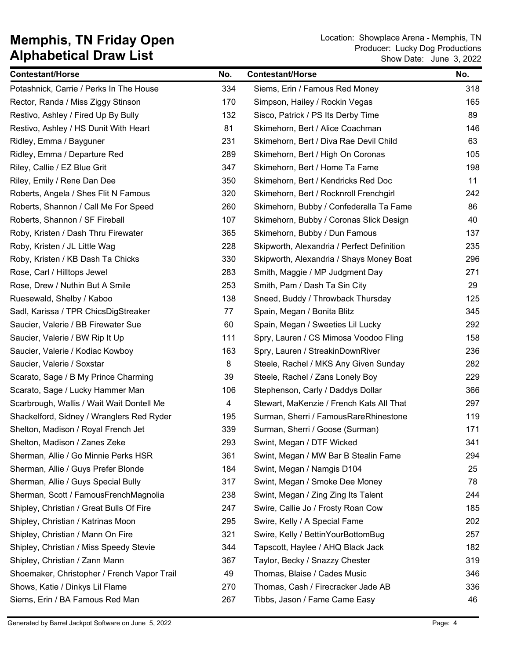| <b>Contestant/Horse</b>                     | No. | <b>Contestant/Horse</b>                    | No. |
|---------------------------------------------|-----|--------------------------------------------|-----|
| Potashnick, Carrie / Perks In The House     | 334 | Siems, Erin / Famous Red Money             | 318 |
| Rector, Randa / Miss Ziggy Stinson          | 170 | Simpson, Hailey / Rockin Vegas             | 165 |
| Restivo, Ashley / Fired Up By Bully         | 132 | Sisco, Patrick / PS Its Derby Time         | 89  |
| Restivo, Ashley / HS Dunit With Heart       | 81  | Skimehorn, Bert / Alice Coachman           | 146 |
| Ridley, Emma / Bayguner                     | 231 | Skimehorn, Bert / Diva Rae Devil Child     | 63  |
| Ridley, Emma / Departure Red                | 289 | Skimehorn, Bert / High On Coronas          | 105 |
| Riley, Callie / EZ Blue Grit                | 347 | Skimehorn, Bert / Home Ta Fame             | 198 |
| Riley, Emily / Rene Dan Dee                 | 350 | Skimehorn, Bert / Kendricks Red Doc        | 11  |
| Roberts, Angela / Shes Flit N Famous        | 320 | Skimehorn, Bert / Rocknroll Frenchgirl     | 242 |
| Roberts, Shannon / Call Me For Speed        | 260 | Skimehorn, Bubby / Confederalla Ta Fame    | 86  |
| Roberts, Shannon / SF Fireball              | 107 | Skimehorn, Bubby / Coronas Slick Design    | 40  |
| Roby, Kristen / Dash Thru Firewater         | 365 | Skimehorn, Bubby / Dun Famous              | 137 |
| Roby, Kristen / JL Little Wag               | 228 | Skipworth, Alexandria / Perfect Definition | 235 |
| Roby, Kristen / KB Dash Ta Chicks           | 330 | Skipworth, Alexandria / Shays Money Boat   | 296 |
| Rose, Carl / Hilltops Jewel                 | 283 | Smith, Maggie / MP Judgment Day            | 271 |
| Rose, Drew / Nuthin But A Smile             | 253 | Smith, Pam / Dash Ta Sin City              | 29  |
| Ruesewald, Shelby / Kaboo                   | 138 | Sneed, Buddy / Throwback Thursday          | 125 |
| Sadl, Karissa / TPR ChicsDigStreaker        | 77  | Spain, Megan / Bonita Blitz                | 345 |
| Saucier, Valerie / BB Firewater Sue         | 60  | Spain, Megan / Sweeties Lil Lucky          | 292 |
| Saucier, Valerie / BW Rip It Up             | 111 | Spry, Lauren / CS Mimosa Voodoo Fling      | 158 |
| Saucier, Valerie / Kodiac Kowboy            | 163 | Spry, Lauren / StreakinDownRiver           | 236 |
| Saucier, Valerie / Soxstar                  | 8   | Steele, Rachel / MKS Any Given Sunday      | 282 |
| Scarato, Sage / B My Prince Charming        | 39  | Steele, Rachel / Zans Lonely Boy           | 229 |
| Scarato, Sage / Lucky Hammer Man            | 106 | Stephenson, Carly / Daddys Dollar          | 366 |
| Scarbrough, Wallis / Wait Wait Dontell Me   | 4   | Stewart, MaKenzie / French Kats All That   | 297 |
| Shackelford, Sidney / Wranglers Red Ryder   | 195 | Surman, Sherri / FamousRareRhinestone      | 119 |
| Shelton, Madison / Royal French Jet         | 339 | Surman, Sherri / Goose (Surman)            | 171 |
| Shelton, Madison / Zanes Zeke               | 293 | Swint, Megan / DTF Wicked                  | 341 |
| Sherman, Allie / Go Minnie Perks HSR        | 361 | Swint, Megan / MW Bar B Stealin Fame       | 294 |
| Sherman, Allie / Guys Prefer Blonde         | 184 | Swint, Megan / Namgis D104                 | 25  |
| Sherman, Allie / Guys Special Bully         | 317 | Swint, Megan / Smoke Dee Money             | 78  |
| Sherman, Scott / FamousFrenchMagnolia       | 238 | Swint, Megan / Zing Zing Its Talent        | 244 |
| Shipley, Christian / Great Bulls Of Fire    | 247 | Swire, Callie Jo / Frosty Roan Cow         | 185 |
| Shipley, Christian / Katrinas Moon          | 295 | Swire, Kelly / A Special Fame              | 202 |
| Shipley, Christian / Mann On Fire           | 321 | Swire, Kelly / BettinYourBottomBug         | 257 |
| Shipley, Christian / Miss Speedy Stevie     | 344 | Tapscott, Haylee / AHQ Black Jack          | 182 |
| Shipley, Christian / Zann Mann              | 367 | Taylor, Becky / Snazzy Chester             | 319 |
| Shoemaker, Christopher / French Vapor Trail | 49  | Thomas, Blaise / Cades Music               | 346 |
| Shows, Katie / Dinkys Lil Flame             | 270 | Thomas, Cash / Firecracker Jade AB         | 336 |
| Siems, Erin / BA Famous Red Man             | 267 | Tibbs, Jason / Fame Came Easy              | 46  |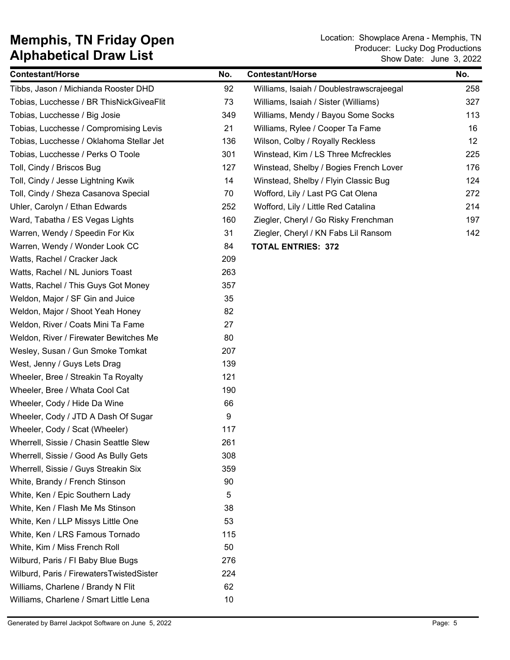| <b>Contestant/Horse</b>                  | No. | <b>Contestant/Horse</b>                  | No. |
|------------------------------------------|-----|------------------------------------------|-----|
| Tibbs, Jason / Michianda Rooster DHD     | 92  | Williams, Isaiah / Doublestrawscrajeegal | 258 |
| Tobias, Lucchesse / BR ThisNickGiveaFlit | 73  | Williams, Isaiah / Sister (Williams)     | 327 |
| Tobias, Lucchesse / Big Josie            | 349 | Williams, Mendy / Bayou Some Socks       | 113 |
| Tobias, Lucchesse / Compromising Levis   | 21  | Williams, Rylee / Cooper Ta Fame         | 16  |
| Tobias, Lucchesse / Oklahoma Stellar Jet | 136 | Wilson, Colby / Royally Reckless         | 12  |
| Tobias, Lucchesse / Perks O Toole        | 301 | Winstead, Kim / LS Three Mcfreckles      | 225 |
| Toll, Cindy / Briscos Bug                | 127 | Winstead, Shelby / Bogies French Lover   | 176 |
| Toll, Cindy / Jesse Lightning Kwik       | 14  | Winstead, Shelby / Flyin Classic Bug     | 124 |
| Toll, Cindy / Sheza Casanova Special     | 70  | Wofford, Lily / Last PG Cat Olena        | 272 |
| Uhler, Carolyn / Ethan Edwards           | 252 | Wofford, Lily / Little Red Catalina      | 214 |
| Ward, Tabatha / ES Vegas Lights          | 160 | Ziegler, Cheryl / Go Risky Frenchman     | 197 |
| Warren, Wendy / Speedin For Kix          | 31  | Ziegler, Cheryl / KN Fabs Lil Ransom     | 142 |
| Warren, Wendy / Wonder Look CC           | 84  | <b>TOTAL ENTRIES: 372</b>                |     |
| Watts, Rachel / Cracker Jack             | 209 |                                          |     |
| Watts, Rachel / NL Juniors Toast         | 263 |                                          |     |
| Watts, Rachel / This Guys Got Money      | 357 |                                          |     |
| Weldon, Major / SF Gin and Juice         | 35  |                                          |     |
| Weldon, Major / Shoot Yeah Honey         | 82  |                                          |     |
| Weldon, River / Coats Mini Ta Fame       | 27  |                                          |     |
| Weldon, River / Firewater Bewitches Me   | 80  |                                          |     |
| Wesley, Susan / Gun Smoke Tomkat         | 207 |                                          |     |
| West, Jenny / Guys Lets Drag             | 139 |                                          |     |
| Wheeler, Bree / Streakin Ta Royalty      | 121 |                                          |     |
| Wheeler, Bree / Whata Cool Cat           | 190 |                                          |     |
| Wheeler, Cody / Hide Da Wine             | 66  |                                          |     |
| Wheeler, Cody / JTD A Dash Of Sugar      | 9   |                                          |     |
| Wheeler, Cody / Scat (Wheeler)           | 117 |                                          |     |
| Wherrell, Sissie / Chasin Seattle Slew   | 261 |                                          |     |
| Wherrell, Sissie / Good As Bully Gets    | 308 |                                          |     |
| Wherrell, Sissie / Guys Streakin Six     | 359 |                                          |     |
| White, Brandy / French Stinson           | 90  |                                          |     |
| White, Ken / Epic Southern Lady          | 5   |                                          |     |
| White, Ken / Flash Me Ms Stinson         | 38  |                                          |     |
| White, Ken / LLP Missys Little One       | 53  |                                          |     |
| White, Ken / LRS Famous Tornado          | 115 |                                          |     |
| White, Kim / Miss French Roll            | 50  |                                          |     |
| Wilburd, Paris / FI Baby Blue Bugs       | 276 |                                          |     |
| Wilburd, Paris / FirewatersTwistedSister | 224 |                                          |     |
| Williams, Charlene / Brandy N Flit       | 62  |                                          |     |
| Williams, Charlene / Smart Little Lena   | 10  |                                          |     |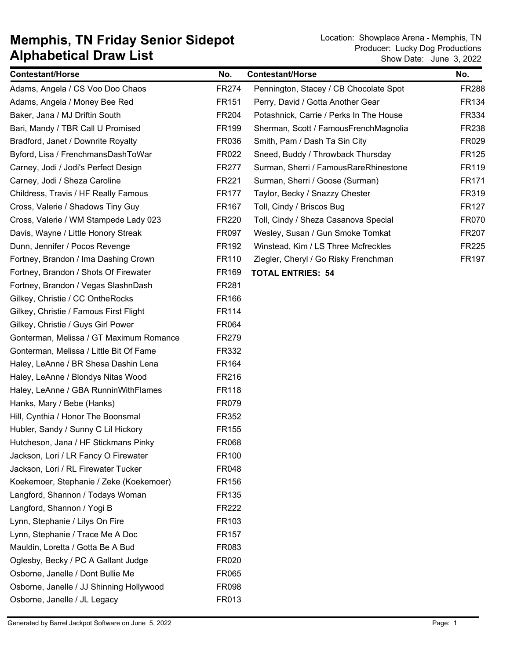| <b>Contestant/Horse</b>                  | No.          | <b>Contestant/Horse</b>                 | No.          |
|------------------------------------------|--------------|-----------------------------------------|--------------|
| Adams, Angela / CS Voo Doo Chaos         | FR274        | Pennington, Stacey / CB Chocolate Spot  | <b>FR288</b> |
| Adams, Angela / Money Bee Red            | FR151        | Perry, David / Gotta Another Gear       | FR134        |
| Baker, Jana / MJ Driftin South           | FR204        | Potashnick, Carrie / Perks In The House | FR334        |
| Bari, Mandy / TBR Call U Promised        | FR199        | Sherman, Scott / FamousFrenchMagnolia   | FR238        |
| Bradford, Janet / Downrite Royalty       | FR036        | Smith, Pam / Dash Ta Sin City           | FR029        |
| Byford, Lisa / FrenchmansDashToWar       | FR022        | Sneed, Buddy / Throwback Thursday       | <b>FR125</b> |
| Carney, Jodi / Jodi's Perfect Design     | FR277        | Surman, Sherri / FamousRareRhinestone   | FR119        |
| Carney, Jodi / Sheza Caroline            | FR221        | Surman, Sherri / Goose (Surman)         | <b>FR171</b> |
| Childress, Travis / HF Really Famous     | <b>FR177</b> | Taylor, Becky / Snazzy Chester          | FR319        |
| Cross, Valerie / Shadows Tiny Guy        | FR167        | Toll, Cindy / Briscos Bug               | <b>FR127</b> |
| Cross, Valerie / WM Stampede Lady 023    | FR220        | Toll, Cindy / Sheza Casanova Special    | <b>FR070</b> |
| Davis, Wayne / Little Honory Streak      | FR097        | Wesley, Susan / Gun Smoke Tomkat        | <b>FR207</b> |
| Dunn, Jennifer / Pocos Revenge           | FR192        | Winstead, Kim / LS Three Mcfreckles     | <b>FR225</b> |
| Fortney, Brandon / Ima Dashing Crown     | FR110        | Ziegler, Cheryl / Go Risky Frenchman    | <b>FR197</b> |
| Fortney, Brandon / Shots Of Firewater    | FR169        | <b>TOTAL ENTRIES: 54</b>                |              |
| Fortney, Brandon / Vegas SlashnDash      | FR281        |                                         |              |
| Gilkey, Christie / CC OntheRocks         | FR166        |                                         |              |
| Gilkey, Christie / Famous First Flight   | FR114        |                                         |              |
| Gilkey, Christie / Guys Girl Power       | FR064        |                                         |              |
| Gonterman, Melissa / GT Maximum Romance  | FR279        |                                         |              |
| Gonterman, Melissa / Little Bit Of Fame  | FR332        |                                         |              |
| Haley, LeAnne / BR Shesa Dashin Lena     | FR164        |                                         |              |
| Haley, LeAnne / Blondys Nitas Wood       | FR216        |                                         |              |
| Haley, LeAnne / GBA RunninWithFlames     | <b>FR118</b> |                                         |              |
| Hanks, Mary / Bebe (Hanks)               | FR079        |                                         |              |
| Hill, Cynthia / Honor The Boonsmal       | FR352        |                                         |              |
| Hubler, Sandy / Sunny C Lil Hickory      | FR155        |                                         |              |
| Hutcheson, Jana / HF Stickmans Pinky     | FR068        |                                         |              |
| Jackson, Lori / LR Fancy O Firewater     | FR100        |                                         |              |
| Jackson, Lori / RL Firewater Tucker      | FR048        |                                         |              |
| Koekemoer, Stephanie / Zeke (Koekemoer)  | FR156        |                                         |              |
| Langford, Shannon / Todays Woman         | FR135        |                                         |              |
| Langford, Shannon / Yogi B               | FR222        |                                         |              |
| Lynn, Stephanie / Lilys On Fire          | FR103        |                                         |              |
| Lynn, Stephanie / Trace Me A Doc         | FR157        |                                         |              |
| Mauldin, Loretta / Gotta Be A Bud        | FR083        |                                         |              |
| Oglesby, Becky / PC A Gallant Judge      | FR020        |                                         |              |
| Osborne, Janelle / Dont Bullie Me        | FR065        |                                         |              |
| Osborne, Janelle / JJ Shinning Hollywood | FR098        |                                         |              |
| Osborne, Janelle / JL Legacy             | FR013        |                                         |              |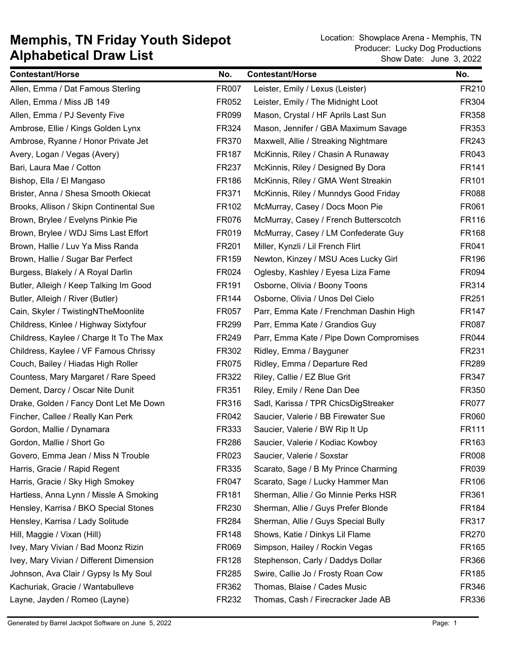| <b>Contestant/Horse</b>                  | No.          | <b>Contestant/Horse</b>                 | No.          |
|------------------------------------------|--------------|-----------------------------------------|--------------|
| Allen, Emma / Dat Famous Sterling        | FR007        | Leister, Emily / Lexus (Leister)        | FR210        |
| Allen, Emma / Miss JB 149                | FR052        | Leister, Emily / The Midnight Loot      | FR304        |
| Allen, Emma / PJ Seventy Five            | FR099        | Mason, Crystal / HF Aprils Last Sun     | FR358        |
| Ambrose, Ellie / Kings Golden Lynx       | FR324        | Mason, Jennifer / GBA Maximum Savage    | FR353        |
| Ambrose, Ryanne / Honor Private Jet      | FR370        | Maxwell, Allie / Streaking Nightmare    | FR243        |
| Avery, Logan / Vegas (Avery)             | <b>FR187</b> | McKinnis, Riley / Chasin A Runaway      | FR043        |
| Bari, Laura Mae / Cotton                 | FR237        | McKinnis, Riley / Designed By Dora      | FR141        |
| Bishop, Ella / El Mangaso                | FR186        | McKinnis, Riley / GMA Went Streakin     | FR101        |
| Brister, Anna / Shesa Smooth Okiecat     | FR371        | McKinnis, Riley / Munndys Good Friday   | FR088        |
| Brooks, Allison / Skipn Continental Sue  | FR102        | McMurray, Casey / Docs Moon Pie         | FR061        |
| Brown, Brylee / Evelyns Pinkie Pie       | <b>FR076</b> | McMurray, Casey / French Butterscotch   | FR116        |
| Brown, Brylee / WDJ Sims Last Effort     | FR019        | McMurray, Casey / LM Confederate Guy    | FR168        |
| Brown, Hallie / Luv Ya Miss Randa        | FR201        | Miller, Kynzli / Lil French Flirt       | FR041        |
| Brown, Hallie / Sugar Bar Perfect        | FR159        | Newton, Kinzey / MSU Aces Lucky Girl    | FR196        |
| Burgess, Blakely / A Royal Darlin        | FR024        | Oglesby, Kashley / Eyesa Liza Fame      | FR094        |
| Butler, Alleigh / Keep Talking Im Good   | FR191        | Osborne, Olivia / Boony Toons           | FR314        |
| Butler, Alleigh / River (Butler)         | <b>FR144</b> | Osborne, Olivia / Unos Del Cielo        | FR251        |
| Cain, Skyler / TwistingNTheMoonlite      | FR057        | Parr, Emma Kate / Frenchman Dashin High | FR147        |
| Childress, Kinlee / Highway Sixtyfour    | FR299        | Parr, Emma Kate / Grandios Guy          | FR087        |
| Childress, Kaylee / Charge It To The Max | FR249        | Parr, Emma Kate / Pipe Down Compromises | FR044        |
| Childress, Kaylee / VF Famous Chrissy    | FR302        | Ridley, Emma / Bayguner                 | FR231        |
| Couch, Bailey / Hiadas High Roller       | FR075        | Ridley, Emma / Departure Red            | FR289        |
| Countess, Mary Margaret / Rare Speed     | FR322        | Riley, Callie / EZ Blue Grit            | FR347        |
| Dement, Darcy / Oscar Nite Dunit         | FR351        | Riley, Emily / Rene Dan Dee             | FR350        |
| Drake, Golden / Fancy Dont Let Me Down   | FR316        | Sadl, Karissa / TPR ChicsDigStreaker    | FR077        |
| Fincher, Callee / Really Kan Perk        | FR042        | Saucier, Valerie / BB Firewater Sue     | FR060        |
| Gordon, Mallie / Dynamara                | FR333        | Saucier, Valerie / BW Rip It Up         | FR111        |
| Gordon, Mallie / Short Go                | FR286        | Saucier, Valerie / Kodiac Kowboy        | FR163        |
| Govero, Emma Jean / Miss N Trouble       | FR023        | Saucier, Valerie / Soxstar              | <b>FR008</b> |
| Harris, Gracie / Rapid Regent            | FR335        | Scarato, Sage / B My Prince Charming    | FR039        |
| Harris, Gracie / Sky High Smokey         | FR047        | Scarato, Sage / Lucky Hammer Man        | FR106        |
| Hartless, Anna Lynn / Missle A Smoking   | FR181        | Sherman, Allie / Go Minnie Perks HSR    | FR361        |
| Hensley, Karrisa / BKO Special Stones    | FR230        | Sherman, Allie / Guys Prefer Blonde     | FR184        |
| Hensley, Karrisa / Lady Solitude         | FR284        | Sherman, Allie / Guys Special Bully     | FR317        |
| Hill, Maggie / Vixan (Hill)              | <b>FR148</b> | Shows, Katie / Dinkys Lil Flame         | <b>FR270</b> |
| Ivey, Mary Vivian / Bad Moonz Rizin      | FR069        | Simpson, Hailey / Rockin Vegas          | FR165        |
| Ivey, Mary Vivian / Different Dimension  | FR128        | Stephenson, Carly / Daddys Dollar       | FR366        |
| Johnson, Ava Clair / Gypsy Is My Soul    | FR285        | Swire, Callie Jo / Frosty Roan Cow      | FR185        |
| Kachuriak, Gracie / Wantabulleve         | FR362        | Thomas, Blaise / Cades Music            | FR346        |
| Layne, Jayden / Romeo (Layne)            | FR232        | Thomas, Cash / Firecracker Jade AB      | FR336        |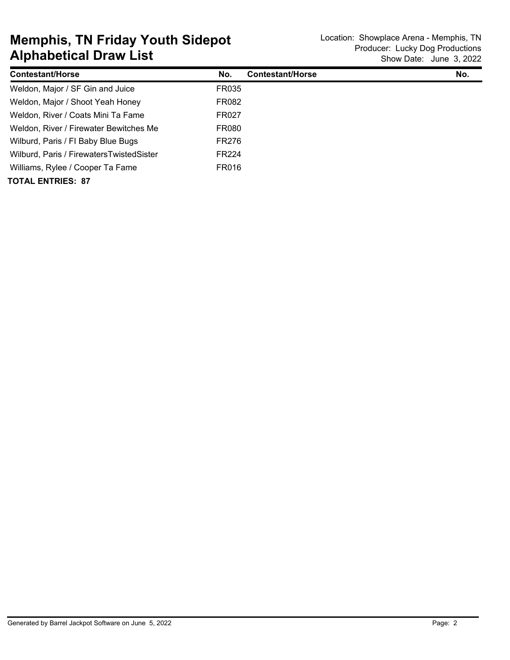| <b>Contestant/Horse</b>                  | No.          | <b>Contestant/Horse</b> | No. |
|------------------------------------------|--------------|-------------------------|-----|
| Weldon, Major / SF Gin and Juice         | <b>FR035</b> |                         |     |
| Weldon, Major / Shoot Yeah Honey         | FR082        |                         |     |
| Weldon, River / Coats Mini Ta Fame       | FR027        |                         |     |
| Weldon, River / Firewater Bewitches Me   | FR080        |                         |     |
| Wilburd, Paris / FI Baby Blue Bugs       | FR276        |                         |     |
| Wilburd, Paris / FirewatersTwistedSister | <b>FR224</b> |                         |     |
| Williams, Rylee / Cooper Ta Fame         | FR016        |                         |     |
| <b>TOTAL ENTRIES: 87</b>                 |              |                         |     |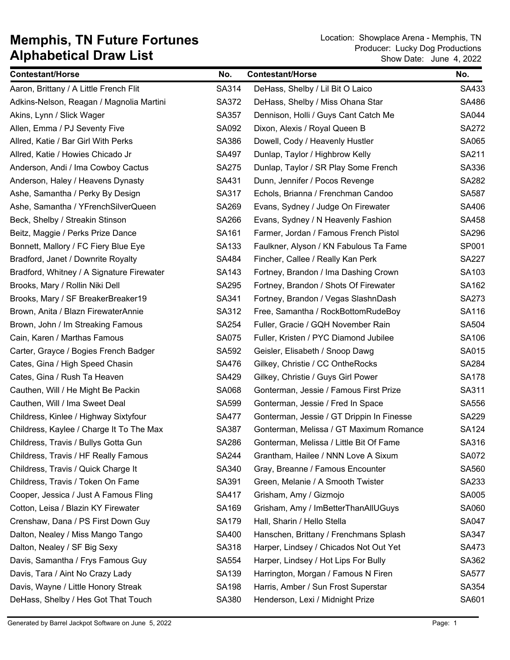| <b>Contestant/Horse</b>                   | No.          | <b>Contestant/Horse</b>                   | No.          |
|-------------------------------------------|--------------|-------------------------------------------|--------------|
| Aaron, Brittany / A Little French Flit    | SA314        | DeHass, Shelby / Lil Bit O Laico          | SA433        |
| Adkins-Nelson, Reagan / Magnolia Martini  | SA372        | DeHass, Shelby / Miss Ohana Star          | SA486        |
| Akins, Lynn / Slick Wager                 | SA357        | Dennison, Holli / Guys Cant Catch Me      | <b>SA044</b> |
| Allen, Emma / PJ Seventy Five             | SA092        | Dixon, Alexis / Royal Queen B             | <b>SA272</b> |
| Allred, Katie / Bar Girl With Perks       | SA386        | Dowell, Cody / Heavenly Hustler           | SA065        |
| Allred, Katie / Howies Chicado Jr         | SA497        | Dunlap, Taylor / Highbrow Kelly           | SA211        |
| Anderson, Andi / Ima Cowboy Cactus        | <b>SA275</b> | Dunlap, Taylor / SR Play Some French      | SA336        |
| Anderson, Haley / Heavens Dynasty         | SA431        | Dunn, Jennifer / Pocos Revenge            | SA282        |
| Ashe, Samantha / Perky By Design          | SA317        | Echols, Brianna / Frenchman Candoo        | <b>SA587</b> |
| Ashe, Samantha / YFrenchSilverQueen       | SA269        | Evans, Sydney / Judge On Firewater        | SA406        |
| Beck, Shelby / Streakin Stinson           | <b>SA266</b> | Evans, Sydney / N Heavenly Fashion        | SA458        |
| Beitz, Maggie / Perks Prize Dance         | SA161        | Farmer, Jordan / Famous French Pistol     | SA296        |
| Bonnett, Mallory / FC Fiery Blue Eye      | SA133        | Faulkner, Alyson / KN Fabulous Ta Fame    | SP001        |
| Bradford, Janet / Downrite Royalty        | SA484        | Fincher, Callee / Really Kan Perk         | <b>SA227</b> |
| Bradford, Whitney / A Signature Firewater | SA143        | Fortney, Brandon / Ima Dashing Crown      | SA103        |
| Brooks, Mary / Rollin Niki Dell           | SA295        | Fortney, Brandon / Shots Of Firewater     | SA162        |
| Brooks, Mary / SF BreakerBreaker19        | SA341        | Fortney, Brandon / Vegas SlashnDash       | SA273        |
| Brown, Anita / Blazn FirewaterAnnie       | SA312        | Free, Samantha / RockBottomRudeBoy        | SA116        |
| Brown, John / Im Streaking Famous         | SA254        | Fuller, Gracie / GQH November Rain        | SA504        |
| Cain, Karen / Marthas Famous              | <b>SA075</b> | Fuller, Kristen / PYC Diamond Jubilee     | SA106        |
| Carter, Grayce / Bogies French Badger     | SA592        | Geisler, Elisabeth / Snoop Dawg           | SA015        |
| Cates, Gina / High Speed Chasin           | SA476        | Gilkey, Christie / CC OntheRocks          | SA284        |
| Cates, Gina / Rush Ta Heaven              | SA429        | Gilkey, Christie / Guys Girl Power        | <b>SA178</b> |
| Cauthen, Will / He Might Be Packin        | SA068        | Gonterman, Jessie / Famous First Prize    | SA311        |
| Cauthen, Will / Ima Sweet Deal            | SA599        | Gonterman, Jessie / Fred In Space         | SA556        |
| Childress, Kinlee / Highway Sixtyfour     | <b>SA477</b> | Gonterman, Jessie / GT Drippin In Finesse | SA229        |
| Childress, Kaylee / Charge It To The Max  | SA387        | Gonterman, Melissa / GT Maximum Romance   | <b>SA124</b> |
| Childress, Travis / Bullys Gotta Gun      | SA286        | Gonterman, Melissa / Little Bit Of Fame   | SA316        |
| Childress, Travis / HF Really Famous      | SA244        | Grantham, Hailee / NNN Love A Sixum       | <b>SA072</b> |
| Childress, Travis / Quick Charge It       | SA340        | Gray, Breanne / Famous Encounter          | SA560        |
| Childress, Travis / Token On Fame         | SA391        | Green, Melanie / A Smooth Twister         | SA233        |
| Cooper, Jessica / Just A Famous Fling     | SA417        | Grisham, Amy / Gizmojo                    | SA005        |
| Cotton, Leisa / Blazin KY Firewater       | SA169        | Grisham, Amy / ImBetterThanAllUGuys       | SA060        |
| Crenshaw, Dana / PS First Down Guy        | SA179        | Hall, Sharin / Hello Stella               | <b>SA047</b> |
| Dalton, Nealey / Miss Mango Tango         | SA400        | Hanschen, Brittany / Frenchmans Splash    | SA347        |
| Dalton, Nealey / SF Big Sexy              | SA318        | Harper, Lindsey / Chicados Not Out Yet    | SA473        |
| Davis, Samantha / Frys Famous Guy         | SA554        | Harper, Lindsey / Hot Lips For Bully      | SA362        |
| Davis, Tara / Aint No Crazy Lady          | SA139        | Harrington, Morgan / Famous N Firen       | <b>SA577</b> |
| Davis, Wayne / Little Honory Streak       | SA198        | Harris, Amber / Sun Frost Superstar       | SA354        |
| DeHass, Shelby / Hes Got That Touch       | SA380        | Henderson, Lexi / Midnight Prize          | SA601        |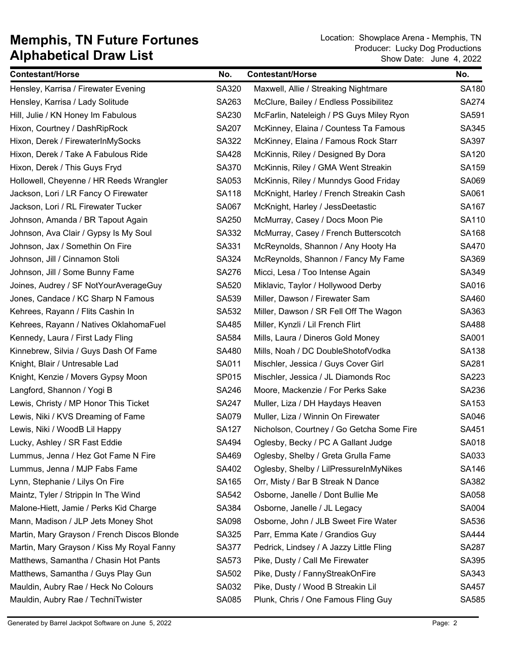| <b>Contestant/Horse</b>                     | No.          | <b>Contestant/Horse</b>                   | No.          |
|---------------------------------------------|--------------|-------------------------------------------|--------------|
| Hensley, Karrisa / Firewater Evening        | SA320        | Maxwell, Allie / Streaking Nightmare      | SA180        |
| Hensley, Karrisa / Lady Solitude            | SA263        | McClure, Bailey / Endless Possibilitez    | <b>SA274</b> |
| Hill, Julie / KN Honey Im Fabulous          | SA230        | McFarlin, Nateleigh / PS Guys Miley Ryon  | SA591        |
| Hixon, Courtney / DashRipRock               | <b>SA207</b> | McKinney, Elaina / Countess Ta Famous     | SA345        |
| Hixon, Derek / FirewaterInMySocks           | SA322        | McKinney, Elaina / Famous Rock Starr      | SA397        |
| Hixon, Derek / Take A Fabulous Ride         | <b>SA428</b> | McKinnis, Riley / Designed By Dora        | SA120        |
| Hixon, Derek / This Guys Fryd               | SA370        | McKinnis, Riley / GMA Went Streakin       | SA159        |
| Hollowell, Cheyenne / HR Reeds Wrangler     | SA053        | McKinnis, Riley / Munndys Good Friday     | SA069        |
| Jackson, Lori / LR Fancy O Firewater        | SA118        | McKnight, Harley / French Streakin Cash   | SA061        |
| Jackson, Lori / RL Firewater Tucker         | SA067        | McKnight, Harley / JessDeetastic          | SA167        |
| Johnson, Amanda / BR Tapout Again           | SA250        | McMurray, Casey / Docs Moon Pie           | SA110        |
| Johnson, Ava Clair / Gypsy Is My Soul       | SA332        | McMurray, Casey / French Butterscotch     | SA168        |
| Johnson, Jax / Somethin On Fire             | SA331        | McReynolds, Shannon / Any Hooty Ha        | SA470        |
| Johnson, Jill / Cinnamon Stoli              | SA324        | McReynolds, Shannon / Fancy My Fame       | SA369        |
| Johnson, Jill / Some Bunny Fame             | SA276        | Micci, Lesa / Too Intense Again           | SA349        |
| Joines, Audrey / SF NotYourAverageGuy       | SA520        | Miklavic, Taylor / Hollywood Derby        | SA016        |
| Jones, Candace / KC Sharp N Famous          | SA539        | Miller, Dawson / Firewater Sam            | SA460        |
| Kehrees, Rayann / Flits Cashin In           | SA532        | Miller, Dawson / SR Fell Off The Wagon    | SA363        |
| Kehrees, Rayann / Natives OklahomaFuel      | SA485        | Miller, Kynzli / Lil French Flirt         | SA488        |
| Kennedy, Laura / First Lady Fling           | SA584        | Mills, Laura / Dineros Gold Money         | SA001        |
| Kinnebrew, Silvia / Guys Dash Of Fame       | SA480        | Mills, Noah / DC DoubleShotofVodka        | SA138        |
| Knight, Blair / Untresable Lad              | SA011        | Mischler, Jessica / Guys Cover Girl       | SA281        |
| Knight, Kenzie / Movers Gypsy Moon          | SP015        | Mischler, Jessica / JL Diamonds Roc       | SA223        |
| Langford, Shannon / Yogi B                  | SA246        | Moore, Mackenzie / For Perks Sake         | SA236        |
| Lewis, Christy / MP Honor This Ticket       | <b>SA247</b> | Muller, Liza / DH Haydays Heaven          | SA153        |
| Lewis, Niki / KVS Dreaming of Fame          | <b>SA079</b> | Muller, Liza / Winnin On Firewater        | SA046        |
| Lewis, Niki / WoodB Lil Happy               | <b>SA127</b> | Nicholson, Courtney / Go Getcha Some Fire | SA451        |
| Lucky, Ashley / SR Fast Eddie               | SA494        | Oglesby, Becky / PC A Gallant Judge       | SA018        |
| Lummus, Jenna / Hez Got Fame N Fire         | SA469        | Oglesby, Shelby / Greta Grulla Fame       | SA033        |
| Lummus, Jenna / MJP Fabs Fame               | SA402        | Oglesby, Shelby / LilPressureInMyNikes    | SA146        |
| Lynn, Stephanie / Lilys On Fire             | SA165        | Orr, Misty / Bar B Streak N Dance         | SA382        |
| Maintz, Tyler / Strippin In The Wind        | SA542        | Osborne, Janelle / Dont Bullie Me         | SA058        |
| Malone-Hiett, Jamie / Perks Kid Charge      | SA384        | Osborne, Janelle / JL Legacy              | SA004        |
| Mann, Madison / JLP Jets Money Shot         | SA098        | Osborne, John / JLB Sweet Fire Water      | SA536        |
| Martin, Mary Grayson / French Discos Blonde | SA325        | Parr, Emma Kate / Grandios Guy            | <b>SA444</b> |
| Martin, Mary Grayson / Kiss My Royal Fanny  | SA377        | Pedrick, Lindsey / A Jazzy Little Fling   | <b>SA287</b> |
| Matthews, Samantha / Chasin Hot Pants       | SA573        | Pike, Dusty / Call Me Firewater           | SA395        |
| Matthews, Samantha / Guys Play Gun          | SA502        | Pike, Dusty / FannyStreakOnFire           | SA343        |
| Mauldin, Aubry Rae / Heck No Colours        | SA032        | Pike, Dusty / Wood B Streakin Lil         | SA457        |
| Mauldin, Aubry Rae / TechniTwister          | SA085        | Plunk, Chris / One Famous Fling Guy       | SA585        |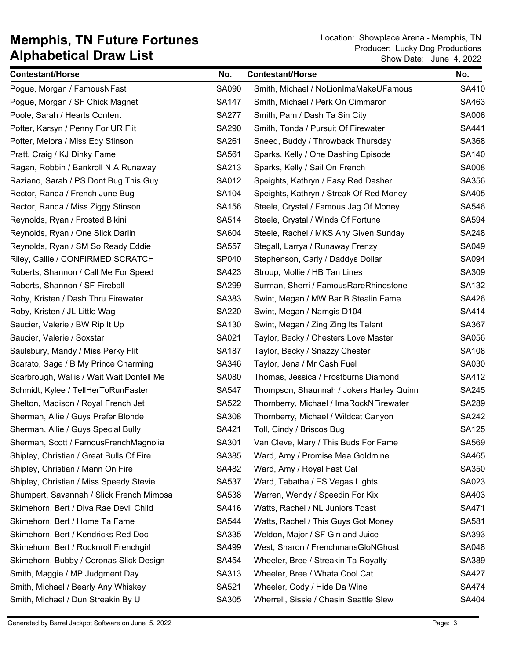| <b>Contestant/Horse</b>                   | No.          | <b>Contestant/Horse</b>                  | No.          |
|-------------------------------------------|--------------|------------------------------------------|--------------|
| Pogue, Morgan / FamousNFast               | SA090        | Smith, Michael / NoLionImaMakeUFamous    | SA410        |
| Pogue, Morgan / SF Chick Magnet           | <b>SA147</b> | Smith, Michael / Perk On Cimmaron        | SA463        |
| Poole, Sarah / Hearts Content             | <b>SA277</b> | Smith, Pam / Dash Ta Sin City            | SA006        |
| Potter, Karsyn / Penny For UR Flit        | SA290        | Smith, Tonda / Pursuit Of Firewater      | SA441        |
| Potter, Melora / Miss Edy Stinson         | SA261        | Sneed, Buddy / Throwback Thursday        | SA368        |
| Pratt, Craig / KJ Dinky Fame              | SA561        | Sparks, Kelly / One Dashing Episode      | SA140        |
| Ragan, Robbin / Bankroll N A Runaway      | SA213        | Sparks, Kelly / Sail On French           | <b>SA008</b> |
| Raziano, Sarah / PS Dont Bug This Guy     | SA012        | Speights, Kathryn / Easy Red Dasher      | SA356        |
| Rector, Randa / French June Bug           | SA104        | Speights, Kathryn / Streak Of Red Money  | SA405        |
| Rector, Randa / Miss Ziggy Stinson        | SA156        | Steele, Crystal / Famous Jag Of Money    | SA546        |
| Reynolds, Ryan / Frosted Bikini           | SA514        | Steele, Crystal / Winds Of Fortune       | SA594        |
| Reynolds, Ryan / One Slick Darlin         | SA604        | Steele, Rachel / MKS Any Given Sunday    | <b>SA248</b> |
| Reynolds, Ryan / SM So Ready Eddie        | <b>SA557</b> | Stegall, Larrya / Runaway Frenzy         | SA049        |
| Riley, Callie / CONFIRMED SCRATCH         | SP040        | Stephenson, Carly / Daddys Dollar        | SA094        |
| Roberts, Shannon / Call Me For Speed      | SA423        | Stroup, Mollie / HB Tan Lines            | SA309        |
| Roberts, Shannon / SF Fireball            | SA299        | Surman, Sherri / FamousRareRhinestone    | SA132        |
| Roby, Kristen / Dash Thru Firewater       | SA383        | Swint, Megan / MW Bar B Stealin Fame     | SA426        |
| Roby, Kristen / JL Little Wag             | <b>SA220</b> | Swint, Megan / Namgis D104               | SA414        |
| Saucier, Valerie / BW Rip It Up           | SA130        | Swint, Megan / Zing Zing Its Talent      | SA367        |
| Saucier, Valerie / Soxstar                | SA021        | Taylor, Becky / Chesters Love Master     | SA056        |
| Saulsbury, Mandy / Miss Perky Flit        | <b>SA187</b> | Taylor, Becky / Snazzy Chester           | <b>SA108</b> |
| Scarato, Sage / B My Prince Charming      | SA346        | Taylor, Jena / Mr Cash Fuel              | SA030        |
| Scarbrough, Wallis / Wait Wait Dontell Me | SA080        | Thomas, Jessica / Frostburns Diamond     | SA412        |
| Schmidt, Kylee / TellHerToRunFaster       | <b>SA547</b> | Thompson, Shaunnah / Jokers Harley Quinn | <b>SA245</b> |
| Shelton, Madison / Royal French Jet       | SA522        | Thornberry, Michael / ImaRockNFirewater  | SA289        |
| Sherman, Allie / Guys Prefer Blonde       | SA308        | Thornberry, Michael / Wildcat Canyon     | SA242        |
| Sherman, Allie / Guys Special Bully       | SA421        | Toll, Cindy / Briscos Bug                | <b>SA125</b> |
| Sherman, Scott / FamousFrenchMagnolia     | SA301        | Van Cleve, Mary / This Buds For Fame     | SA569        |
| Shipley, Christian / Great Bulls Of Fire  | SA385        | Ward, Amy / Promise Mea Goldmine         | SA465        |
| Shipley, Christian / Mann On Fire         | SA482        | Ward, Amy / Royal Fast Gal               | SA350        |
| Shipley, Christian / Miss Speedy Stevie   | SA537        | Ward, Tabatha / ES Vegas Lights          | SA023        |
| Shumpert, Savannah / Slick French Mimosa  | SA538        | Warren, Wendy / Speedin For Kix          | SA403        |
| Skimehorn, Bert / Diva Rae Devil Child    | SA416        | Watts, Rachel / NL Juniors Toast         | SA471        |
| Skimehorn, Bert / Home Ta Fame            | SA544        | Watts, Rachel / This Guys Got Money      | SA581        |
| Skimehorn, Bert / Kendricks Red Doc       | SA335        | Weldon, Major / SF Gin and Juice         | SA393        |
| Skimehorn, Bert / Rocknroll Frenchgirl    | SA499        | West, Sharon / FrenchmansGloNGhost       | SA048        |
| Skimehorn, Bubby / Coronas Slick Design   | SA454        | Wheeler, Bree / Streakin Ta Royalty      | SA389        |
| Smith, Maggie / MP Judgment Day           | SA313        | Wheeler, Bree / Whata Cool Cat           | <b>SA427</b> |
| Smith, Michael / Bearly Any Whiskey       | SA521        | Wheeler, Cody / Hide Da Wine             | SA474        |
| Smith, Michael / Dun Streakin By U        | SA305        | Wherrell, Sissie / Chasin Seattle Slew   | SA404        |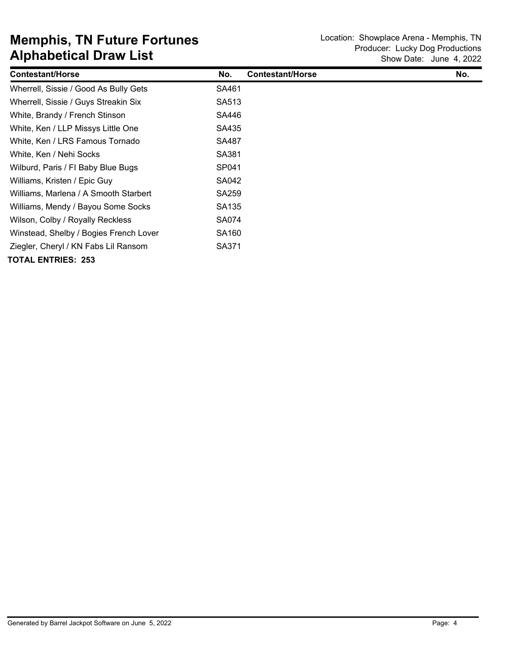| <b>Contestant/Horse</b>                | No.               | <b>Contestant/Horse</b> | No. |
|----------------------------------------|-------------------|-------------------------|-----|
| Wherrell, Sissie / Good As Bully Gets  | SA461             |                         |     |
| Wherrell, Sissie / Guys Streakin Six   | SA513             |                         |     |
| White, Brandy / French Stinson         | SA446             |                         |     |
| White, Ken / LLP Missys Little One     | SA435             |                         |     |
| White, Ken / LRS Famous Tornado        | SA487             |                         |     |
| White, Ken / Nehi Socks                | SA381             |                         |     |
| Wilburd, Paris / FI Baby Blue Bugs     | SP041             |                         |     |
| Williams, Kristen / Epic Guy           | SA042             |                         |     |
| Williams, Marlena / A Smooth Starbert  | SA259             |                         |     |
| Williams, Mendy / Bayou Some Socks     | SA135             |                         |     |
| Wilson, Colby / Royally Reckless       | SA074             |                         |     |
| Winstead, Shelby / Bogies French Lover | SA <sub>160</sub> |                         |     |
| Ziegler, Cheryl / KN Fabs Lil Ransom   | SA371             |                         |     |
| <b>TOTAL ENTRIES: 253</b>              |                   |                         |     |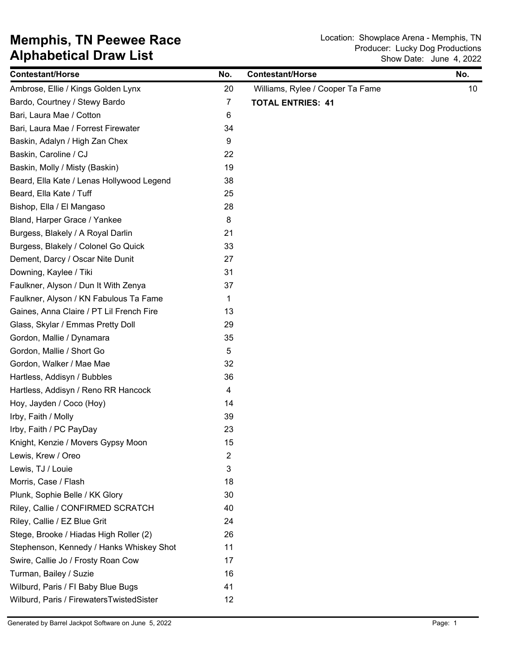# **Alphabetical Draw List Memphis, TN Peewee Race** Location: Showplace Arena - Memphis, TN **Memphis**, TN

| <b>Contestant/Horse</b>                   | No.            | <b>Contestant/Horse</b>          | No.             |
|-------------------------------------------|----------------|----------------------------------|-----------------|
| Ambrose, Ellie / Kings Golden Lynx        | 20             | Williams, Rylee / Cooper Ta Fame | 10 <sup>°</sup> |
| Bardo, Courtney / Stewy Bardo             | $\overline{7}$ | <b>TOTAL ENTRIES: 41</b>         |                 |
| Bari, Laura Mae / Cotton                  | 6              |                                  |                 |
| Bari, Laura Mae / Forrest Firewater       | 34             |                                  |                 |
| Baskin, Adalyn / High Zan Chex            | 9              |                                  |                 |
| Baskin, Caroline / CJ                     | 22             |                                  |                 |
| Baskin, Molly / Misty (Baskin)            | 19             |                                  |                 |
| Beard, Ella Kate / Lenas Hollywood Legend | 38             |                                  |                 |
| Beard, Ella Kate / Tuff                   | 25             |                                  |                 |
| Bishop, Ella / El Mangaso                 | 28             |                                  |                 |
| Bland, Harper Grace / Yankee              | 8              |                                  |                 |
| Burgess, Blakely / A Royal Darlin         | 21             |                                  |                 |
| Burgess, Blakely / Colonel Go Quick       | 33             |                                  |                 |
| Dement, Darcy / Oscar Nite Dunit          | 27             |                                  |                 |
| Downing, Kaylee / Tiki                    | 31             |                                  |                 |
| Faulkner, Alyson / Dun It With Zenya      | 37             |                                  |                 |
| Faulkner, Alyson / KN Fabulous Ta Fame    | 1              |                                  |                 |
| Gaines, Anna Claire / PT Lil French Fire  | 13             |                                  |                 |
| Glass, Skylar / Emmas Pretty Doll         | 29             |                                  |                 |
| Gordon, Mallie / Dynamara                 | 35             |                                  |                 |
| Gordon, Mallie / Short Go                 | 5              |                                  |                 |
| Gordon, Walker / Mae Mae                  | 32             |                                  |                 |
| Hartless, Addisyn / Bubbles               | 36             |                                  |                 |
| Hartless, Addisyn / Reno RR Hancock       | 4              |                                  |                 |
| Hoy, Jayden / Coco (Hoy)                  | 14             |                                  |                 |
| Irby, Faith / Molly                       | 39             |                                  |                 |
| Irby, Faith / PC PayDay                   | 23             |                                  |                 |
| Knight, Kenzie / Movers Gypsy Moon        | 15             |                                  |                 |
| Lewis, Krew / Oreo                        | $\overline{2}$ |                                  |                 |
| Lewis, TJ / Louie                         | 3              |                                  |                 |
| Morris, Case / Flash                      | 18             |                                  |                 |
| Plunk, Sophie Belle / KK Glory            | 30             |                                  |                 |
| Riley, Callie / CONFIRMED SCRATCH         | 40             |                                  |                 |
| Riley, Callie / EZ Blue Grit              | 24             |                                  |                 |
| Stege, Brooke / Hiadas High Roller (2)    | 26             |                                  |                 |
| Stephenson, Kennedy / Hanks Whiskey Shot  | 11             |                                  |                 |
| Swire, Callie Jo / Frosty Roan Cow        | 17             |                                  |                 |
| Turman, Bailey / Suzie                    | 16             |                                  |                 |
| Wilburd, Paris / FI Baby Blue Bugs        | 41             |                                  |                 |
| Wilburd, Paris / FirewatersTwistedSister  | 12             |                                  |                 |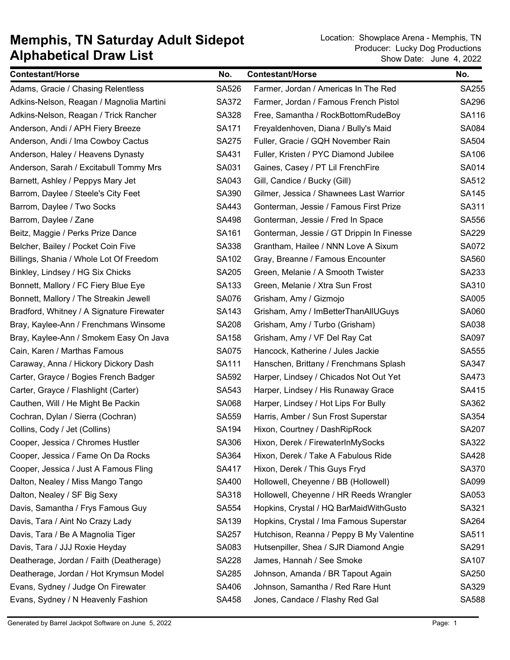| <b>Contestant/Horse</b>                   | No.          | <b>Contestant/Horse</b>                   | No.          |
|-------------------------------------------|--------------|-------------------------------------------|--------------|
| Adams, Gracie / Chasing Relentless        | SA526        | Farmer, Jordan / Americas In The Red      | <b>SA255</b> |
| Adkins-Nelson, Reagan / Magnolia Martini  | SA372        | Farmer, Jordan / Famous French Pistol     | <b>SA296</b> |
| Adkins-Nelson, Reagan / Trick Rancher     | SA328        | Free, Samantha / RockBottomRudeBoy        | SA116        |
| Anderson, Andi / APH Fiery Breeze         | SA171        | Freyaldenhoven, Diana / Bully's Maid      | SA084        |
| Anderson, Andi / Ima Cowboy Cactus        | <b>SA275</b> | Fuller, Gracie / GQH November Rain        | SA504        |
| Anderson, Haley / Heavens Dynasty         | SA431        | Fuller, Kristen / PYC Diamond Jubilee     | SA106        |
| Anderson, Sarah / Excitabull Tommy Mrs    | SA031        | Gaines, Casey / PT Lil FrenchFire         | SA014        |
| Barnett, Ashley / Peppys Mary Jet         | SA043        | Gill, Candice / Bucky (Gill)              | SA512        |
| Barrom, Daylee / Steele's City Feet       | SA390        | Gilmer, Jessica / Shawnees Last Warrior   | <b>SA145</b> |
| Barrom, Daylee / Two Socks                | SA443        | Gonterman, Jessie / Famous First Prize    | SA311        |
| Barrom, Daylee / Zane                     | SA498        | Gonterman, Jessie / Fred In Space         | SA556        |
| Beitz, Maggie / Perks Prize Dance         | SA161        | Gonterman, Jessie / GT Drippin In Finesse | <b>SA229</b> |
| Belcher, Bailey / Pocket Coin Five        | SA338        | Grantham, Hailee / NNN Love A Sixum       | <b>SA072</b> |
| Billings, Shania / Whole Lot Of Freedom   | SA102        | Gray, Breanne / Famous Encounter          | SA560        |
| Binkley, Lindsey / HG Six Chicks          | <b>SA205</b> | Green, Melanie / A Smooth Twister         | SA233        |
| Bonnett, Mallory / FC Fiery Blue Eye      | SA133        | Green, Melanie / Xtra Sun Frost           | SA310        |
| Bonnett, Mallory / The Streakin Jewell    | SA076        | Grisham, Amy / Gizmojo                    | SA005        |
| Bradford, Whitney / A Signature Firewater | SA143        | Grisham, Amy / ImBetterThanAllUGuys       | SA060        |
| Bray, Kaylee-Ann / Frenchmans Winsome     | <b>SA208</b> | Grisham, Amy / Turbo (Grisham)            | SA038        |
| Bray, Kaylee-Ann / Smokem Easy On Java    | SA158        | Grisham, Amy / VF Del Ray Cat             | SA097        |
| Cain, Karen / Marthas Famous              | <b>SA075</b> | Hancock, Katherine / Jules Jackie         | SA555        |
| Caraway, Anna / Hickory Dickory Dash      | SA111        | Hanschen, Brittany / Frenchmans Splash    | SA347        |
| Carter, Grayce / Bogies French Badger     | SA592        | Harper, Lindsey / Chicados Not Out Yet    | SA473        |
| Carter, Grayce / Flashlight (Carter)      | SA543        | Harper, Lindsey / His Runaway Grace       | SA415        |
| Cauthen, Will / He Might Be Packin        | SA068        | Harper, Lindsey / Hot Lips For Bully      | SA362        |
| Cochran, Dylan / Sierra (Cochran)         | SA559        | Harris, Amber / Sun Frost Superstar       | SA354        |
| Collins, Cody / Jet (Collins)             | SA194        | Hixon, Courtney / DashRipRock             | SA207        |
| Cooper, Jessica / Chromes Hustler         | SA306        | Hixon, Derek / FirewaterInMySocks         | SA322        |
| Cooper, Jessica / Fame On Da Rocks        | SA364        | Hixon, Derek / Take A Fabulous Ride       | <b>SA428</b> |
| Cooper, Jessica / Just A Famous Fling     | SA417        | Hixon, Derek / This Guys Fryd             | SA370        |
| Dalton, Nealey / Miss Mango Tango         | SA400        | Hollowell, Cheyenne / BB (Hollowell)      | SA099        |
| Dalton, Nealey / SF Big Sexy              | SA318        | Hollowell, Cheyenne / HR Reeds Wrangler   | SA053        |
| Davis, Samantha / Frys Famous Guy         | SA554        | Hopkins, Crystal / HQ BarMaidWithGusto    | SA321        |
| Davis, Tara / Aint No Crazy Lady          | SA139        | Hopkins, Crystal / Ima Famous Superstar   | SA264        |
| Davis, Tara / Be A Magnolia Tiger         | SA257        | Hutchison, Reanna / Peppy B My Valentine  | SA511        |
| Davis, Tara / JJJ Roxie Heyday            | SA083        | Hutsenpiller, Shea / SJR Diamond Angie    | SA291        |
| Deatherage, Jordan / Faith (Deatherage)   | SA228        | James, Hannah / See Smoke                 | <b>SA107</b> |
| Deatherage, Jordan / Hot Krymsun Model    | SA285        | Johnson, Amanda / BR Tapout Again         | SA250        |
| Evans, Sydney / Judge On Firewater        | SA406        | Johnson, Samantha / Red Rare Hunt         | SA329        |
| Evans, Sydney / N Heavenly Fashion        | SA458        | Jones, Candace / Flashy Red Gal           | SA588        |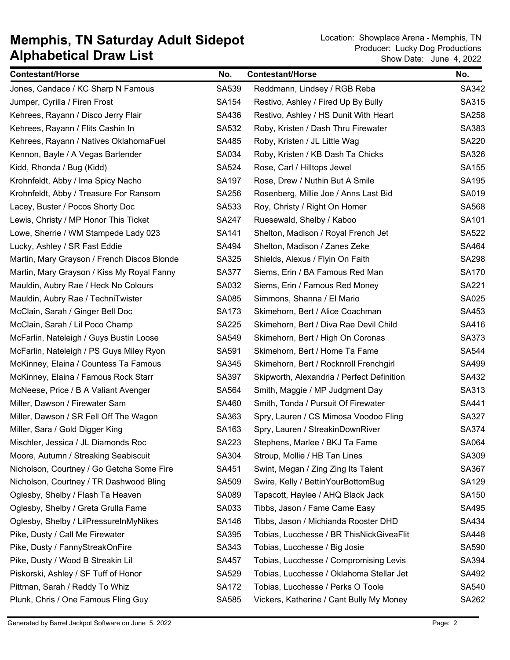| <b>Contestant/Horse</b>                     | No.          | <b>Contestant/Horse</b>                    | No.          |
|---------------------------------------------|--------------|--------------------------------------------|--------------|
| Jones, Candace / KC Sharp N Famous          | SA539        | Reddmann, Lindsey / RGB Reba               | SA342        |
| Jumper, Cyrilla / Firen Frost               | SA154        | Restivo, Ashley / Fired Up By Bully        | SA315        |
| Kehrees, Rayann / Disco Jerry Flair         | SA436        | Restivo, Ashley / HS Dunit With Heart      | SA258        |
| Kehrees, Rayann / Flits Cashin In           | SA532        | Roby, Kristen / Dash Thru Firewater        | SA383        |
| Kehrees, Rayann / Natives OklahomaFuel      | SA485        | Roby, Kristen / JL Little Wag              | <b>SA220</b> |
| Kennon, Bayle / A Vegas Bartender           | SA034        | Roby, Kristen / KB Dash Ta Chicks          | SA326        |
| Kidd, Rhonda / Bug (Kidd)                   | SA524        | Rose, Carl / Hilltops Jewel                | SA155        |
| Krohnfeldt, Abby / Ima Spicy Nacho          | SA197        | Rose, Drew / Nuthin But A Smile            | SA195        |
| Krohnfeldt, Abby / Treasure For Ransom      | SA256        | Rosenberg, Millie Joe / Anns Last Bid      | SA019        |
| Lacey, Buster / Pocos Shorty Doc            | SA533        | Roy, Christy / Right On Homer              | SA568        |
| Lewis, Christy / MP Honor This Ticket       | <b>SA247</b> | Ruesewald, Shelby / Kaboo                  | SA101        |
| Lowe, Sherrie / WM Stampede Lady 023        | SA141        | Shelton, Madison / Royal French Jet        | <b>SA522</b> |
| Lucky, Ashley / SR Fast Eddie               | SA494        | Shelton, Madison / Zanes Zeke              | SA464        |
| Martin, Mary Grayson / French Discos Blonde | SA325        | Shields, Alexus / Flyin On Faith           | SA298        |
| Martin, Mary Grayson / Kiss My Royal Fanny  | <b>SA377</b> | Siems, Erin / BA Famous Red Man            | <b>SA170</b> |
| Mauldin, Aubry Rae / Heck No Colours        | SA032        | Siems, Erin / Famous Red Money             | SA221        |
| Mauldin, Aubry Rae / TechniTwister          | SA085        | Simmons, Shanna / El Mario                 | SA025        |
| McClain, Sarah / Ginger Bell Doc            | <b>SA173</b> | Skimehorn, Bert / Alice Coachman           | SA453        |
| McClain, Sarah / Lil Poco Champ             | <b>SA225</b> | Skimehorn, Bert / Diva Rae Devil Child     | SA416        |
| McFarlin, Nateleigh / Guys Bustin Loose     | SA549        | Skimehorn, Bert / High On Coronas          | SA373        |
| McFarlin, Nateleigh / PS Guys Miley Ryon    | SA591        | Skimehorn, Bert / Home Ta Fame             | <b>SA544</b> |
| McKinney, Elaina / Countess Ta Famous       | SA345        | Skimehorn, Bert / Rocknroll Frenchgirl     | SA499        |
| McKinney, Elaina / Famous Rock Starr        | SA397        | Skipworth, Alexandria / Perfect Definition | SA432        |
| McNeese, Price / B A Valiant Avenger        | SA564        | Smith, Maggie / MP Judgment Day            | SA313        |
| Miller, Dawson / Firewater Sam              | SA460        | Smith, Tonda / Pursuit Of Firewater        | SA441        |
| Miller, Dawson / SR Fell Off The Wagon      | SA363        | Spry, Lauren / CS Mimosa Voodoo Fling      | SA327        |
| Miller, Sara / Gold Digger King             | SA163        | Spry, Lauren / StreakinDownRiver           | SA374        |
| Mischler, Jessica / JL Diamonds Roc         | SA223        | Stephens, Marlee / BKJ Ta Fame             | SA064        |
| Moore, Autumn / Streaking Seabiscuit        | SA304        | Stroup, Mollie / HB Tan Lines              | SA309        |
| Nicholson, Courtney / Go Getcha Some Fire   | SA451        | Swint, Megan / Zing Zing Its Talent        | SA367        |
| Nicholson, Courtney / TR Dashwood Bling     | SA509        | Swire, Kelly / BettinYourBottomBug         | SA129        |
| Oglesby, Shelby / Flash Ta Heaven           | SA089        | Tapscott, Haylee / AHQ Black Jack          | SA150        |
| Oglesby, Shelby / Greta Grulla Fame         | SA033        | Tibbs, Jason / Fame Came Easy              | SA495        |
| Oglesby, Shelby / LilPressureInMyNikes      | SA146        | Tibbs, Jason / Michianda Rooster DHD       | SA434        |
| Pike, Dusty / Call Me Firewater             | SA395        | Tobias, Lucchesse / BR ThisNickGiveaFlit   | <b>SA448</b> |
| Pike, Dusty / FannyStreakOnFire             | SA343        | Tobias, Lucchesse / Big Josie              | SA590        |
| Pike, Dusty / Wood B Streakin Lil           | SA457        | Tobias, Lucchesse / Compromising Levis     | SA394        |
| Piskorski, Ashley / SF Tuff of Honor        | SA529        | Tobias, Lucchesse / Oklahoma Stellar Jet   | SA492        |
| Pittman, Sarah / Reddy To Whiz              | <b>SA172</b> | Tobias, Lucchesse / Perks O Toole          | SA540        |
| Plunk, Chris / One Famous Fling Guy         | SA585        | Vickers, Katherine / Cant Bully My Money   | SA262        |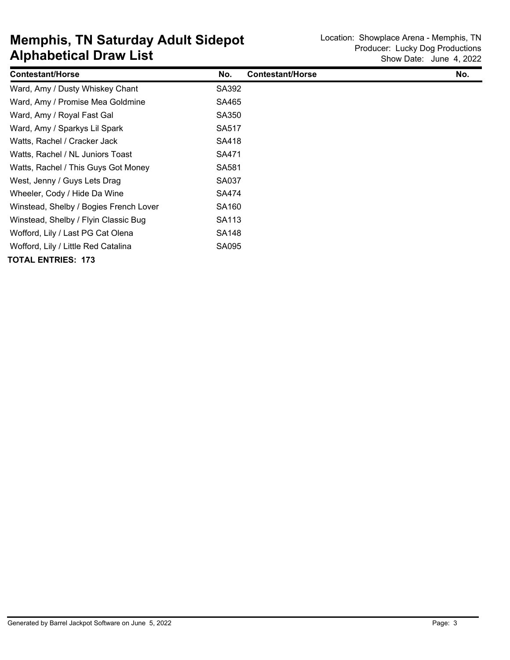| <b>Contestant/Horse</b>                | No.               | <b>Contestant/Horse</b> | No. |
|----------------------------------------|-------------------|-------------------------|-----|
| Ward, Amy / Dusty Whiskey Chant        | SA392             |                         |     |
| Ward, Amy / Promise Mea Goldmine       | SA465             |                         |     |
| Ward, Amy / Royal Fast Gal             | SA350             |                         |     |
| Ward, Amy / Sparkys Lil Spark          | SA517             |                         |     |
| Watts, Rachel / Cracker Jack           | SA418             |                         |     |
| Watts, Rachel / NL Juniors Toast       | SA471             |                         |     |
| Watts, Rachel / This Guys Got Money    | SA581             |                         |     |
| West, Jenny / Guys Lets Drag           | SA037             |                         |     |
| Wheeler, Cody / Hide Da Wine           | SA474             |                         |     |
| Winstead, Shelby / Bogies French Lover | SA <sub>160</sub> |                         |     |
| Winstead, Shelby / Flyin Classic Bug   | SA <sub>113</sub> |                         |     |
| Wofford, Lily / Last PG Cat Olena      | SA <sub>148</sub> |                         |     |
| Wofford, Lily / Little Red Catalina    | SA095             |                         |     |
| <b>TOTAL ENTRIES: 173</b>              |                   |                         |     |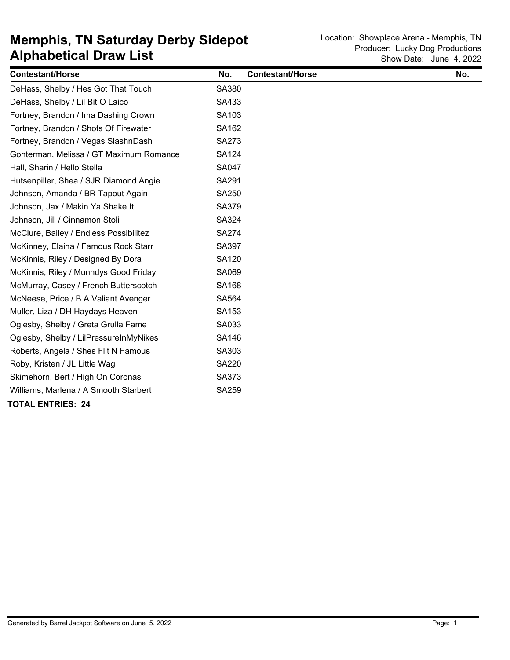| <b>Contestant/Horse</b>                 | No.          | <b>Contestant/Horse</b> | No. |
|-----------------------------------------|--------------|-------------------------|-----|
| DeHass, Shelby / Hes Got That Touch     | SA380        |                         |     |
| DeHass, Shelby / Lil Bit O Laico        | SA433        |                         |     |
| Fortney, Brandon / Ima Dashing Crown    | SA103        |                         |     |
| Fortney, Brandon / Shots Of Firewater   | SA162        |                         |     |
| Fortney, Brandon / Vegas SlashnDash     | SA273        |                         |     |
| Gonterman, Melissa / GT Maximum Romance | <b>SA124</b> |                         |     |
| Hall, Sharin / Hello Stella             | SA047        |                         |     |
| Hutsenpiller, Shea / SJR Diamond Angie  | SA291        |                         |     |
| Johnson, Amanda / BR Tapout Again       | SA250        |                         |     |
| Johnson, Jax / Makin Ya Shake It        | SA379        |                         |     |
| Johnson, Jill / Cinnamon Stoli          | SA324        |                         |     |
| McClure, Bailey / Endless Possibilitez  | <b>SA274</b> |                         |     |
| McKinney, Elaina / Famous Rock Starr    | SA397        |                         |     |
| McKinnis, Riley / Designed By Dora      | SA120        |                         |     |
| McKinnis, Riley / Munndys Good Friday   | SA069        |                         |     |
| McMurray, Casey / French Butterscotch   | SA168        |                         |     |
| McNeese, Price / B A Valiant Avenger    | SA564        |                         |     |
| Muller, Liza / DH Haydays Heaven        | SA153        |                         |     |
| Oglesby, Shelby / Greta Grulla Fame     | SA033        |                         |     |
| Oglesby, Shelby / LilPressureInMyNikes  | SA146        |                         |     |
| Roberts, Angela / Shes Flit N Famous    | SA303        |                         |     |
| Roby, Kristen / JL Little Wag           | <b>SA220</b> |                         |     |
| Skimehorn, Bert / High On Coronas       | SA373        |                         |     |
| Williams, Marlena / A Smooth Starbert   | SA259        |                         |     |
| <b>TOTAL ENTRIES: 24</b>                |              |                         |     |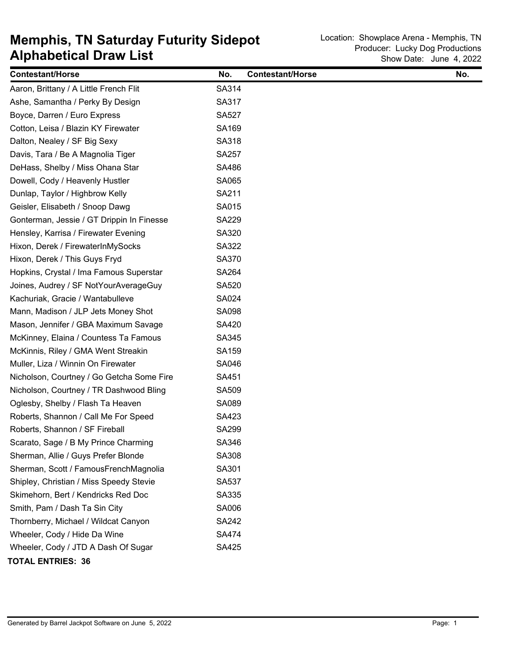## **Alphabetical Draw List Memphis, TN Saturday Futurity Sidepot** Location: Showplace Arena - Memphis, TN

| <b>Contestant/Horse</b>                   | No.          | <b>Contestant/Horse</b> | No. |
|-------------------------------------------|--------------|-------------------------|-----|
| Aaron, Brittany / A Little French Flit    | SA314        |                         |     |
| Ashe, Samantha / Perky By Design          | SA317        |                         |     |
| Boyce, Darren / Euro Express              | <b>SA527</b> |                         |     |
| Cotton, Leisa / Blazin KY Firewater       | SA169        |                         |     |
| Dalton, Nealey / SF Big Sexy              | SA318        |                         |     |
| Davis, Tara / Be A Magnolia Tiger         | <b>SA257</b> |                         |     |
| DeHass, Shelby / Miss Ohana Star          | SA486        |                         |     |
| Dowell, Cody / Heavenly Hustler           | SA065        |                         |     |
| Dunlap, Taylor / Highbrow Kelly           | SA211        |                         |     |
| Geisler, Elisabeth / Snoop Dawg           | SA015        |                         |     |
| Gonterman, Jessie / GT Drippin In Finesse | <b>SA229</b> |                         |     |
| Hensley, Karrisa / Firewater Evening      | SA320        |                         |     |
| Hixon, Derek / FirewaterInMySocks         | SA322        |                         |     |
| Hixon, Derek / This Guys Fryd             | SA370        |                         |     |
| Hopkins, Crystal / Ima Famous Superstar   | <b>SA264</b> |                         |     |
| Joines, Audrey / SF NotYourAverageGuy     | <b>SA520</b> |                         |     |
| Kachuriak, Gracie / Wantabulleve          | <b>SA024</b> |                         |     |
| Mann, Madison / JLP Jets Money Shot       | <b>SA098</b> |                         |     |
| Mason, Jennifer / GBA Maximum Savage      | SA420        |                         |     |
| McKinney, Elaina / Countess Ta Famous     | SA345        |                         |     |
| McKinnis, Riley / GMA Went Streakin       | SA159        |                         |     |
| Muller, Liza / Winnin On Firewater        | SA046        |                         |     |
| Nicholson, Courtney / Go Getcha Some Fire | SA451        |                         |     |
| Nicholson, Courtney / TR Dashwood Bling   | SA509        |                         |     |
| Oglesby, Shelby / Flash Ta Heaven         | SA089        |                         |     |
| Roberts, Shannon / Call Me For Speed      | SA423        |                         |     |
| Roberts, Shannon / SF Fireball            | <b>SA299</b> |                         |     |
| Scarato, Sage / B My Prince Charming      | SA346        |                         |     |
| Sherman, Allie / Guys Prefer Blonde       | SA308        |                         |     |
| Sherman, Scott / FamousFrenchMagnolia     | SA301        |                         |     |
| Shipley, Christian / Miss Speedy Stevie   | <b>SA537</b> |                         |     |
| Skimehorn, Bert / Kendricks Red Doc       | SA335        |                         |     |
| Smith, Pam / Dash Ta Sin City             | SA006        |                         |     |
| Thornberry, Michael / Wildcat Canyon      | <b>SA242</b> |                         |     |
| Wheeler, Cody / Hide Da Wine              | <b>SA474</b> |                         |     |
| Wheeler, Cody / JTD A Dash Of Sugar       | SA425        |                         |     |
| <b>TOTAL ENTRIES: 36</b>                  |              |                         |     |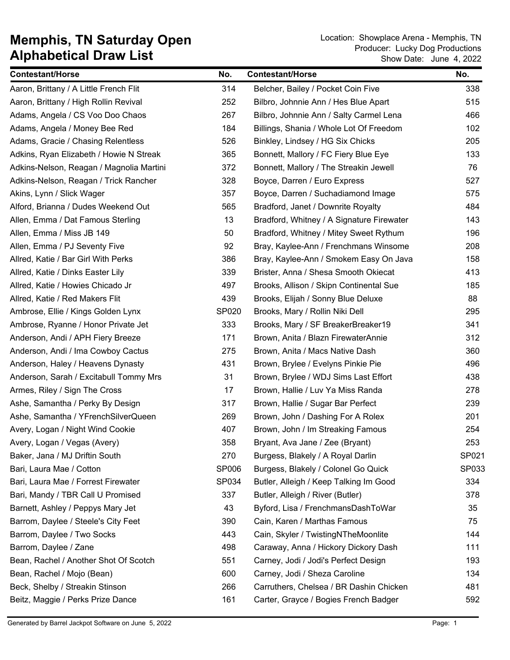| <b>Contestant/Horse</b>                  | No.   | <b>Contestant/Horse</b>                   | No.   |
|------------------------------------------|-------|-------------------------------------------|-------|
| Aaron, Brittany / A Little French Flit   | 314   | Belcher, Bailey / Pocket Coin Five        | 338   |
| Aaron, Brittany / High Rollin Revival    | 252   | Bilbro, Johnnie Ann / Hes Blue Apart      | 515   |
| Adams, Angela / CS Voo Doo Chaos         | 267   | Bilbro, Johnnie Ann / Salty Carmel Lena   | 466   |
| Adams, Angela / Money Bee Red            | 184   | Billings, Shania / Whole Lot Of Freedom   | 102   |
| Adams, Gracie / Chasing Relentless       | 526   | Binkley, Lindsey / HG Six Chicks          | 205   |
| Adkins, Ryan Elizabeth / Howie N Streak  | 365   | Bonnett, Mallory / FC Fiery Blue Eye      | 133   |
| Adkins-Nelson, Reagan / Magnolia Martini | 372   | Bonnett, Mallory / The Streakin Jewell    | 76    |
| Adkins-Nelson, Reagan / Trick Rancher    | 328   | Boyce, Darren / Euro Express              | 527   |
| Akins, Lynn / Slick Wager                | 357   | Boyce, Darren / Suchadiamond Image        | 575   |
| Alford, Brianna / Dudes Weekend Out      | 565   | Bradford, Janet / Downrite Royalty        | 484   |
| Allen, Emma / Dat Famous Sterling        | 13    | Bradford, Whitney / A Signature Firewater | 143   |
| Allen, Emma / Miss JB 149                | 50    | Bradford, Whitney / Mitey Sweet Rythum    | 196   |
| Allen, Emma / PJ Seventy Five            | 92    | Bray, Kaylee-Ann / Frenchmans Winsome     | 208   |
| Allred, Katie / Bar Girl With Perks      | 386   | Bray, Kaylee-Ann / Smokem Easy On Java    | 158   |
| Allred, Katie / Dinks Easter Lily        | 339   | Brister, Anna / Shesa Smooth Okiecat      | 413   |
| Allred, Katie / Howies Chicado Jr        | 497   | Brooks, Allison / Skipn Continental Sue   | 185   |
| Allred, Katie / Red Makers Flit          | 439   | Brooks, Elijah / Sonny Blue Deluxe        | 88    |
| Ambrose, Ellie / Kings Golden Lynx       | SP020 | Brooks, Mary / Rollin Niki Dell           | 295   |
| Ambrose, Ryanne / Honor Private Jet      | 333   | Brooks, Mary / SF BreakerBreaker19        | 341   |
| Anderson, Andi / APH Fiery Breeze        | 171   | Brown, Anita / Blazn FirewaterAnnie       | 312   |
| Anderson, Andi / Ima Cowboy Cactus       | 275   | Brown, Anita / Macs Native Dash           | 360   |
| Anderson, Haley / Heavens Dynasty        | 431   | Brown, Brylee / Evelyns Pinkie Pie        | 496   |
| Anderson, Sarah / Excitabull Tommy Mrs   | 31    | Brown, Brylee / WDJ Sims Last Effort      | 438   |
| Armes, Riley / Sign The Cross            | 17    | Brown, Hallie / Luv Ya Miss Randa         | 278   |
| Ashe, Samantha / Perky By Design         | 317   | Brown, Hallie / Sugar Bar Perfect         | 239   |
| Ashe, Samantha / YFrenchSilverQueen      | 269   | Brown, John / Dashing For A Rolex         | 201   |
| Avery, Logan / Night Wind Cookie         | 407   | Brown, John / Im Streaking Famous         | 254   |
| Avery, Logan / Vegas (Avery)             | 358   | Bryant, Ava Jane / Zee (Bryant)           | 253   |
| Baker, Jana / MJ Driftin South           | 270   | Burgess, Blakely / A Royal Darlin         | SP021 |
| Bari, Laura Mae / Cotton                 | SP006 | Burgess, Blakely / Colonel Go Quick       | SP033 |
| Bari, Laura Mae / Forrest Firewater      | SP034 | Butler, Alleigh / Keep Talking Im Good    | 334   |
| Bari, Mandy / TBR Call U Promised        | 337   | Butler, Alleigh / River (Butler)          | 378   |
| Barnett, Ashley / Peppys Mary Jet        | 43    | Byford, Lisa / FrenchmansDashToWar        | 35    |
| Barrom, Daylee / Steele's City Feet      | 390   | Cain, Karen / Marthas Famous              | 75    |
| Barrom, Daylee / Two Socks               | 443   | Cain, Skyler / TwistingNTheMoonlite       | 144   |
| Barrom, Daylee / Zane                    | 498   | Caraway, Anna / Hickory Dickory Dash      | 111   |
| Bean, Rachel / Another Shot Of Scotch    | 551   | Carney, Jodi / Jodi's Perfect Design      | 193   |
| Bean, Rachel / Mojo (Bean)               | 600   | Carney, Jodi / Sheza Caroline             | 134   |
| Beck, Shelby / Streakin Stinson          | 266   | Carruthers, Chelsea / BR Dashin Chicken   | 481   |
| Beitz, Maggie / Perks Prize Dance        | 161   | Carter, Grayce / Bogies French Badger     | 592   |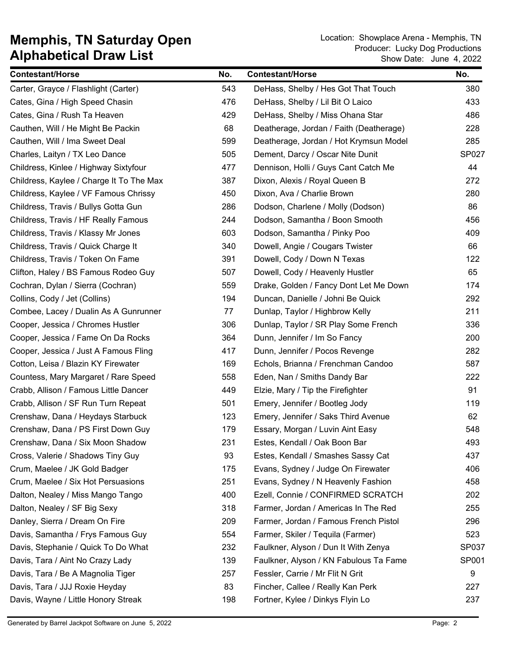| <b>Contestant/Horse</b>                  | No. | <b>Contestant/Horse</b>                 | No.   |
|------------------------------------------|-----|-----------------------------------------|-------|
| Carter, Grayce / Flashlight (Carter)     | 543 | DeHass, Shelby / Hes Got That Touch     | 380   |
| Cates, Gina / High Speed Chasin          | 476 | DeHass, Shelby / Lil Bit O Laico        | 433   |
| Cates, Gina / Rush Ta Heaven             | 429 | DeHass, Shelby / Miss Ohana Star        | 486   |
| Cauthen, Will / He Might Be Packin       | 68  | Deatherage, Jordan / Faith (Deatherage) | 228   |
| Cauthen, Will / Ima Sweet Deal           | 599 | Deatherage, Jordan / Hot Krymsun Model  | 285   |
| Charles, Laityn / TX Leo Dance           | 505 | Dement, Darcy / Oscar Nite Dunit        | SP027 |
| Childress, Kinlee / Highway Sixtyfour    | 477 | Dennison, Holli / Guys Cant Catch Me    | 44    |
| Childress, Kaylee / Charge It To The Max | 387 | Dixon, Alexis / Royal Queen B           | 272   |
| Childress, Kaylee / VF Famous Chrissy    | 450 | Dixon, Ava / Charlie Brown              | 280   |
| Childress, Travis / Bullys Gotta Gun     | 286 | Dodson, Charlene / Molly (Dodson)       | 86    |
| Childress, Travis / HF Really Famous     | 244 | Dodson, Samantha / Boon Smooth          | 456   |
| Childress, Travis / Klassy Mr Jones      | 603 | Dodson, Samantha / Pinky Poo            | 409   |
| Childress, Travis / Quick Charge It      | 340 | Dowell, Angie / Cougars Twister         | 66    |
| Childress, Travis / Token On Fame        | 391 | Dowell, Cody / Down N Texas             | 122   |
| Clifton, Haley / BS Famous Rodeo Guy     | 507 | Dowell, Cody / Heavenly Hustler         | 65    |
| Cochran, Dylan / Sierra (Cochran)        | 559 | Drake, Golden / Fancy Dont Let Me Down  | 174   |
| Collins, Cody / Jet (Collins)            | 194 | Duncan, Danielle / Johni Be Quick       | 292   |
| Combee, Lacey / Dualin As A Gunrunner    | 77  | Dunlap, Taylor / Highbrow Kelly         | 211   |
| Cooper, Jessica / Chromes Hustler        | 306 | Dunlap, Taylor / SR Play Some French    | 336   |
| Cooper, Jessica / Fame On Da Rocks       | 364 | Dunn, Jennifer / Im So Fancy            | 200   |
| Cooper, Jessica / Just A Famous Fling    | 417 | Dunn, Jennifer / Pocos Revenge          | 282   |
| Cotton, Leisa / Blazin KY Firewater      | 169 | Echols, Brianna / Frenchman Candoo      | 587   |
| Countess, Mary Margaret / Rare Speed     | 558 | Eden, Nan / Smiths Dandy Bar            | 222   |
| Crabb, Allison / Famous Little Dancer    | 449 | Elzie, Mary / Tip the Firefighter       | 91    |
| Crabb, Allison / SF Run Turn Repeat      | 501 | Emery, Jennifer / Bootleg Jody          | 119   |
| Crenshaw, Dana / Heydays Starbuck        | 123 | Emery, Jennifer / Saks Third Avenue     | 62    |
| Crenshaw, Dana / PS First Down Guy       | 179 | Essary, Morgan / Luvin Aint Easy        | 548   |
| Crenshaw, Dana / Six Moon Shadow         | 231 | Estes, Kendall / Oak Boon Bar           | 493   |
| Cross, Valerie / Shadows Tiny Guy        | 93  | Estes, Kendall / Smashes Sassy Cat      | 437   |
| Crum, Maelee / JK Gold Badger            | 175 | Evans, Sydney / Judge On Firewater      | 406   |
| Crum, Maelee / Six Hot Persuasions       | 251 | Evans, Sydney / N Heavenly Fashion      | 458   |
| Dalton, Nealey / Miss Mango Tango        | 400 | Ezell, Connie / CONFIRMED SCRATCH       | 202   |
| Dalton, Nealey / SF Big Sexy             | 318 | Farmer, Jordan / Americas In The Red    | 255   |
| Danley, Sierra / Dream On Fire           | 209 | Farmer, Jordan / Famous French Pistol   | 296   |
| Davis, Samantha / Frys Famous Guy        | 554 | Farmer, Skiler / Tequila (Farmer)       | 523   |
| Davis, Stephanie / Quick To Do What      | 232 | Faulkner, Alyson / Dun It With Zenya    | SP037 |
| Davis, Tara / Aint No Crazy Lady         | 139 | Faulkner, Alyson / KN Fabulous Ta Fame  | SP001 |
| Davis, Tara / Be A Magnolia Tiger        | 257 | Fessler, Carrie / Mr Flit N Grit        | 9     |
| Davis, Tara / JJJ Roxie Heyday           | 83  | Fincher, Callee / Really Kan Perk       | 227   |
| Davis, Wayne / Little Honory Streak      | 198 | Fortner, Kylee / Dinkys Flyin Lo        | 237   |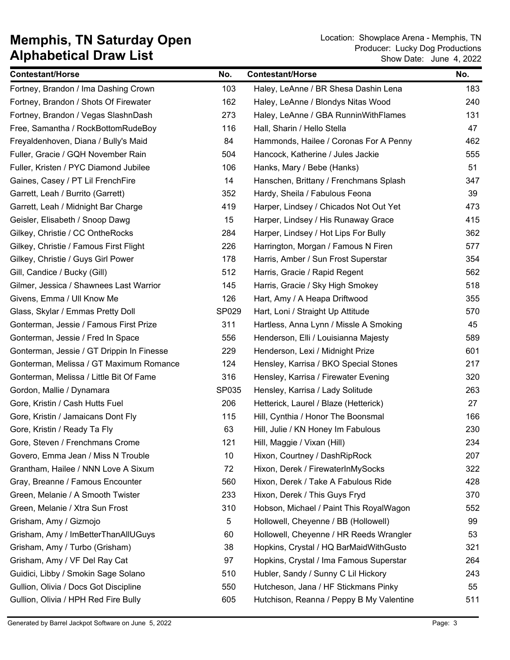| <b>Contestant/Horse</b>                   | No.   | <b>Contestant/Horse</b>                  | No. |
|-------------------------------------------|-------|------------------------------------------|-----|
| Fortney, Brandon / Ima Dashing Crown      | 103   | Haley, LeAnne / BR Shesa Dashin Lena     | 183 |
| Fortney, Brandon / Shots Of Firewater     | 162   | Haley, LeAnne / Blondys Nitas Wood       | 240 |
| Fortney, Brandon / Vegas SlashnDash       | 273   | Haley, LeAnne / GBA RunninWithFlames     | 131 |
| Free, Samantha / RockBottomRudeBoy        | 116   | Hall, Sharin / Hello Stella              | 47  |
| Freyaldenhoven, Diana / Bully's Maid      | 84    | Hammonds, Hailee / Coronas For A Penny   | 462 |
| Fuller, Gracie / GQH November Rain        | 504   | Hancock, Katherine / Jules Jackie        | 555 |
| Fuller, Kristen / PYC Diamond Jubilee     | 106   | Hanks, Mary / Bebe (Hanks)               | 51  |
| Gaines, Casey / PT Lil FrenchFire         | 14    | Hanschen, Brittany / Frenchmans Splash   | 347 |
| Garrett, Leah / Burrito (Garrett)         | 352   | Hardy, Sheila / Fabulous Feona           | 39  |
| Garrett, Leah / Midnight Bar Charge       | 419   | Harper, Lindsey / Chicados Not Out Yet   | 473 |
| Geisler, Elisabeth / Snoop Dawg           | 15    | Harper, Lindsey / His Runaway Grace      | 415 |
| Gilkey, Christie / CC OntheRocks          | 284   | Harper, Lindsey / Hot Lips For Bully     | 362 |
| Gilkey, Christie / Famous First Flight    | 226   | Harrington, Morgan / Famous N Firen      | 577 |
| Gilkey, Christie / Guys Girl Power        | 178   | Harris, Amber / Sun Frost Superstar      | 354 |
| Gill, Candice / Bucky (Gill)              | 512   | Harris, Gracie / Rapid Regent            | 562 |
| Gilmer, Jessica / Shawnees Last Warrior   | 145   | Harris, Gracie / Sky High Smokey         | 518 |
| Givens, Emma / Ull Know Me                | 126   | Hart, Amy / A Heapa Driftwood            | 355 |
| Glass, Skylar / Emmas Pretty Doll         | SP029 | Hart, Loni / Straight Up Attitude        | 570 |
| Gonterman, Jessie / Famous First Prize    | 311   | Hartless, Anna Lynn / Missle A Smoking   | 45  |
| Gonterman, Jessie / Fred In Space         | 556   | Henderson, Elli / Louisianna Majesty     | 589 |
| Gonterman, Jessie / GT Drippin In Finesse | 229   | Henderson, Lexi / Midnight Prize         | 601 |
| Gonterman, Melissa / GT Maximum Romance   | 124   | Hensley, Karrisa / BKO Special Stones    | 217 |
| Gonterman, Melissa / Little Bit Of Fame   | 316   | Hensley, Karrisa / Firewater Evening     | 320 |
| Gordon, Mallie / Dynamara                 | SP035 | Hensley, Karrisa / Lady Solitude         | 263 |
| Gore, Kristin / Cash Hutts Fuel           | 206   | Hetterick, Laurel / Blaze (Hetterick)    | 27  |
| Gore, Kristin / Jamaicans Dont Fly        | 115   | Hill, Cynthia / Honor The Boonsmal       | 166 |
| Gore, Kristin / Ready Ta Fly              | 63    | Hill, Julie / KN Honey Im Fabulous       | 230 |
| Gore, Steven / Frenchmans Crome           | 121   | Hill, Maggie / Vixan (Hill)              | 234 |
| Govero, Emma Jean / Miss N Trouble        | 10    | Hixon, Courtney / DashRipRock            | 207 |
| Grantham, Hailee / NNN Love A Sixum       | 72    | Hixon, Derek / FirewaterInMySocks        | 322 |
| Gray, Breanne / Famous Encounter          | 560   | Hixon, Derek / Take A Fabulous Ride      | 428 |
| Green, Melanie / A Smooth Twister         | 233   | Hixon, Derek / This Guys Fryd            | 370 |
| Green, Melanie / Xtra Sun Frost           | 310   | Hobson, Michael / Paint This RoyalWagon  | 552 |
| Grisham, Amy / Gizmojo                    | 5     | Hollowell, Cheyenne / BB (Hollowell)     | 99  |
| Grisham, Amy / ImBetterThanAllUGuys       | 60    | Hollowell, Cheyenne / HR Reeds Wrangler  | 53  |
| Grisham, Amy / Turbo (Grisham)            | 38    | Hopkins, Crystal / HQ BarMaidWithGusto   | 321 |
| Grisham, Amy / VF Del Ray Cat             | 97    | Hopkins, Crystal / Ima Famous Superstar  | 264 |
| Guidici, Libby / Smokin Sage Solano       | 510   | Hubler, Sandy / Sunny C Lil Hickory      | 243 |
| Gullion, Olivia / Docs Got Discipline     | 550   | Hutcheson, Jana / HF Stickmans Pinky     | 55  |
| Gullion, Olivia / HPH Red Fire Bully      | 605   | Hutchison, Reanna / Peppy B My Valentine | 511 |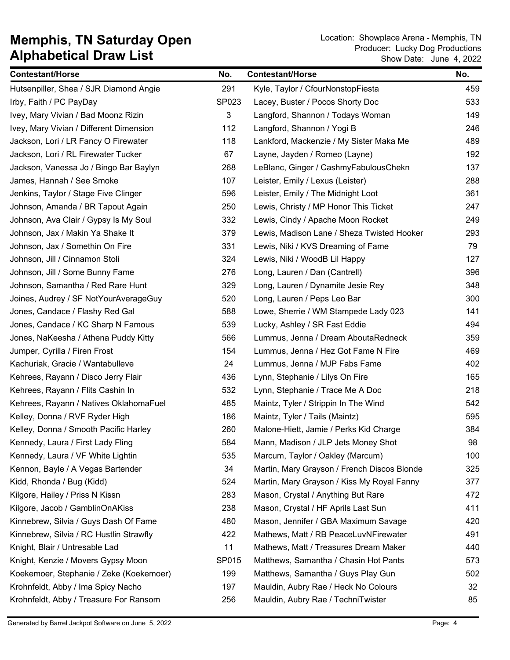| <b>Contestant/Horse</b>                 | No.   | <b>Contestant/Horse</b>                     | No. |
|-----------------------------------------|-------|---------------------------------------------|-----|
| Hutsenpiller, Shea / SJR Diamond Angie  | 291   | Kyle, Taylor / CfourNonstopFiesta           | 459 |
| Irby, Faith / PC PayDay                 | SP023 | Lacey, Buster / Pocos Shorty Doc            | 533 |
| Ivey, Mary Vivian / Bad Moonz Rizin     | 3     | Langford, Shannon / Todays Woman            | 149 |
| Ivey, Mary Vivian / Different Dimension | 112   | Langford, Shannon / Yogi B                  | 246 |
| Jackson, Lori / LR Fancy O Firewater    | 118   | Lankford, Mackenzie / My Sister Maka Me     | 489 |
| Jackson, Lori / RL Firewater Tucker     | 67    | Layne, Jayden / Romeo (Layne)               | 192 |
| Jackson, Vanessa Jo / Bingo Bar Baylyn  | 268   | LeBlanc, Ginger / CashmyFabulousChekn       | 137 |
| James, Hannah / See Smoke               | 107   | Leister, Emily / Lexus (Leister)            | 288 |
| Jenkins, Taylor / Stage Five Clinger    | 596   | Leister, Emily / The Midnight Loot          | 361 |
| Johnson, Amanda / BR Tapout Again       | 250   | Lewis, Christy / MP Honor This Ticket       | 247 |
| Johnson, Ava Clair / Gypsy Is My Soul   | 332   | Lewis, Cindy / Apache Moon Rocket           | 249 |
| Johnson, Jax / Makin Ya Shake It        | 379   | Lewis, Madison Lane / Sheza Twisted Hooker  | 293 |
| Johnson, Jax / Somethin On Fire         | 331   | Lewis, Niki / KVS Dreaming of Fame          | 79  |
| Johnson, Jill / Cinnamon Stoli          | 324   | Lewis, Niki / WoodB Lil Happy               | 127 |
| Johnson, Jill / Some Bunny Fame         | 276   | Long, Lauren / Dan (Cantrell)               | 396 |
| Johnson, Samantha / Red Rare Hunt       | 329   | Long, Lauren / Dynamite Jesie Rey           | 348 |
| Joines, Audrey / SF NotYourAverageGuy   | 520   | Long, Lauren / Peps Leo Bar                 | 300 |
| Jones, Candace / Flashy Red Gal         | 588   | Lowe, Sherrie / WM Stampede Lady 023        | 141 |
| Jones, Candace / KC Sharp N Famous      | 539   | Lucky, Ashley / SR Fast Eddie               | 494 |
| Jones, NaKeesha / Athena Puddy Kitty    | 566   | Lummus, Jenna / Dream AboutaRedneck         | 359 |
| Jumper, Cyrilla / Firen Frost           | 154   | Lummus, Jenna / Hez Got Fame N Fire         | 469 |
| Kachuriak, Gracie / Wantabulleve        | 24    | Lummus, Jenna / MJP Fabs Fame               | 402 |
| Kehrees, Rayann / Disco Jerry Flair     | 436   | Lynn, Stephanie / Lilys On Fire             | 165 |
| Kehrees, Rayann / Flits Cashin In       | 532   | Lynn, Stephanie / Trace Me A Doc            | 218 |
| Kehrees, Rayann / Natives OklahomaFuel  | 485   | Maintz, Tyler / Strippin In The Wind        | 542 |
| Kelley, Donna / RVF Ryder High          | 186   | Maintz, Tyler / Tails (Maintz)              | 595 |
| Kelley, Donna / Smooth Pacific Harley   | 260   | Malone-Hiett, Jamie / Perks Kid Charge      | 384 |
| Kennedy, Laura / First Lady Fling       | 584   | Mann, Madison / JLP Jets Money Shot         | 98  |
| Kennedy, Laura / VF White Lightin       | 535   | Marcum, Taylor / Oakley (Marcum)            | 100 |
| Kennon, Bayle / A Vegas Bartender       | 34    | Martin, Mary Grayson / French Discos Blonde | 325 |
| Kidd, Rhonda / Bug (Kidd)               | 524   | Martin, Mary Grayson / Kiss My Royal Fanny  | 377 |
| Kilgore, Hailey / Priss N Kissn         | 283   | Mason, Crystal / Anything But Rare          | 472 |
| Kilgore, Jacob / GamblinOnAKiss         | 238   | Mason, Crystal / HF Aprils Last Sun         | 411 |
| Kinnebrew, Silvia / Guys Dash Of Fame   | 480   | Mason, Jennifer / GBA Maximum Savage        | 420 |
| Kinnebrew, Silvia / RC Hustlin Strawfly | 422   | Mathews, Matt / RB PeaceLuvNFirewater       | 491 |
| Knight, Blair / Untresable Lad          | 11    | Mathews, Matt / Treasures Dream Maker       | 440 |
| Knight, Kenzie / Movers Gypsy Moon      | SP015 | Matthews, Samantha / Chasin Hot Pants       | 573 |
| Koekemoer, Stephanie / Zeke (Koekemoer) | 199   | Matthews, Samantha / Guys Play Gun          | 502 |
| Krohnfeldt, Abby / Ima Spicy Nacho      | 197   | Mauldin, Aubry Rae / Heck No Colours        | 32  |
| Krohnfeldt, Abby / Treasure For Ransom  | 256   | Mauldin, Aubry Rae / TechniTwister          | 85  |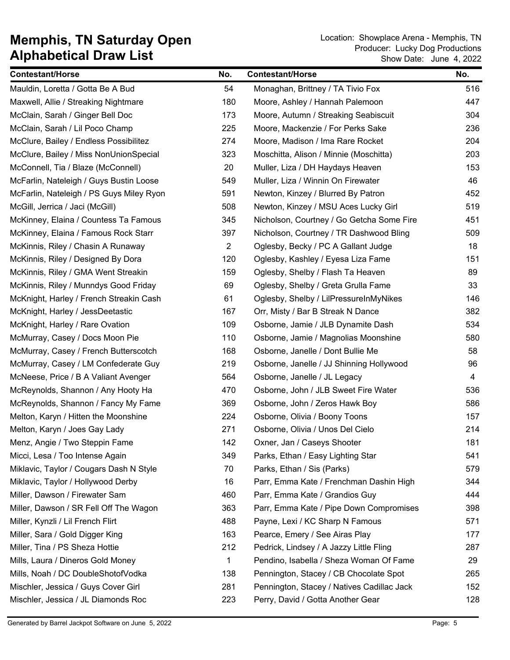| <b>Contestant/Horse</b>                  | No.            | <b>Contestant/Horse</b>                    | No. |
|------------------------------------------|----------------|--------------------------------------------|-----|
| Mauldin, Loretta / Gotta Be A Bud        | 54             | Monaghan, Brittney / TA Tivio Fox          | 516 |
| Maxwell, Allie / Streaking Nightmare     | 180            | Moore, Ashley / Hannah Palemoon            | 447 |
| McClain, Sarah / Ginger Bell Doc         | 173            | Moore, Autumn / Streaking Seabiscuit       | 304 |
| McClain, Sarah / Lil Poco Champ          | 225            | Moore, Mackenzie / For Perks Sake          | 236 |
| McClure, Bailey / Endless Possibilitez   | 274            | Moore, Madison / Ima Rare Rocket           | 204 |
| McClure, Bailey / Miss NonUnionSpecial   | 323            | Moschitta, Alison / Minnie (Moschitta)     | 203 |
| McConnell, Tia / Blaze (McConnell)       | 20             | Muller, Liza / DH Haydays Heaven           | 153 |
| McFarlin, Nateleigh / Guys Bustin Loose  | 549            | Muller, Liza / Winnin On Firewater         | 46  |
| McFarlin, Nateleigh / PS Guys Miley Ryon | 591            | Newton, Kinzey / Blurred By Patron         | 452 |
| McGill, Jerrica / Jaci (McGill)          | 508            | Newton, Kinzey / MSU Aces Lucky Girl       | 519 |
| McKinney, Elaina / Countess Ta Famous    | 345            | Nicholson, Courtney / Go Getcha Some Fire  | 451 |
| McKinney, Elaina / Famous Rock Starr     | 397            | Nicholson, Courtney / TR Dashwood Bling    | 509 |
| McKinnis, Riley / Chasin A Runaway       | $\overline{2}$ | Oglesby, Becky / PC A Gallant Judge        | 18  |
| McKinnis, Riley / Designed By Dora       | 120            | Oglesby, Kashley / Eyesa Liza Fame         | 151 |
| McKinnis, Riley / GMA Went Streakin      | 159            | Oglesby, Shelby / Flash Ta Heaven          | 89  |
| McKinnis, Riley / Munndys Good Friday    | 69             | Oglesby, Shelby / Greta Grulla Fame        | 33  |
| McKnight, Harley / French Streakin Cash  | 61             | Oglesby, Shelby / LilPressureInMyNikes     | 146 |
| McKnight, Harley / JessDeetastic         | 167            | Orr, Misty / Bar B Streak N Dance          | 382 |
| McKnight, Harley / Rare Ovation          | 109            | Osborne, Jamie / JLB Dynamite Dash         | 534 |
| McMurray, Casey / Docs Moon Pie          | 110            | Osborne, Jamie / Magnolias Moonshine       | 580 |
| McMurray, Casey / French Butterscotch    | 168            | Osborne, Janelle / Dont Bullie Me          | 58  |
| McMurray, Casey / LM Confederate Guy     | 219            | Osborne, Janelle / JJ Shinning Hollywood   | 96  |
| McNeese, Price / B A Valiant Avenger     | 564            | Osborne, Janelle / JL Legacy               | 4   |
| McReynolds, Shannon / Any Hooty Ha       | 470            | Osborne, John / JLB Sweet Fire Water       | 536 |
| McReynolds, Shannon / Fancy My Fame      | 369            | Osborne, John / Zeros Hawk Boy             | 586 |
| Melton, Karyn / Hitten the Moonshine     | 224            | Osborne, Olivia / Boony Toons              | 157 |
| Melton, Karyn / Joes Gay Lady            | 271            | Osborne, Olivia / Unos Del Cielo           | 214 |
| Menz, Angie / Two Steppin Fame           | 142            | Oxner, Jan / Caseys Shooter                | 181 |
| Micci, Lesa / Too Intense Again          | 349            | Parks, Ethan / Easy Lighting Star          | 541 |
| Miklavic, Taylor / Cougars Dash N Style  | 70             | Parks, Ethan / Sis (Parks)                 | 579 |
| Miklavic, Taylor / Hollywood Derby       | 16             | Parr, Emma Kate / Frenchman Dashin High    | 344 |
| Miller, Dawson / Firewater Sam           | 460            | Parr, Emma Kate / Grandios Guy             | 444 |
| Miller, Dawson / SR Fell Off The Wagon   | 363            | Parr, Emma Kate / Pipe Down Compromises    | 398 |
| Miller, Kynzli / Lil French Flirt        | 488            | Payne, Lexi / KC Sharp N Famous            | 571 |
| Miller, Sara / Gold Digger King          | 163            | Pearce, Emery / See Airas Play             | 177 |
| Miller, Tina / PS Sheza Hottie           | 212            | Pedrick, Lindsey / A Jazzy Little Fling    | 287 |
| Mills, Laura / Dineros Gold Money        | $\mathbf{1}$   | Pendino, Isabella / Sheza Woman Of Fame    | 29  |
| Mills, Noah / DC DoubleShotofVodka       | 138            | Pennington, Stacey / CB Chocolate Spot     | 265 |
| Mischler, Jessica / Guys Cover Girl      | 281            | Pennington, Stacey / Natives Cadillac Jack | 152 |
| Mischler, Jessica / JL Diamonds Roc      | 223            | Perry, David / Gotta Another Gear          | 128 |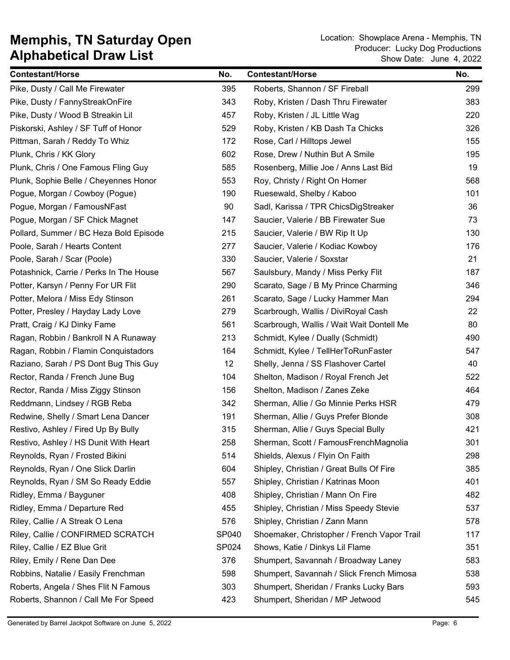| <b>Contestant/Horse</b>                 | No.   | <b>Contestant/Horse</b>                     | No. |
|-----------------------------------------|-------|---------------------------------------------|-----|
| Pike, Dusty / Call Me Firewater         | 395   | Roberts, Shannon / SF Fireball              | 299 |
| Pike, Dusty / FannyStreakOnFire         | 343   | Roby, Kristen / Dash Thru Firewater         | 383 |
| Pike, Dusty / Wood B Streakin Lil       | 457   | Roby, Kristen / JL Little Wag               | 220 |
| Piskorski, Ashley / SF Tuff of Honor    | 529   | Roby, Kristen / KB Dash Ta Chicks           | 326 |
| Pittman, Sarah / Reddy To Whiz          | 172   | Rose, Carl / Hilltops Jewel                 | 155 |
| Plunk, Chris / KK Glory                 | 602   | Rose, Drew / Nuthin But A Smile             | 195 |
| Plunk, Chris / One Famous Fling Guy     | 585   | Rosenberg, Millie Joe / Anns Last Bid       | 19  |
| Plunk, Sophie Belle / Cheyennes Honor   | 553   | Roy, Christy / Right On Homer               | 568 |
| Pogue, Morgan / Cowboy (Pogue)          | 190   | Ruesewald, Shelby / Kaboo                   | 101 |
| Pogue, Morgan / FamousNFast             | 90    | Sadl, Karissa / TPR ChicsDigStreaker        | 36  |
| Pogue, Morgan / SF Chick Magnet         | 147   | Saucier, Valerie / BB Firewater Sue         | 73  |
| Pollard, Summer / BC Heza Bold Episode  | 215   | Saucier, Valerie / BW Rip It Up             | 130 |
| Poole, Sarah / Hearts Content           | 277   | Saucier, Valerie / Kodiac Kowboy            | 176 |
| Poole, Sarah / Scar (Poole)             | 330   | Saucier, Valerie / Soxstar                  | 21  |
| Potashnick, Carrie / Perks In The House | 567   | Saulsbury, Mandy / Miss Perky Flit          | 187 |
| Potter, Karsyn / Penny For UR Flit      | 290   | Scarato, Sage / B My Prince Charming        | 346 |
| Potter, Melora / Miss Edy Stinson       | 261   | Scarato, Sage / Lucky Hammer Man            | 294 |
| Potter, Presley / Hayday Lady Love      | 279   | Scarbrough, Wallis / DiviRoyal Cash         | 22  |
| Pratt, Craig / KJ Dinky Fame            | 561   | Scarbrough, Wallis / Wait Wait Dontell Me   | 80  |
| Ragan, Robbin / Bankroll N A Runaway    | 213   | Schmidt, Kylee / Dually (Schmidt)           | 490 |
| Ragan, Robbin / Flamin Conquistadors    | 164   | Schmidt, Kylee / TellHerToRunFaster         | 547 |
| Raziano, Sarah / PS Dont Bug This Guy   | 12    | Shelly, Jenna / SS Flashover Cartel         | 40  |
| Rector, Randa / French June Bug         | 104   | Shelton, Madison / Royal French Jet         | 522 |
| Rector, Randa / Miss Ziggy Stinson      | 156   | Shelton, Madison / Zanes Zeke               | 464 |
| Reddmann, Lindsey / RGB Reba            | 342   | Sherman, Allie / Go Minnie Perks HSR        | 479 |
| Redwine, Shelly / Smart Lena Dancer     | 191   | Sherman, Allie / Guys Prefer Blonde         | 308 |
| Restivo, Ashley / Fired Up By Bully     | 315   | Sherman, Allie / Guys Special Bully         | 421 |
| Restivo, Ashley / HS Dunit With Heart   | 258   | Sherman, Scott / FamousFrenchMagnolia       | 301 |
| Reynolds, Ryan / Frosted Bikini         | 514   | Shields, Alexus / Flyin On Faith            | 298 |
| Reynolds, Ryan / One Slick Darlin       | 604   | Shipley, Christian / Great Bulls Of Fire    | 385 |
| Reynolds, Ryan / SM So Ready Eddie      | 557   | Shipley, Christian / Katrinas Moon          | 401 |
| Ridley, Emma / Bayguner                 | 408   | Shipley, Christian / Mann On Fire           | 482 |
| Ridley, Emma / Departure Red            | 455   | Shipley, Christian / Miss Speedy Stevie     | 537 |
| Riley, Callie / A Streak O Lena         | 576   | Shipley, Christian / Zann Mann              | 578 |
| Riley, Callie / CONFIRMED SCRATCH       | SP040 | Shoemaker, Christopher / French Vapor Trail | 117 |
| Riley, Callie / EZ Blue Grit            | SP024 | Shows, Katie / Dinkys Lil Flame             | 351 |
| Riley, Emily / Rene Dan Dee             | 376   | Shumpert, Savannah / Broadway Laney         | 583 |
| Robbins, Natalie / Easily Frenchman     | 598   | Shumpert, Savannah / Slick French Mimosa    | 538 |
| Roberts, Angela / Shes Flit N Famous    | 303   | Shumpert, Sheridan / Franks Lucky Bars      | 593 |
| Roberts, Shannon / Call Me For Speed    | 423   | Shumpert, Sheridan / MP Jetwood             | 545 |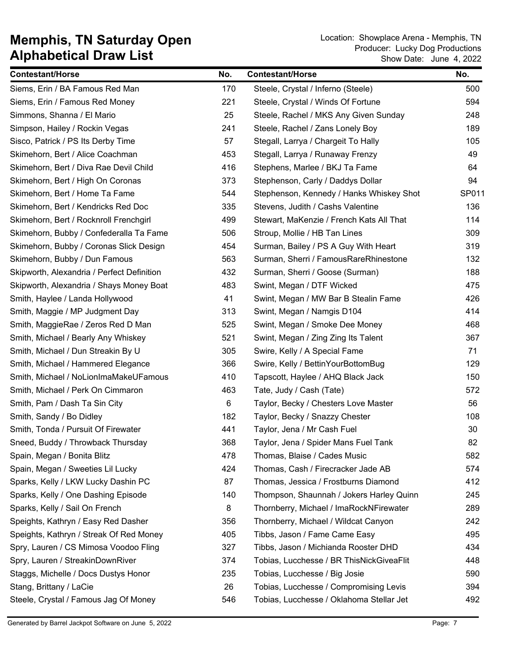| <b>Contestant/Horse</b>                    | No. | <b>Contestant/Horse</b>                  | No.   |
|--------------------------------------------|-----|------------------------------------------|-------|
| Siems, Erin / BA Famous Red Man            | 170 | Steele, Crystal / Inferno (Steele)       | 500   |
| Siems, Erin / Famous Red Money             | 221 | Steele, Crystal / Winds Of Fortune       | 594   |
| Simmons, Shanna / El Mario                 | 25  | Steele, Rachel / MKS Any Given Sunday    | 248   |
| Simpson, Hailey / Rockin Vegas             | 241 | Steele, Rachel / Zans Lonely Boy         | 189   |
| Sisco, Patrick / PS Its Derby Time         | 57  | Stegall, Larrya / Chargeit To Hally      | 105   |
| Skimehorn, Bert / Alice Coachman           | 453 | Stegall, Larrya / Runaway Frenzy         | 49    |
| Skimehorn, Bert / Diva Rae Devil Child     | 416 | Stephens, Marlee / BKJ Ta Fame           | 64    |
| Skimehorn, Bert / High On Coronas          | 373 | Stephenson, Carly / Daddys Dollar        | 94    |
| Skimehorn, Bert / Home Ta Fame             | 544 | Stephenson, Kennedy / Hanks Whiskey Shot | SP011 |
| Skimehorn, Bert / Kendricks Red Doc        | 335 | Stevens, Judith / Cashs Valentine        | 136   |
| Skimehorn, Bert / Rocknroll Frenchgirl     | 499 | Stewart, MaKenzie / French Kats All That | 114   |
| Skimehorn, Bubby / Confederalla Ta Fame    | 506 | Stroup, Mollie / HB Tan Lines            | 309   |
| Skimehorn, Bubby / Coronas Slick Design    | 454 | Surman, Bailey / PS A Guy With Heart     | 319   |
| Skimehorn, Bubby / Dun Famous              | 563 | Surman, Sherri / FamousRareRhinestone    | 132   |
| Skipworth, Alexandria / Perfect Definition | 432 | Surman, Sherri / Goose (Surman)          | 188   |
| Skipworth, Alexandria / Shays Money Boat   | 483 | Swint, Megan / DTF Wicked                | 475   |
| Smith, Haylee / Landa Hollywood            | 41  | Swint, Megan / MW Bar B Stealin Fame     | 426   |
| Smith, Maggie / MP Judgment Day            | 313 | Swint, Megan / Namgis D104               | 414   |
| Smith, MaggieRae / Zeros Red D Man         | 525 | Swint, Megan / Smoke Dee Money           | 468   |
| Smith, Michael / Bearly Any Whiskey        | 521 | Swint, Megan / Zing Zing Its Talent      | 367   |
| Smith, Michael / Dun Streakin By U         | 305 | Swire, Kelly / A Special Fame            | 71    |
| Smith, Michael / Hammered Elegance         | 366 | Swire, Kelly / BettinYourBottomBug       | 129   |
| Smith, Michael / NoLionImaMakeUFamous      | 410 | Tapscott, Haylee / AHQ Black Jack        | 150   |
| Smith, Michael / Perk On Cimmaron          | 463 | Tate, Judy / Cash (Tate)                 | 572   |
| Smith, Pam / Dash Ta Sin City              | 6   | Taylor, Becky / Chesters Love Master     | 56    |
| Smith, Sandy / Bo Didley                   | 182 | Taylor, Becky / Snazzy Chester           | 108   |
| Smith, Tonda / Pursuit Of Firewater        | 441 | Taylor, Jena / Mr Cash Fuel              | 30    |
| Sneed, Buddy / Throwback Thursday          | 368 | Taylor, Jena / Spider Mans Fuel Tank     | 82    |
| Spain, Megan / Bonita Blitz                | 478 | Thomas, Blaise / Cades Music             | 582   |
| Spain, Megan / Sweeties Lil Lucky          | 424 | Thomas, Cash / Firecracker Jade AB       | 574   |
| Sparks, Kelly / LKW Lucky Dashin PC        | 87  | Thomas, Jessica / Frostburns Diamond     | 412   |
| Sparks, Kelly / One Dashing Episode        | 140 | Thompson, Shaunnah / Jokers Harley Quinn | 245   |
| Sparks, Kelly / Sail On French             | 8   | Thornberry, Michael / ImaRockNFirewater  | 289   |
| Speights, Kathryn / Easy Red Dasher        | 356 | Thornberry, Michael / Wildcat Canyon     | 242   |
| Speights, Kathryn / Streak Of Red Money    | 405 | Tibbs, Jason / Fame Came Easy            | 495   |
| Spry, Lauren / CS Mimosa Voodoo Fling      | 327 | Tibbs, Jason / Michianda Rooster DHD     | 434   |
| Spry, Lauren / StreakinDownRiver           | 374 | Tobias, Lucchesse / BR ThisNickGiveaFlit | 448   |
| Staggs, Michelle / Docs Dustys Honor       | 235 | Tobias, Lucchesse / Big Josie            | 590   |
| Stang, Brittany / LaCie                    | 26  | Tobias, Lucchesse / Compromising Levis   | 394   |
| Steele, Crystal / Famous Jag Of Money      | 546 | Tobias, Lucchesse / Oklahoma Stellar Jet | 492   |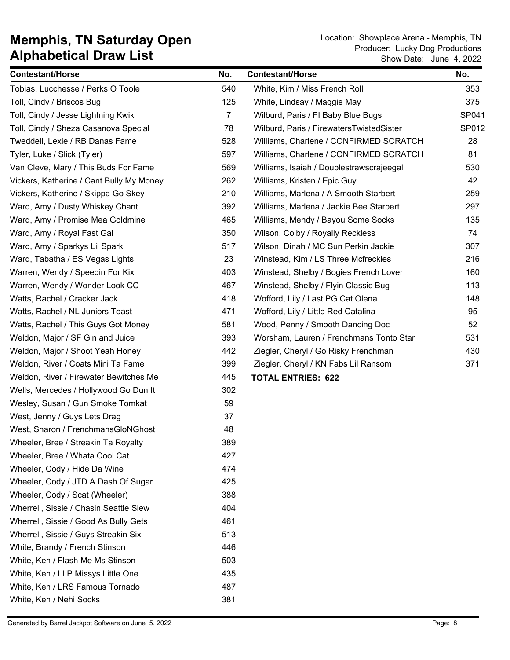| <b>Contestant/Horse</b>                  | No.            | <b>Contestant/Horse</b>                  | No.   |
|------------------------------------------|----------------|------------------------------------------|-------|
| Tobias, Lucchesse / Perks O Toole        | 540            | White, Kim / Miss French Roll            | 353   |
| Toll, Cindy / Briscos Bug                | 125            | White, Lindsay / Maggie May              | 375   |
| Toll, Cindy / Jesse Lightning Kwik       | $\overline{7}$ | Wilburd, Paris / FI Baby Blue Bugs       | SP041 |
| Toll, Cindy / Sheza Casanova Special     | 78             | Wilburd, Paris / FirewatersTwistedSister | SP012 |
| Tweddell, Lexie / RB Danas Fame          | 528            | Williams, Charlene / CONFIRMED SCRATCH   | 28    |
| Tyler, Luke / Slick (Tyler)              | 597            | Williams, Charlene / CONFIRMED SCRATCH   | 81    |
| Van Cleve, Mary / This Buds For Fame     | 569            | Williams, Isaiah / Doublestrawscrajeegal | 530   |
| Vickers, Katherine / Cant Bully My Money | 262            | Williams, Kristen / Epic Guy             | 42    |
| Vickers, Katherine / Skippa Go Skey      | 210            | Williams, Marlena / A Smooth Starbert    | 259   |
| Ward, Amy / Dusty Whiskey Chant          | 392            | Williams, Marlena / Jackie Bee Starbert  | 297   |
| Ward, Amy / Promise Mea Goldmine         | 465            | Williams, Mendy / Bayou Some Socks       | 135   |
| Ward, Amy / Royal Fast Gal               | 350            | Wilson, Colby / Royally Reckless         | 74    |
| Ward, Amy / Sparkys Lil Spark            | 517            | Wilson, Dinah / MC Sun Perkin Jackie     | 307   |
| Ward, Tabatha / ES Vegas Lights          | 23             | Winstead, Kim / LS Three Mcfreckles      | 216   |
| Warren, Wendy / Speedin For Kix          | 403            | Winstead, Shelby / Bogies French Lover   | 160   |
| Warren, Wendy / Wonder Look CC           | 467            | Winstead, Shelby / Flyin Classic Bug     | 113   |
| Watts, Rachel / Cracker Jack             | 418            | Wofford, Lily / Last PG Cat Olena        | 148   |
| Watts, Rachel / NL Juniors Toast         | 471            | Wofford, Lily / Little Red Catalina      | 95    |
| Watts, Rachel / This Guys Got Money      | 581            | Wood, Penny / Smooth Dancing Doc         | 52    |
| Weldon, Major / SF Gin and Juice         | 393            | Worsham, Lauren / Frenchmans Tonto Star  | 531   |
| Weldon, Major / Shoot Yeah Honey         | 442            | Ziegler, Cheryl / Go Risky Frenchman     | 430   |
| Weldon, River / Coats Mini Ta Fame       | 399            | Ziegler, Cheryl / KN Fabs Lil Ransom     | 371   |
| Weldon, River / Firewater Bewitches Me   | 445            | <b>TOTAL ENTRIES: 622</b>                |       |
| Wells, Mercedes / Hollywood Go Dun It    | 302            |                                          |       |
| Wesley, Susan / Gun Smoke Tomkat         | 59             |                                          |       |
| West, Jenny / Guys Lets Drag             | 37             |                                          |       |
| West, Sharon / FrenchmansGloNGhost       | 48             |                                          |       |
| Wheeler, Bree / Streakin Ta Royalty      | 389            |                                          |       |
| Wheeler, Bree / Whata Cool Cat           | 427            |                                          |       |
| Wheeler, Cody / Hide Da Wine             | 474            |                                          |       |
| Wheeler, Cody / JTD A Dash Of Sugar      | 425            |                                          |       |
| Wheeler, Cody / Scat (Wheeler)           | 388            |                                          |       |
| Wherrell, Sissie / Chasin Seattle Slew   | 404            |                                          |       |
| Wherrell, Sissie / Good As Bully Gets    | 461            |                                          |       |
| Wherrell, Sissie / Guys Streakin Six     | 513            |                                          |       |
| White, Brandy / French Stinson           | 446            |                                          |       |
| White, Ken / Flash Me Ms Stinson         | 503            |                                          |       |
| White, Ken / LLP Missys Little One       | 435            |                                          |       |
| White, Ken / LRS Famous Tornado          | 487            |                                          |       |
| White, Ken / Nehi Socks                  | 381            |                                          |       |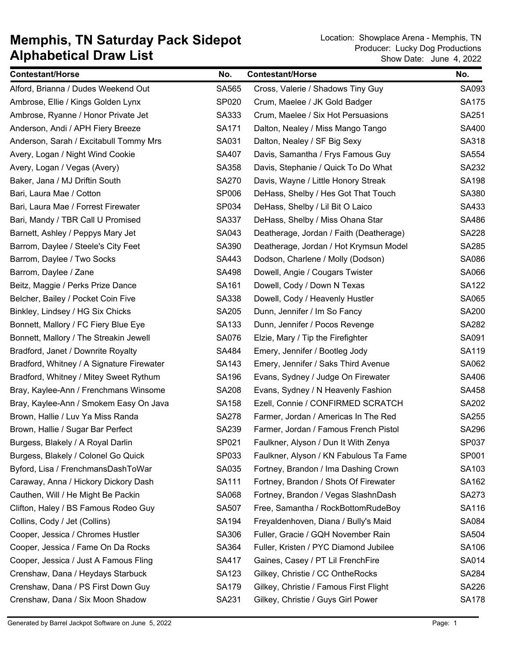| <b>Contestant/Horse</b>                   | No.          | <b>Contestant/Horse</b>                 | No.          |
|-------------------------------------------|--------------|-----------------------------------------|--------------|
| Alford, Brianna / Dudes Weekend Out       | SA565        | Cross, Valerie / Shadows Tiny Guy       | SA093        |
| Ambrose, Ellie / Kings Golden Lynx        | SP020        | Crum, Maelee / JK Gold Badger           | <b>SA175</b> |
| Ambrose, Ryanne / Honor Private Jet       | SA333        | Crum, Maelee / Six Hot Persuasions      | SA251        |
| Anderson, Andi / APH Fiery Breeze         | SA171        | Dalton, Nealey / Miss Mango Tango       | SA400        |
| Anderson, Sarah / Excitabull Tommy Mrs    | SA031        | Dalton, Nealey / SF Big Sexy            | SA318        |
| Avery, Logan / Night Wind Cookie          | SA407        | Davis, Samantha / Frys Famous Guy       | SA554        |
| Avery, Logan / Vegas (Avery)              | SA358        | Davis, Stephanie / Quick To Do What     | SA232        |
| Baker, Jana / MJ Driftin South            | <b>SA270</b> | Davis, Wayne / Little Honory Streak     | <b>SA198</b> |
| Bari, Laura Mae / Cotton                  | SP006        | DeHass, Shelby / Hes Got That Touch     | SA380        |
| Bari, Laura Mae / Forrest Firewater       | SP034        | DeHass, Shelby / Lil Bit O Laico        | SA433        |
| Bari, Mandy / TBR Call U Promised         | SA337        | DeHass, Shelby / Miss Ohana Star        | SA486        |
| Barnett, Ashley / Peppys Mary Jet         | SA043        | Deatherage, Jordan / Faith (Deatherage) | <b>SA228</b> |
| Barrom, Daylee / Steele's City Feet       | SA390        | Deatherage, Jordan / Hot Krymsun Model  | SA285        |
| Barrom, Daylee / Two Socks                | SA443        | Dodson, Charlene / Molly (Dodson)       | SA086        |
| Barrom, Daylee / Zane                     | SA498        | Dowell, Angie / Cougars Twister         | SA066        |
| Beitz, Maggie / Perks Prize Dance         | SA161        | Dowell, Cody / Down N Texas             | <b>SA122</b> |
| Belcher, Bailey / Pocket Coin Five        | SA338        | Dowell, Cody / Heavenly Hustler         | SA065        |
| Binkley, Lindsey / HG Six Chicks          | <b>SA205</b> | Dunn, Jennifer / Im So Fancy            | <b>SA200</b> |
| Bonnett, Mallory / FC Fiery Blue Eye      | SA133        | Dunn, Jennifer / Pocos Revenge          | SA282        |
| Bonnett, Mallory / The Streakin Jewell    | <b>SA076</b> | Elzie, Mary / Tip the Firefighter       | SA091        |
| Bradford, Janet / Downrite Royalty        | SA484        | Emery, Jennifer / Bootleg Jody          | SA119        |
| Bradford, Whitney / A Signature Firewater | SA143        | Emery, Jennifer / Saks Third Avenue     | SA062        |
| Bradford, Whitney / Mitey Sweet Rythum    | SA196        | Evans, Sydney / Judge On Firewater      | SA406        |
| Bray, Kaylee-Ann / Frenchmans Winsome     | <b>SA208</b> | Evans, Sydney / N Heavenly Fashion      | SA458        |
| Bray, Kaylee-Ann / Smokem Easy On Java    | SA158        | Ezell, Connie / CONFIRMED SCRATCH       | SA202        |
| Brown, Hallie / Luv Ya Miss Randa         | <b>SA278</b> | Farmer, Jordan / Americas In The Red    | SA255        |
| Brown, Hallie / Sugar Bar Perfect         | SA239        | Farmer, Jordan / Famous French Pistol   | <b>SA296</b> |
| Burgess, Blakely / A Royal Darlin         | SP021        | Faulkner, Alyson / Dun It With Zenya    | SP037        |
| Burgess, Blakely / Colonel Go Quick       | SP033        | Faulkner, Alyson / KN Fabulous Ta Fame  | SP001        |
| Byford, Lisa / FrenchmansDashToWar        | SA035        | Fortney, Brandon / Ima Dashing Crown    | SA103        |
| Caraway, Anna / Hickory Dickory Dash      | SA111        | Fortney, Brandon / Shots Of Firewater   | SA162        |
| Cauthen, Will / He Might Be Packin        | SA068        | Fortney, Brandon / Vegas SlashnDash     | SA273        |
| Clifton, Haley / BS Famous Rodeo Guy      | <b>SA507</b> | Free, Samantha / RockBottomRudeBoy      | SA116        |
| Collins, Cody / Jet (Collins)             | SA194        | Freyaldenhoven, Diana / Bully's Maid    | SA084        |
| Cooper, Jessica / Chromes Hustler         | SA306        | Fuller, Gracie / GQH November Rain      | <b>SA504</b> |
| Cooper, Jessica / Fame On Da Rocks        | SA364        | Fuller, Kristen / PYC Diamond Jubilee   | SA106        |
| Cooper, Jessica / Just A Famous Fling     | SA417        | Gaines, Casey / PT Lil FrenchFire       | SA014        |
| Crenshaw, Dana / Heydays Starbuck         | SA123        | Gilkey, Christie / CC OntheRocks        | SA284        |
| Crenshaw, Dana / PS First Down Guy        | <b>SA179</b> | Gilkey, Christie / Famous First Flight  | SA226        |
| Crenshaw, Dana / Six Moon Shadow          | SA231        | Gilkey, Christie / Guys Girl Power      | <b>SA178</b> |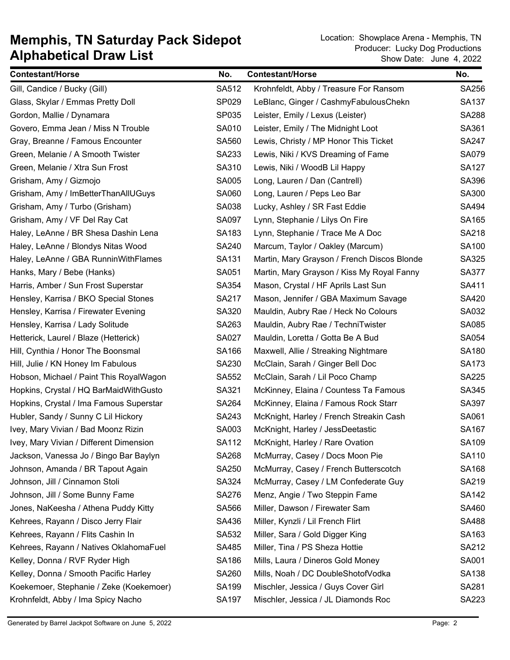| <b>Contestant/Horse</b>                 | No.          | <b>Contestant/Horse</b>                     | No.          |
|-----------------------------------------|--------------|---------------------------------------------|--------------|
| Gill, Candice / Bucky (Gill)            | SA512        | Krohnfeldt, Abby / Treasure For Ransom      | SA256        |
| Glass, Skylar / Emmas Pretty Doll       | SP029        | LeBlanc, Ginger / CashmyFabulousChekn       | <b>SA137</b> |
| Gordon, Mallie / Dynamara               | SP035        | Leister, Emily / Lexus (Leister)            | <b>SA288</b> |
| Govero, Emma Jean / Miss N Trouble      | SA010        | Leister, Emily / The Midnight Loot          | SA361        |
| Gray, Breanne / Famous Encounter        | SA560        | Lewis, Christy / MP Honor This Ticket       | <b>SA247</b> |
| Green, Melanie / A Smooth Twister       | SA233        | Lewis, Niki / KVS Dreaming of Fame          | <b>SA079</b> |
| Green, Melanie / Xtra Sun Frost         | SA310        | Lewis, Niki / WoodB Lil Happy               | <b>SA127</b> |
| Grisham, Amy / Gizmojo                  | SA005        | Long, Lauren / Dan (Cantrell)               | SA396        |
| Grisham, Amy / ImBetterThanAllUGuys     | SA060        | Long, Lauren / Peps Leo Bar                 | SA300        |
| Grisham, Amy / Turbo (Grisham)          | SA038        | Lucky, Ashley / SR Fast Eddie               | SA494        |
| Grisham, Amy / VF Del Ray Cat           | SA097        | Lynn, Stephanie / Lilys On Fire             | SA165        |
| Haley, LeAnne / BR Shesa Dashin Lena    | SA183        | Lynn, Stephanie / Trace Me A Doc            | SA218        |
| Haley, LeAnne / Blondys Nitas Wood      | SA240        | Marcum, Taylor / Oakley (Marcum)            | <b>SA100</b> |
| Haley, LeAnne / GBA RunninWithFlames    | SA131        | Martin, Mary Grayson / French Discos Blonde | SA325        |
| Hanks, Mary / Bebe (Hanks)              | SA051        | Martin, Mary Grayson / Kiss My Royal Fanny  | SA377        |
| Harris, Amber / Sun Frost Superstar     | SA354        | Mason, Crystal / HF Aprils Last Sun         | SA411        |
| Hensley, Karrisa / BKO Special Stones   | SA217        | Mason, Jennifer / GBA Maximum Savage        | SA420        |
| Hensley, Karrisa / Firewater Evening    | SA320        | Mauldin, Aubry Rae / Heck No Colours        | SA032        |
| Hensley, Karrisa / Lady Solitude        | SA263        | Mauldin, Aubry Rae / TechniTwister          | SA085        |
| Hetterick, Laurel / Blaze (Hetterick)   | SA027        | Mauldin, Loretta / Gotta Be A Bud           | SA054        |
| Hill, Cynthia / Honor The Boonsmal      | SA166        | Maxwell, Allie / Streaking Nightmare        | SA180        |
| Hill, Julie / KN Honey Im Fabulous      | SA230        | McClain, Sarah / Ginger Bell Doc            | <b>SA173</b> |
| Hobson, Michael / Paint This RoyalWagon | SA552        | McClain, Sarah / Lil Poco Champ             | <b>SA225</b> |
| Hopkins, Crystal / HQ BarMaidWithGusto  | SA321        | McKinney, Elaina / Countess Ta Famous       | SA345        |
| Hopkins, Crystal / Ima Famous Superstar | SA264        | McKinney, Elaina / Famous Rock Starr        | SA397        |
| Hubler, Sandy / Sunny C Lil Hickory     | SA243        | McKnight, Harley / French Streakin Cash     | SA061        |
| Ivey, Mary Vivian / Bad Moonz Rizin     | SA003        | McKnight, Harley / JessDeetastic            | SA167        |
| Ivey, Mary Vivian / Different Dimension | SA112        | McKnight, Harley / Rare Ovation             | SA109        |
| Jackson, Vanessa Jo / Bingo Bar Baylyn  | <b>SA268</b> | McMurray, Casey / Docs Moon Pie             | SA110        |
| Johnson, Amanda / BR Tapout Again       | SA250        | McMurray, Casey / French Butterscotch       | SA168        |
| Johnson, Jill / Cinnamon Stoli          | SA324        | McMurray, Casey / LM Confederate Guy        | SA219        |
| Johnson, Jill / Some Bunny Fame         | SA276        | Menz, Angie / Two Steppin Fame              | SA142        |
| Jones, NaKeesha / Athena Puddy Kitty    | SA566        | Miller, Dawson / Firewater Sam              | SA460        |
| Kehrees, Rayann / Disco Jerry Flair     | SA436        | Miller, Kynzli / Lil French Flirt           | SA488        |
| Kehrees, Rayann / Flits Cashin In       | SA532        | Miller, Sara / Gold Digger King             | SA163        |
| Kehrees, Rayann / Natives OklahomaFuel  | SA485        | Miller, Tina / PS Sheza Hottie              | SA212        |
| Kelley, Donna / RVF Ryder High          | SA186        | Mills, Laura / Dineros Gold Money           | SA001        |
| Kelley, Donna / Smooth Pacific Harley   | SA260        | Mills, Noah / DC DoubleShotofVodka          | SA138        |
| Koekemoer, Stephanie / Zeke (Koekemoer) | SA199        | Mischler, Jessica / Guys Cover Girl         | SA281        |
| Krohnfeldt, Abby / Ima Spicy Nacho      | SA197        | Mischler, Jessica / JL Diamonds Roc         | SA223        |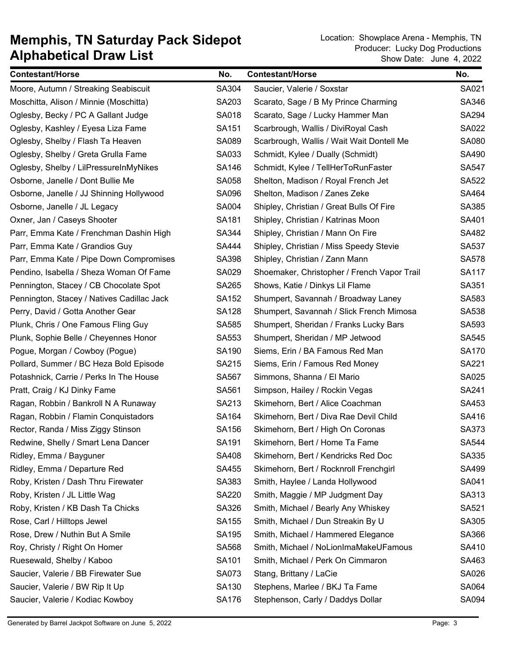| <b>Contestant/Horse</b>                    | No.          | <b>Contestant/Horse</b>                     | No.          |
|--------------------------------------------|--------------|---------------------------------------------|--------------|
| Moore, Autumn / Streaking Seabiscuit       | SA304        | Saucier, Valerie / Soxstar                  | SA021        |
| Moschitta, Alison / Minnie (Moschitta)     | SA203        | Scarato, Sage / B My Prince Charming        | SA346        |
| Oglesby, Becky / PC A Gallant Judge        | SA018        | Scarato, Sage / Lucky Hammer Man            | SA294        |
| Oglesby, Kashley / Eyesa Liza Fame         | SA151        | Scarbrough, Wallis / DiviRoyal Cash         | SA022        |
| Oglesby, Shelby / Flash Ta Heaven          | SA089        | Scarbrough, Wallis / Wait Wait Dontell Me   | SA080        |
| Oglesby, Shelby / Greta Grulla Fame        | SA033        | Schmidt, Kylee / Dually (Schmidt)           | SA490        |
| Oglesby, Shelby / LilPressureInMyNikes     | SA146        | Schmidt, Kylee / TellHerToRunFaster         | <b>SA547</b> |
| Osborne, Janelle / Dont Bullie Me          | SA058        | Shelton, Madison / Royal French Jet         | SA522        |
| Osborne, Janelle / JJ Shinning Hollywood   | SA096        | Shelton, Madison / Zanes Zeke               | SA464        |
| Osborne, Janelle / JL Legacy               | SA004        | Shipley, Christian / Great Bulls Of Fire    | SA385        |
| Oxner, Jan / Caseys Shooter                | SA181        | Shipley, Christian / Katrinas Moon          | SA401        |
| Parr, Emma Kate / Frenchman Dashin High    | SA344        | Shipley, Christian / Mann On Fire           | SA482        |
| Parr, Emma Kate / Grandios Guy             | SA444        | Shipley, Christian / Miss Speedy Stevie     | SA537        |
| Parr, Emma Kate / Pipe Down Compromises    | SA398        | Shipley, Christian / Zann Mann              | SA578        |
| Pendino, Isabella / Sheza Woman Of Fame    | SA029        | Shoemaker, Christopher / French Vapor Trail | <b>SA117</b> |
| Pennington, Stacey / CB Chocolate Spot     | SA265        | Shows, Katie / Dinkys Lil Flame             | SA351        |
| Pennington, Stacey / Natives Cadillac Jack | SA152        | Shumpert, Savannah / Broadway Laney         | SA583        |
| Perry, David / Gotta Another Gear          | <b>SA128</b> | Shumpert, Savannah / Slick French Mimosa    | SA538        |
| Plunk, Chris / One Famous Fling Guy        | SA585        | Shumpert, Sheridan / Franks Lucky Bars      | SA593        |
| Plunk, Sophie Belle / Cheyennes Honor      | SA553        | Shumpert, Sheridan / MP Jetwood             | SA545        |
| Pogue, Morgan / Cowboy (Pogue)             | SA190        | Siems, Erin / BA Famous Red Man             | <b>SA170</b> |
| Pollard, Summer / BC Heza Bold Episode     | SA215        | Siems, Erin / Famous Red Money              | SA221        |
| Potashnick, Carrie / Perks In The House    | SA567        | Simmons, Shanna / El Mario                  | SA025        |
| Pratt, Craig / KJ Dinky Fame               | SA561        | Simpson, Hailey / Rockin Vegas              | SA241        |
| Ragan, Robbin / Bankroll N A Runaway       | SA213        | Skimehorn, Bert / Alice Coachman            | SA453        |
| Ragan, Robbin / Flamin Conquistadors       | SA164        | Skimehorn, Bert / Diva Rae Devil Child      | SA416        |
| Rector, Randa / Miss Ziggy Stinson         | SA156        | Skimehorn, Bert / High On Coronas           | SA373        |
| Redwine, Shelly / Smart Lena Dancer        | SA191        | Skimehorn, Bert / Home Ta Fame              | SA544        |
| Ridley, Emma / Bayguner                    | SA408        | Skimehorn, Bert / Kendricks Red Doc         | SA335        |
| Ridley, Emma / Departure Red               | SA455        | Skimehorn, Bert / Rocknroll Frenchgirl      | SA499        |
| Roby, Kristen / Dash Thru Firewater        | SA383        | Smith, Haylee / Landa Hollywood             | SA041        |
| Roby, Kristen / JL Little Wag              | <b>SA220</b> | Smith, Maggie / MP Judgment Day             | SA313        |
| Roby, Kristen / KB Dash Ta Chicks          | SA326        | Smith, Michael / Bearly Any Whiskey         | SA521        |
| Rose, Carl / Hilltops Jewel                | SA155        | Smith, Michael / Dun Streakin By U          | SA305        |
| Rose, Drew / Nuthin But A Smile            | SA195        | Smith, Michael / Hammered Elegance          | SA366        |
| Roy, Christy / Right On Homer              | SA568        | Smith, Michael / NoLionImaMakeUFamous       | SA410        |
| Ruesewald, Shelby / Kaboo                  | SA101        | Smith, Michael / Perk On Cimmaron           | SA463        |
| Saucier, Valerie / BB Firewater Sue        | SA073        | Stang, Brittany / LaCie                     | SA026        |
| Saucier, Valerie / BW Rip It Up            | SA130        | Stephens, Marlee / BKJ Ta Fame              | SA064        |
| Saucier, Valerie / Kodiac Kowboy           | SA176        | Stephenson, Carly / Daddys Dollar           | SA094        |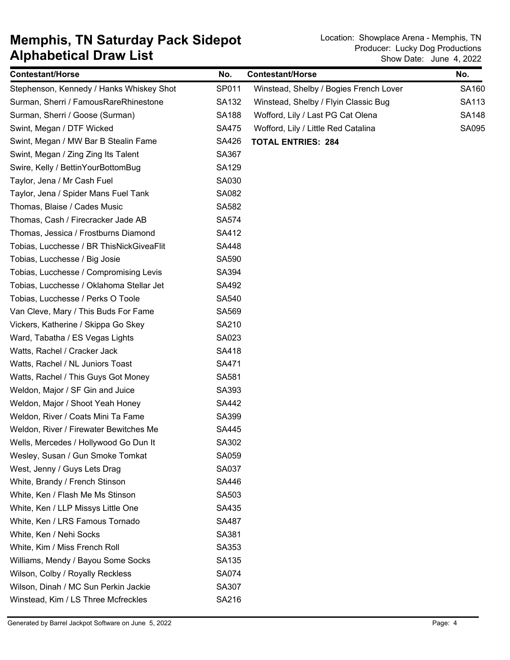| <b>Contestant/Horse</b>                  | No.          | <b>Contestant/Horse</b>                | No.          |
|------------------------------------------|--------------|----------------------------------------|--------------|
| Stephenson, Kennedy / Hanks Whiskey Shot | SP011        | Winstead, Shelby / Bogies French Lover | SA160        |
| Surman, Sherri / FamousRareRhinestone    | SA132        | Winstead, Shelby / Flyin Classic Bug   | SA113        |
| Surman, Sherri / Goose (Surman)          | <b>SA188</b> | Wofford, Lily / Last PG Cat Olena      | <b>SA148</b> |
| Swint, Megan / DTF Wicked                | <b>SA475</b> | Wofford, Lily / Little Red Catalina    | <b>SA095</b> |
| Swint, Megan / MW Bar B Stealin Fame     | SA426        | <b>TOTAL ENTRIES: 284</b>              |              |
| Swint, Megan / Zing Zing Its Talent      | SA367        |                                        |              |
| Swire, Kelly / BettinYourBottomBug       | <b>SA129</b> |                                        |              |
| Taylor, Jena / Mr Cash Fuel              | SA030        |                                        |              |
| Taylor, Jena / Spider Mans Fuel Tank     | SA082        |                                        |              |
| Thomas, Blaise / Cades Music             | SA582        |                                        |              |
| Thomas, Cash / Firecracker Jade AB       | <b>SA574</b> |                                        |              |
| Thomas, Jessica / Frostburns Diamond     | SA412        |                                        |              |
| Tobias, Lucchesse / BR ThisNickGiveaFlit | <b>SA448</b> |                                        |              |
| Tobias, Lucchesse / Big Josie            | SA590        |                                        |              |
| Tobias, Lucchesse / Compromising Levis   | SA394        |                                        |              |
| Tobias, Lucchesse / Oklahoma Stellar Jet | SA492        |                                        |              |
| Tobias, Lucchesse / Perks O Toole        | SA540        |                                        |              |
| Van Cleve, Mary / This Buds For Fame     | SA569        |                                        |              |
| Vickers, Katherine / Skippa Go Skey      | SA210        |                                        |              |
| Ward, Tabatha / ES Vegas Lights          | SA023        |                                        |              |
| Watts, Rachel / Cracker Jack             | SA418        |                                        |              |
| Watts, Rachel / NL Juniors Toast         | SA471        |                                        |              |
| Watts, Rachel / This Guys Got Money      | SA581        |                                        |              |
| Weldon, Major / SF Gin and Juice         | SA393        |                                        |              |
| Weldon, Major / Shoot Yeah Honey         | SA442        |                                        |              |
| Weldon, River / Coats Mini Ta Fame       | SA399        |                                        |              |
| Weldon, River / Firewater Bewitches Me   | SA445        |                                        |              |
| Wells, Mercedes / Hollywood Go Dun It    | SA302        |                                        |              |
| Wesley, Susan / Gun Smoke Tomkat         | SA059        |                                        |              |
| West, Jenny / Guys Lets Drag             | SA037        |                                        |              |
| White, Brandy / French Stinson           | SA446        |                                        |              |
| White, Ken / Flash Me Ms Stinson         | SA503        |                                        |              |
| White, Ken / LLP Missys Little One       | SA435        |                                        |              |
| White, Ken / LRS Famous Tornado          | SA487        |                                        |              |
| White, Ken / Nehi Socks                  | SA381        |                                        |              |
| White, Kim / Miss French Roll            | SA353        |                                        |              |
| Williams, Mendy / Bayou Some Socks       | SA135        |                                        |              |
| Wilson, Colby / Royally Reckless         | <b>SA074</b> |                                        |              |
| Wilson, Dinah / MC Sun Perkin Jackie     | SA307        |                                        |              |
| Winstead, Kim / LS Three Mcfreckles      | SA216        |                                        |              |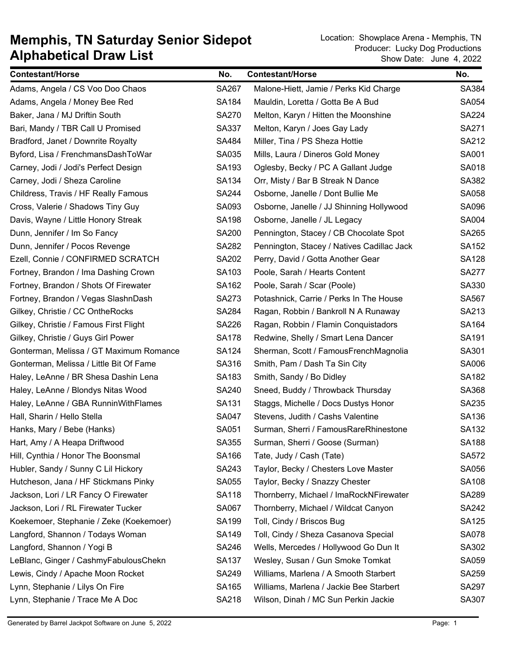| <b>Contestant/Horse</b>                 | No.          | <b>Contestant/Horse</b>                    | No.          |
|-----------------------------------------|--------------|--------------------------------------------|--------------|
| Adams, Angela / CS Voo Doo Chaos        | SA267        | Malone-Hiett, Jamie / Perks Kid Charge     | SA384        |
| Adams, Angela / Money Bee Red           | <b>SA184</b> | Mauldin, Loretta / Gotta Be A Bud          | SA054        |
| Baker, Jana / MJ Driftin South          | <b>SA270</b> | Melton, Karyn / Hitten the Moonshine       | <b>SA224</b> |
| Bari, Mandy / TBR Call U Promised       | SA337        | Melton, Karyn / Joes Gay Lady              | SA271        |
| Bradford, Janet / Downrite Royalty      | SA484        | Miller, Tina / PS Sheza Hottie             | SA212        |
| Byford, Lisa / FrenchmansDashToWar      | SA035        | Mills, Laura / Dineros Gold Money          | SA001        |
| Carney, Jodi / Jodi's Perfect Design    | SA193        | Oglesby, Becky / PC A Gallant Judge        | SA018        |
| Carney, Jodi / Sheza Caroline           | SA134        | Orr, Misty / Bar B Streak N Dance          | SA382        |
| Childress, Travis / HF Really Famous    | SA244        | Osborne, Janelle / Dont Bullie Me          | SA058        |
| Cross, Valerie / Shadows Tiny Guy       | SA093        | Osborne, Janelle / JJ Shinning Hollywood   | SA096        |
| Davis, Wayne / Little Honory Streak     | <b>SA198</b> | Osborne, Janelle / JL Legacy               | SA004        |
| Dunn, Jennifer / Im So Fancy            | <b>SA200</b> | Pennington, Stacey / CB Chocolate Spot     | SA265        |
| Dunn, Jennifer / Pocos Revenge          | SA282        | Pennington, Stacey / Natives Cadillac Jack | SA152        |
| Ezell, Connie / CONFIRMED SCRATCH       | SA202        | Perry, David / Gotta Another Gear          | <b>SA128</b> |
| Fortney, Brandon / Ima Dashing Crown    | SA103        | Poole, Sarah / Hearts Content              | <b>SA277</b> |
| Fortney, Brandon / Shots Of Firewater   | SA162        | Poole, Sarah / Scar (Poole)                | SA330        |
| Fortney, Brandon / Vegas SlashnDash     | SA273        | Potashnick, Carrie / Perks In The House    | SA567        |
| Gilkey, Christie / CC OntheRocks        | <b>SA284</b> | Ragan, Robbin / Bankroll N A Runaway       | SA213        |
| Gilkey, Christie / Famous First Flight  | SA226        | Ragan, Robbin / Flamin Conquistadors       | SA164        |
| Gilkey, Christie / Guys Girl Power      | <b>SA178</b> | Redwine, Shelly / Smart Lena Dancer        | SA191        |
| Gonterman, Melissa / GT Maximum Romance | SA124        | Sherman, Scott / FamousFrenchMagnolia      | SA301        |
| Gonterman, Melissa / Little Bit Of Fame | SA316        | Smith, Pam / Dash Ta Sin City              | SA006        |
| Haley, LeAnne / BR Shesa Dashin Lena    | SA183        | Smith, Sandy / Bo Didley                   | SA182        |
| Haley, LeAnne / Blondys Nitas Wood      | <b>SA240</b> | Sneed, Buddy / Throwback Thursday          | SA368        |
| Haley, LeAnne / GBA RunninWithFlames    | SA131        | Staggs, Michelle / Docs Dustys Honor       | SA235        |
| Hall, Sharin / Hello Stella             | SA047        | Stevens, Judith / Cashs Valentine          | SA136        |
| Hanks, Mary / Bebe (Hanks)              | SA051        | Surman, Sherri / FamousRareRhinestone      | SA132        |
| Hart, Amy / A Heapa Driftwood           | SA355        | Surman, Sherri / Goose (Surman)            | SA188        |
| Hill, Cynthia / Honor The Boonsmal      | SA166        | Tate, Judy / Cash (Tate)                   | SA572        |
| Hubler, Sandy / Sunny C Lil Hickory     | SA243        | Taylor, Becky / Chesters Love Master       | SA056        |
| Hutcheson, Jana / HF Stickmans Pinky    | SA055        | Taylor, Becky / Snazzy Chester             | <b>SA108</b> |
| Jackson, Lori / LR Fancy O Firewater    | SA118        | Thornberry, Michael / ImaRockNFirewater    | SA289        |
| Jackson, Lori / RL Firewater Tucker     | SA067        | Thornberry, Michael / Wildcat Canyon       | SA242        |
| Koekemoer, Stephanie / Zeke (Koekemoer) | SA199        | Toll, Cindy / Briscos Bug                  | SA125        |
| Langford, Shannon / Todays Woman        | SA149        | Toll, Cindy / Sheza Casanova Special       | <b>SA078</b> |
| Langford, Shannon / Yogi B              | SA246        | Wells, Mercedes / Hollywood Go Dun It      | SA302        |
| LeBlanc, Ginger / CashmyFabulousChekn   | SA137        | Wesley, Susan / Gun Smoke Tomkat           | SA059        |
| Lewis, Cindy / Apache Moon Rocket       | SA249        | Williams, Marlena / A Smooth Starbert      | SA259        |
| Lynn, Stephanie / Lilys On Fire         | SA165        | Williams, Marlena / Jackie Bee Starbert    | SA297        |
| Lynn, Stephanie / Trace Me A Doc        | SA218        | Wilson, Dinah / MC Sun Perkin Jackie       | SA307        |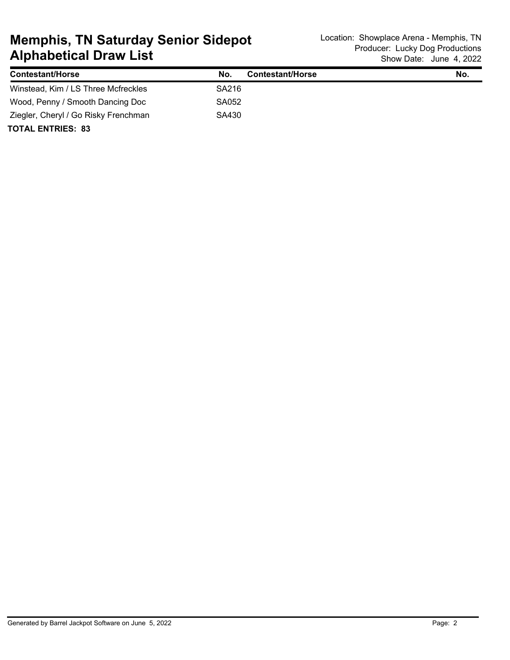| <b>Contestant/Horse</b>              | <b>Contestant/Horse</b><br>No. | No. |
|--------------------------------------|--------------------------------|-----|
| Winstead, Kim / LS Three Mcfreckles  | SA216                          |     |
| Wood, Penny / Smooth Dancing Doc     | SA052                          |     |
| Ziegler, Cheryl / Go Risky Frenchman | SA430                          |     |
| <b>TOTAL ENTRIES: 83</b>             |                                |     |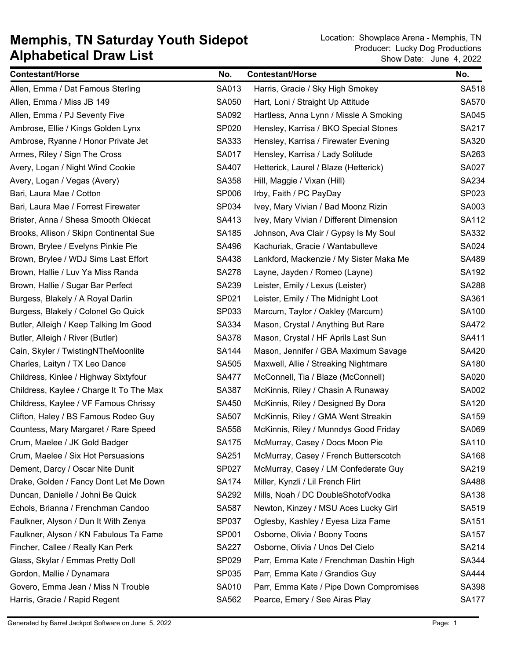| <b>Contestant/Horse</b>                  | No.          | <b>Contestant/Horse</b>                 | No.          |
|------------------------------------------|--------------|-----------------------------------------|--------------|
| Allen, Emma / Dat Famous Sterling        | SA013        | Harris, Gracie / Sky High Smokey        | SA518        |
| Allen, Emma / Miss JB 149                | SA050        | Hart, Loni / Straight Up Attitude       | <b>SA570</b> |
| Allen, Emma / PJ Seventy Five            | SA092        | Hartless, Anna Lynn / Missle A Smoking  | SA045        |
| Ambrose, Ellie / Kings Golden Lynx       | SP020        | Hensley, Karrisa / BKO Special Stones   | SA217        |
| Ambrose, Ryanne / Honor Private Jet      | SA333        | Hensley, Karrisa / Firewater Evening    | SA320        |
| Armes, Riley / Sign The Cross            | SA017        | Hensley, Karrisa / Lady Solitude        | SA263        |
| Avery, Logan / Night Wind Cookie         | SA407        | Hetterick, Laurel / Blaze (Hetterick)   | SA027        |
| Avery, Logan / Vegas (Avery)             | SA358        | Hill, Maggie / Vixan (Hill)             | SA234        |
| Bari, Laura Mae / Cotton                 | SP006        | Irby, Faith / PC PayDay                 | SP023        |
| Bari, Laura Mae / Forrest Firewater      | SP034        | Ivey, Mary Vivian / Bad Moonz Rizin     | SA003        |
| Brister, Anna / Shesa Smooth Okiecat     | SA413        | Ivey, Mary Vivian / Different Dimension | <b>SA112</b> |
| Brooks, Allison / Skipn Continental Sue  | SA185        | Johnson, Ava Clair / Gypsy Is My Soul   | SA332        |
| Brown, Brylee / Evelyns Pinkie Pie       | SA496        | Kachuriak, Gracie / Wantabulleve        | SA024        |
| Brown, Brylee / WDJ Sims Last Effort     | SA438        | Lankford, Mackenzie / My Sister Maka Me | SA489        |
| Brown, Hallie / Luv Ya Miss Randa        | <b>SA278</b> | Layne, Jayden / Romeo (Layne)           | SA192        |
| Brown, Hallie / Sugar Bar Perfect        | SA239        | Leister, Emily / Lexus (Leister)        | <b>SA288</b> |
| Burgess, Blakely / A Royal Darlin        | SP021        | Leister, Emily / The Midnight Loot      | SA361        |
| Burgess, Blakely / Colonel Go Quick      | SP033        | Marcum, Taylor / Oakley (Marcum)        | SA100        |
| Butler, Alleigh / Keep Talking Im Good   | SA334        | Mason, Crystal / Anything But Rare      | SA472        |
| Butler, Alleigh / River (Butler)         | SA378        | Mason, Crystal / HF Aprils Last Sun     | SA411        |
| Cain, Skyler / TwistingNTheMoonlite      | <b>SA144</b> | Mason, Jennifer / GBA Maximum Savage    | SA420        |
| Charles, Laityn / TX Leo Dance           | SA505        | Maxwell, Allie / Streaking Nightmare    | SA180        |
| Childress, Kinlee / Highway Sixtyfour    | <b>SA477</b> | McConnell, Tia / Blaze (McConnell)      | SA020        |
| Childress, Kaylee / Charge It To The Max | SA387        | McKinnis, Riley / Chasin A Runaway      | SA002        |
| Childress, Kaylee / VF Famous Chrissy    | SA450        | McKinnis, Riley / Designed By Dora      | SA120        |
| Clifton, Haley / BS Famous Rodeo Guy     | <b>SA507</b> | McKinnis, Riley / GMA Went Streakin     | SA159        |
| Countess, Mary Margaret / Rare Speed     | SA558        | McKinnis, Riley / Munndys Good Friday   | SA069        |
| Crum, Maelee / JK Gold Badger            | SA175        | McMurray, Casey / Docs Moon Pie         | SA110        |
| Crum, Maelee / Six Hot Persuasions       | SA251        | McMurray, Casey / French Butterscotch   | SA168        |
| Dement, Darcy / Oscar Nite Dunit         | SP027        | McMurray, Casey / LM Confederate Guy    | SA219        |
| Drake, Golden / Fancy Dont Let Me Down   | <b>SA174</b> | Miller, Kynzli / Lil French Flirt       | SA488        |
| Duncan, Danielle / Johni Be Quick        | SA292        | Mills, Noah / DC DoubleShotofVodka      | SA138        |
| Echols, Brianna / Frenchman Candoo       | SA587        | Newton, Kinzey / MSU Aces Lucky Girl    | SA519        |
| Faulkner, Alyson / Dun It With Zenya     | SP037        | Oglesby, Kashley / Eyesa Liza Fame      | SA151        |
| Faulkner, Alyson / KN Fabulous Ta Fame   | SP001        | Osborne, Olivia / Boony Toons           | <b>SA157</b> |
| Fincher, Callee / Really Kan Perk        | <b>SA227</b> | Osborne, Olivia / Unos Del Cielo        | SA214        |
| Glass, Skylar / Emmas Pretty Doll        | SP029        | Parr, Emma Kate / Frenchman Dashin High | SA344        |
| Gordon, Mallie / Dynamara                | SP035        | Parr, Emma Kate / Grandios Guy          | <b>SA444</b> |
| Govero, Emma Jean / Miss N Trouble       | SA010        | Parr, Emma Kate / Pipe Down Compromises | SA398        |
| Harris, Gracie / Rapid Regent            | SA562        | Pearce, Emery / See Airas Play          | <b>SA177</b> |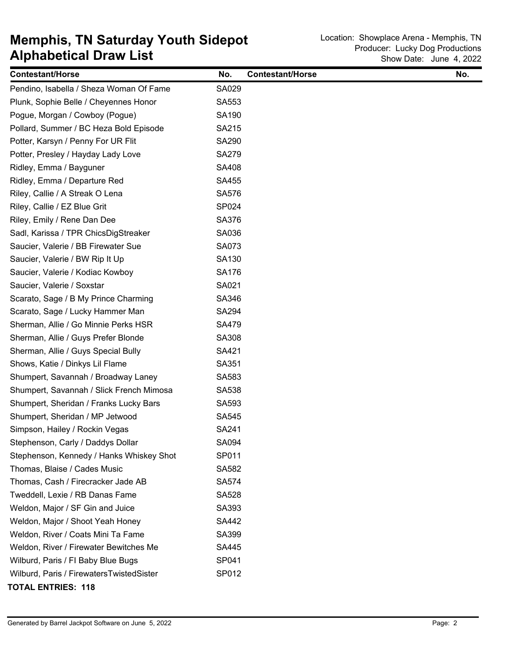| <b>Contestant/Horse</b>                  | No.          | <b>Contestant/Horse</b> | No. |
|------------------------------------------|--------------|-------------------------|-----|
| Pendino, Isabella / Sheza Woman Of Fame  | SA029        |                         |     |
| Plunk, Sophie Belle / Cheyennes Honor    | SA553        |                         |     |
| Pogue, Morgan / Cowboy (Pogue)           | SA190        |                         |     |
| Pollard, Summer / BC Heza Bold Episode   | SA215        |                         |     |
| Potter, Karsyn / Penny For UR Flit       | SA290        |                         |     |
| Potter, Presley / Hayday Lady Love       | <b>SA279</b> |                         |     |
| Ridley, Emma / Bayguner                  | SA408        |                         |     |
| Ridley, Emma / Departure Red             | SA455        |                         |     |
| Riley, Callie / A Streak O Lena          | <b>SA576</b> |                         |     |
| Riley, Callie / EZ Blue Grit             | SP024        |                         |     |
| Riley, Emily / Rene Dan Dee              | SA376        |                         |     |
| Sadl, Karissa / TPR ChicsDigStreaker     | SA036        |                         |     |
| Saucier, Valerie / BB Firewater Sue      | SA073        |                         |     |
| Saucier, Valerie / BW Rip It Up          | SA130        |                         |     |
| Saucier, Valerie / Kodiac Kowboy         | SA176        |                         |     |
| Saucier, Valerie / Soxstar               | SA021        |                         |     |
| Scarato, Sage / B My Prince Charming     | SA346        |                         |     |
| Scarato, Sage / Lucky Hammer Man         | SA294        |                         |     |
| Sherman, Allie / Go Minnie Perks HSR     | <b>SA479</b> |                         |     |
| Sherman, Allie / Guys Prefer Blonde      | SA308        |                         |     |
| Sherman, Allie / Guys Special Bully      | SA421        |                         |     |
| Shows, Katie / Dinkys Lil Flame          | SA351        |                         |     |
| Shumpert, Savannah / Broadway Laney      | SA583        |                         |     |
| Shumpert, Savannah / Slick French Mimosa | SA538        |                         |     |
| Shumpert, Sheridan / Franks Lucky Bars   | SA593        |                         |     |
| Shumpert, Sheridan / MP Jetwood          | SA545        |                         |     |
| Simpson, Hailey / Rockin Vegas           | SA241        |                         |     |
| Stephenson, Carly / Daddys Dollar        | SA094        |                         |     |
| Stephenson, Kennedy / Hanks Whiskey Shot | SP011        |                         |     |
| Thomas, Blaise / Cades Music             | SA582        |                         |     |
| Thomas, Cash / Firecracker Jade AB       | SA574        |                         |     |
| Tweddell, Lexie / RB Danas Fame          | SA528        |                         |     |
| Weldon, Major / SF Gin and Juice         | SA393        |                         |     |
| Weldon, Major / Shoot Yeah Honey         | SA442        |                         |     |
| Weldon, River / Coats Mini Ta Fame       | SA399        |                         |     |
| Weldon, River / Firewater Bewitches Me   | SA445        |                         |     |
| Wilburd, Paris / FI Baby Blue Bugs       | SP041        |                         |     |
| Wilburd, Paris / FirewatersTwistedSister | SP012        |                         |     |
| <b>TOTAL ENTRIES: 118</b>                |              |                         |     |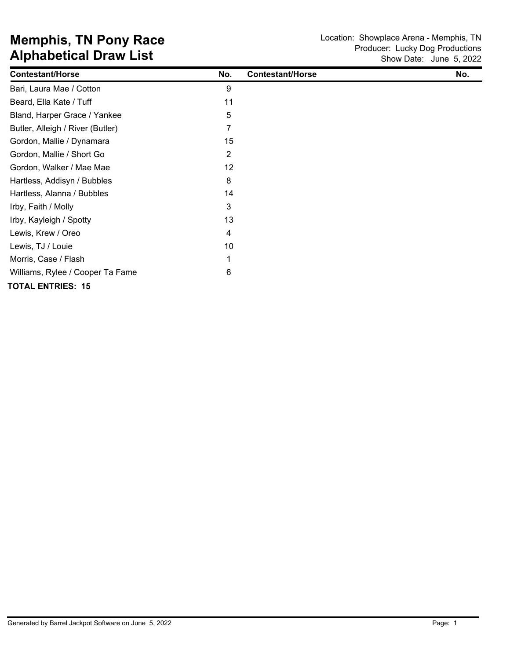| <b>Contestant/Horse</b>          | No. | <b>Contestant/Horse</b> | No. |
|----------------------------------|-----|-------------------------|-----|
| Bari, Laura Mae / Cotton         | 9   |                         |     |
| Beard, Ella Kate / Tuff          | 11  |                         |     |
| Bland, Harper Grace / Yankee     | 5   |                         |     |
| Butler, Alleigh / River (Butler) | 7   |                         |     |
| Gordon, Mallie / Dynamara        | 15  |                         |     |
| Gordon, Mallie / Short Go        | 2   |                         |     |
| Gordon, Walker / Mae Mae         | 12  |                         |     |
| Hartless, Addisyn / Bubbles      | 8   |                         |     |
| Hartless, Alanna / Bubbles       | 14  |                         |     |
| Irby, Faith / Molly              | 3   |                         |     |
| Irby, Kayleigh / Spotty          | 13  |                         |     |
| Lewis, Krew / Oreo               | 4   |                         |     |
| Lewis, TJ / Louie                | 10  |                         |     |
| Morris, Case / Flash             |     |                         |     |
| Williams, Rylee / Cooper Ta Fame | 6   |                         |     |
| <b>TOTAL ENTRIES: 15</b>         |     |                         |     |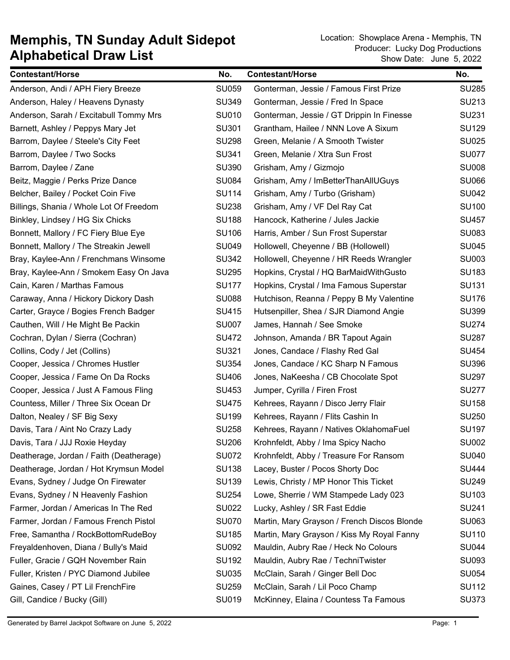| <b>Contestant/Horse</b>                 | No.          | <b>Contestant/Horse</b>                     | No.          |
|-----------------------------------------|--------------|---------------------------------------------|--------------|
| Anderson, Andi / APH Fiery Breeze       | <b>SU059</b> | Gonterman, Jessie / Famous First Prize      | <b>SU285</b> |
| Anderson, Haley / Heavens Dynasty       | <b>SU349</b> | Gonterman, Jessie / Fred In Space           | SU213        |
| Anderson, Sarah / Excitabull Tommy Mrs  | SU010        | Gonterman, Jessie / GT Drippin In Finesse   | <b>SU231</b> |
| Barnett, Ashley / Peppys Mary Jet       | SU301        | Grantham, Hailee / NNN Love A Sixum         | <b>SU129</b> |
| Barrom, Daylee / Steele's City Feet     | <b>SU298</b> | Green, Melanie / A Smooth Twister           | <b>SU025</b> |
| Barrom, Daylee / Two Socks              | SU341        | Green, Melanie / Xtra Sun Frost             | <b>SU077</b> |
| Barrom, Daylee / Zane                   | <b>SU390</b> | Grisham, Amy / Gizmojo                      | <b>SU008</b> |
| Beitz, Maggie / Perks Prize Dance       | <b>SU084</b> | Grisham, Amy / ImBetterThanAllUGuys         | <b>SU066</b> |
| Belcher, Bailey / Pocket Coin Five      | <b>SU114</b> | Grisham, Amy / Turbo (Grisham)              | <b>SU042</b> |
| Billings, Shania / Whole Lot Of Freedom | <b>SU238</b> | Grisham, Amy / VF Del Ray Cat               | <b>SU100</b> |
| Binkley, Lindsey / HG Six Chicks        | <b>SU188</b> | Hancock, Katherine / Jules Jackie           | <b>SU457</b> |
| Bonnett, Mallory / FC Fiery Blue Eye    | <b>SU106</b> | Harris, Amber / Sun Frost Superstar         | <b>SU083</b> |
| Bonnett, Mallory / The Streakin Jewell  | <b>SU049</b> | Hollowell, Cheyenne / BB (Hollowell)        | <b>SU045</b> |
| Bray, Kaylee-Ann / Frenchmans Winsome   | <b>SU342</b> | Hollowell, Cheyenne / HR Reeds Wrangler     | <b>SU003</b> |
| Bray, Kaylee-Ann / Smokem Easy On Java  | <b>SU295</b> | Hopkins, Crystal / HQ BarMaidWithGusto      | <b>SU183</b> |
| Cain, Karen / Marthas Famous            | <b>SU177</b> | Hopkins, Crystal / Ima Famous Superstar     | SU131        |
| Caraway, Anna / Hickory Dickory Dash    | <b>SU088</b> | Hutchison, Reanna / Peppy B My Valentine    | <b>SU176</b> |
| Carter, Grayce / Bogies French Badger   | SU415        | Hutsenpiller, Shea / SJR Diamond Angie      | <b>SU399</b> |
| Cauthen, Will / He Might Be Packin      | <b>SU007</b> | James, Hannah / See Smoke                   | <b>SU274</b> |
| Cochran, Dylan / Sierra (Cochran)       | <b>SU472</b> | Johnson, Amanda / BR Tapout Again           | <b>SU287</b> |
| Collins, Cody / Jet (Collins)           | SU321        | Jones, Candace / Flashy Red Gal             | <b>SU454</b> |
| Cooper, Jessica / Chromes Hustler       | <b>SU354</b> | Jones, Candace / KC Sharp N Famous          | <b>SU396</b> |
| Cooper, Jessica / Fame On Da Rocks      | <b>SU406</b> | Jones, NaKeesha / CB Chocolate Spot         | <b>SU297</b> |
| Cooper, Jessica / Just A Famous Fling   | SU453        | Jumper, Cyrilla / Firen Frost               | <b>SU277</b> |
| Countess, Miller / Three Six Ocean Dr   | <b>SU475</b> | Kehrees, Rayann / Disco Jerry Flair         | <b>SU158</b> |
| Dalton, Nealey / SF Big Sexy            | <b>SU199</b> | Kehrees, Rayann / Flits Cashin In           | <b>SU250</b> |
| Davis, Tara / Aint No Crazy Lady        | <b>SU258</b> | Kehrees, Rayann / Natives OklahomaFuel      | <b>SU197</b> |
| Davis, Tara / JJJ Roxie Heyday          | <b>SU206</b> | Krohnfeldt, Abby / Ima Spicy Nacho          | <b>SU002</b> |
| Deatherage, Jordan / Faith (Deatherage) | <b>SU072</b> | Krohnfeldt, Abby / Treasure For Ransom      | <b>SU040</b> |
| Deatherage, Jordan / Hot Krymsun Model  | <b>SU138</b> | Lacey, Buster / Pocos Shorty Doc            | <b>SU444</b> |
| Evans, Sydney / Judge On Firewater      | <b>SU139</b> | Lewis, Christy / MP Honor This Ticket       | <b>SU249</b> |
| Evans, Sydney / N Heavenly Fashion      | <b>SU254</b> | Lowe, Sherrie / WM Stampede Lady 023        | SU103        |
| Farmer, Jordan / Americas In The Red    | <b>SU022</b> | Lucky, Ashley / SR Fast Eddie               | SU241        |
| Farmer, Jordan / Famous French Pistol   | <b>SU070</b> | Martin, Mary Grayson / French Discos Blonde | SU063        |
| Free, Samantha / RockBottomRudeBoy      | <b>SU185</b> | Martin, Mary Grayson / Kiss My Royal Fanny  | <b>SU110</b> |
| Freyaldenhoven, Diana / Bully's Maid    | <b>SU092</b> | Mauldin, Aubry Rae / Heck No Colours        | <b>SU044</b> |
| Fuller, Gracie / GQH November Rain      | SU192        | Mauldin, Aubry Rae / TechniTwister          | SU093        |
| Fuller, Kristen / PYC Diamond Jubilee   | <b>SU035</b> | McClain, Sarah / Ginger Bell Doc            | <b>SU054</b> |
| Gaines, Casey / PT Lil FrenchFire       | <b>SU259</b> | McClain, Sarah / Lil Poco Champ             | <b>SU112</b> |
| Gill, Candice / Bucky (Gill)            | SU019        | McKinney, Elaina / Countess Ta Famous       | <b>SU373</b> |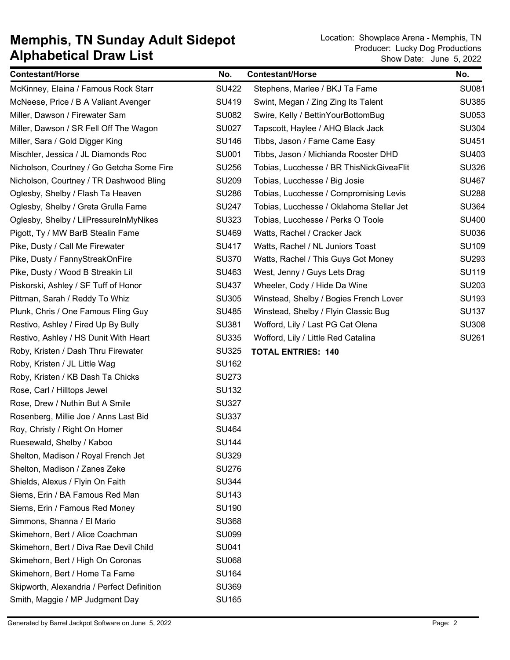| <b>Contestant/Horse</b>                    | No.          | <b>Contestant/Horse</b>                  | No.          |
|--------------------------------------------|--------------|------------------------------------------|--------------|
| McKinney, Elaina / Famous Rock Starr       | <b>SU422</b> | Stephens, Marlee / BKJ Ta Fame           | <b>SU081</b> |
| McNeese, Price / B A Valiant Avenger       | SU419        | Swint, Megan / Zing Zing Its Talent      | <b>SU385</b> |
| Miller, Dawson / Firewater Sam             | <b>SU082</b> | Swire, Kelly / BettinYourBottomBug       | <b>SU053</b> |
| Miller, Dawson / SR Fell Off The Wagon     | <b>SU027</b> | Tapscott, Haylee / AHQ Black Jack        | <b>SU304</b> |
| Miller, Sara / Gold Digger King            | <b>SU146</b> | Tibbs, Jason / Fame Came Easy            | SU451        |
| Mischler, Jessica / JL Diamonds Roc        | <b>SU001</b> | Tibbs, Jason / Michianda Rooster DHD     | SU403        |
| Nicholson, Courtney / Go Getcha Some Fire  | <b>SU256</b> | Tobias, Lucchesse / BR ThisNickGiveaFlit | <b>SU326</b> |
| Nicholson, Courtney / TR Dashwood Bling    | <b>SU209</b> | Tobias, Lucchesse / Big Josie            | <b>SU467</b> |
| Oglesby, Shelby / Flash Ta Heaven          | <b>SU286</b> | Tobias, Lucchesse / Compromising Levis   | <b>SU288</b> |
| Oglesby, Shelby / Greta Grulla Fame        | <b>SU247</b> | Tobias, Lucchesse / Oklahoma Stellar Jet | <b>SU364</b> |
| Oglesby, Shelby / LilPressureInMyNikes     | <b>SU323</b> | Tobias, Lucchesse / Perks O Toole        | <b>SU400</b> |
| Pigott, Ty / MW BarB Stealin Fame          | <b>SU469</b> | Watts, Rachel / Cracker Jack             | <b>SU036</b> |
| Pike, Dusty / Call Me Firewater            | <b>SU417</b> | Watts, Rachel / NL Juniors Toast         | <b>SU109</b> |
| Pike, Dusty / FannyStreakOnFire            | <b>SU370</b> | Watts, Rachel / This Guys Got Money      | <b>SU293</b> |
| Pike, Dusty / Wood B Streakin Lil          | SU463        | West, Jenny / Guys Lets Drag             | <b>SU119</b> |
| Piskorski, Ashley / SF Tuff of Honor       | <b>SU437</b> | Wheeler, Cody / Hide Da Wine             | <b>SU203</b> |
| Pittman, Sarah / Reddy To Whiz             | <b>SU305</b> | Winstead, Shelby / Bogies French Lover   | <b>SU193</b> |
| Plunk, Chris / One Famous Fling Guy        | <b>SU485</b> | Winstead, Shelby / Flyin Classic Bug     | <b>SU137</b> |
| Restivo, Ashley / Fired Up By Bully        | SU381        | Wofford, Lily / Last PG Cat Olena        | <b>SU308</b> |
| Restivo, Ashley / HS Dunit With Heart      | <b>SU335</b> | Wofford, Lily / Little Red Catalina      | <b>SU261</b> |
| Roby, Kristen / Dash Thru Firewater        | <b>SU325</b> | <b>TOTAL ENTRIES: 140</b>                |              |
| Roby, Kristen / JL Little Wag              | <b>SU162</b> |                                          |              |
| Roby, Kristen / KB Dash Ta Chicks          | <b>SU273</b> |                                          |              |
| Rose, Carl / Hilltops Jewel                | SU132        |                                          |              |
| Rose, Drew / Nuthin But A Smile            | <b>SU327</b> |                                          |              |
| Rosenberg, Millie Joe / Anns Last Bid      | <b>SU337</b> |                                          |              |
| Roy, Christy / Right On Homer              | <b>SU464</b> |                                          |              |
| Ruesewald, Shelby / Kaboo                  | <b>SU144</b> |                                          |              |
| Shelton, Madison / Royal French Jet        | <b>SU329</b> |                                          |              |
| Shelton, Madison / Zanes Zeke              | <b>SU276</b> |                                          |              |
| Shields, Alexus / Flyin On Faith           | <b>SU344</b> |                                          |              |
| Siems, Erin / BA Famous Red Man            | <b>SU143</b> |                                          |              |
| Siems, Erin / Famous Red Money             | SU190        |                                          |              |
| Simmons, Shanna / El Mario                 | <b>SU368</b> |                                          |              |
| Skimehorn, Bert / Alice Coachman           | <b>SU099</b> |                                          |              |
| Skimehorn, Bert / Diva Rae Devil Child     | SU041        |                                          |              |
| Skimehorn, Bert / High On Coronas          | <b>SU068</b> |                                          |              |
| Skimehorn, Bert / Home Ta Fame             | <b>SU164</b> |                                          |              |
| Skipworth, Alexandria / Perfect Definition | <b>SU369</b> |                                          |              |
| Smith, Maggie / MP Judgment Day            | <b>SU165</b> |                                          |              |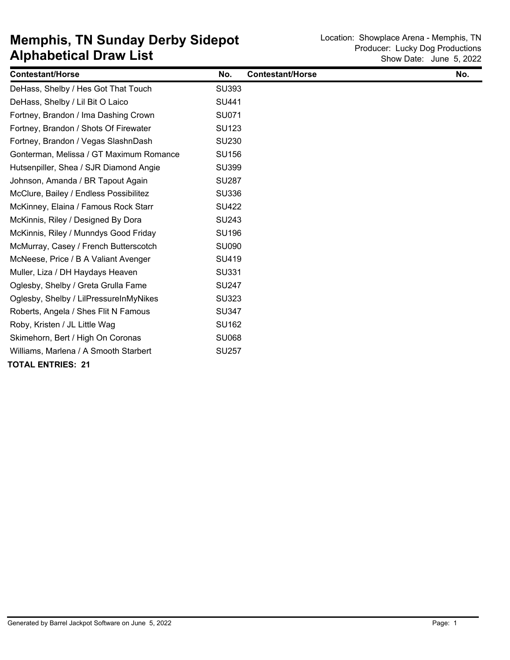| <b>Contestant/Horse</b>                 | No.          | <b>Contestant/Horse</b> | No. |
|-----------------------------------------|--------------|-------------------------|-----|
| DeHass, Shelby / Hes Got That Touch     | <b>SU393</b> |                         |     |
| DeHass, Shelby / Lil Bit O Laico        | <b>SU441</b> |                         |     |
| Fortney, Brandon / Ima Dashing Crown    | SU071        |                         |     |
| Fortney, Brandon / Shots Of Firewater   | <b>SU123</b> |                         |     |
| Fortney, Brandon / Vegas SlashnDash     | <b>SU230</b> |                         |     |
| Gonterman, Melissa / GT Maximum Romance | <b>SU156</b> |                         |     |
| Hutsenpiller, Shea / SJR Diamond Angie  | <b>SU399</b> |                         |     |
| Johnson, Amanda / BR Tapout Again       | <b>SU287</b> |                         |     |
| McClure, Bailey / Endless Possibilitez  | <b>SU336</b> |                         |     |
| McKinney, Elaina / Famous Rock Starr    | <b>SU422</b> |                         |     |
| McKinnis, Riley / Designed By Dora      | <b>SU243</b> |                         |     |
| McKinnis, Riley / Munndys Good Friday   | <b>SU196</b> |                         |     |
| McMurray, Casey / French Butterscotch   | <b>SU090</b> |                         |     |
| McNeese, Price / B A Valiant Avenger    | SU419        |                         |     |
| Muller, Liza / DH Haydays Heaven        | SU331        |                         |     |
| Oglesby, Shelby / Greta Grulla Fame     | <b>SU247</b> |                         |     |
| Oglesby, Shelby / LilPressureInMyNikes  | <b>SU323</b> |                         |     |
| Roberts, Angela / Shes Flit N Famous    | <b>SU347</b> |                         |     |
| Roby, Kristen / JL Little Wag           | <b>SU162</b> |                         |     |
| Skimehorn, Bert / High On Coronas       | <b>SU068</b> |                         |     |
| Williams, Marlena / A Smooth Starbert   | <b>SU257</b> |                         |     |
| <b>TOTAL ENTRIES: 21</b>                |              |                         |     |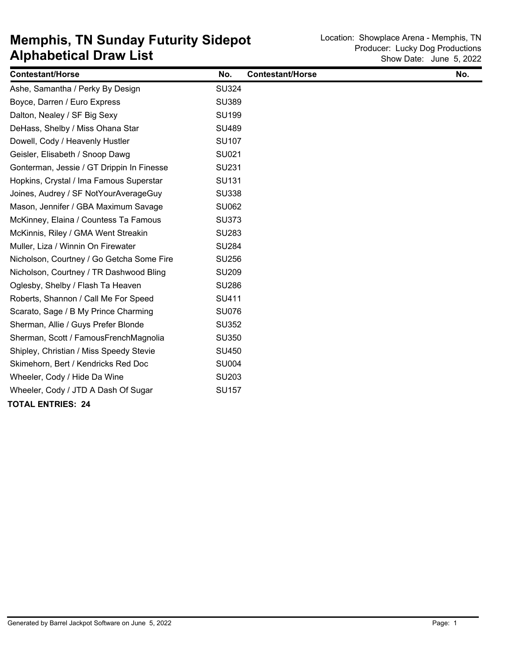| <b>Contestant/Horse</b>                   | No.          | <b>Contestant/Horse</b> | No. |
|-------------------------------------------|--------------|-------------------------|-----|
| Ashe, Samantha / Perky By Design          | <b>SU324</b> |                         |     |
| Boyce, Darren / Euro Express              | <b>SU389</b> |                         |     |
| Dalton, Nealey / SF Big Sexy              | <b>SU199</b> |                         |     |
| DeHass, Shelby / Miss Ohana Star          | <b>SU489</b> |                         |     |
| Dowell, Cody / Heavenly Hustler           | <b>SU107</b> |                         |     |
| Geisler, Elisabeth / Snoop Dawg           | SU021        |                         |     |
| Gonterman, Jessie / GT Drippin In Finesse | <b>SU231</b> |                         |     |
| Hopkins, Crystal / Ima Famous Superstar   | <b>SU131</b> |                         |     |
| Joines, Audrey / SF NotYourAverageGuy     | <b>SU338</b> |                         |     |
| Mason, Jennifer / GBA Maximum Savage      | <b>SU062</b> |                         |     |
| McKinney, Elaina / Countess Ta Famous     | <b>SU373</b> |                         |     |
| McKinnis, Riley / GMA Went Streakin       | <b>SU283</b> |                         |     |
| Muller, Liza / Winnin On Firewater        | <b>SU284</b> |                         |     |
| Nicholson, Courtney / Go Getcha Some Fire | <b>SU256</b> |                         |     |
| Nicholson, Courtney / TR Dashwood Bling   | <b>SU209</b> |                         |     |
| Oglesby, Shelby / Flash Ta Heaven         | <b>SU286</b> |                         |     |
| Roberts, Shannon / Call Me For Speed      | SU411        |                         |     |
| Scarato, Sage / B My Prince Charming      | <b>SU076</b> |                         |     |
| Sherman, Allie / Guys Prefer Blonde       | <b>SU352</b> |                         |     |
| Sherman, Scott / FamousFrenchMagnolia     | <b>SU350</b> |                         |     |
| Shipley, Christian / Miss Speedy Stevie   | <b>SU450</b> |                         |     |
| Skimehorn, Bert / Kendricks Red Doc       | <b>SU004</b> |                         |     |
| Wheeler, Cody / Hide Da Wine              | SU203        |                         |     |
| Wheeler, Cody / JTD A Dash Of Sugar       | <b>SU157</b> |                         |     |
| <b>TOTAL ENTRIES: 24</b>                  |              |                         |     |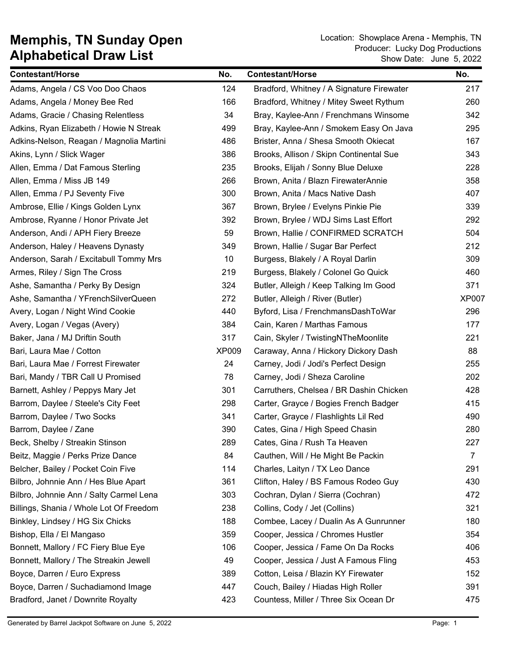| <b>Contestant/Horse</b>                  | No.          | <b>Contestant/Horse</b>                   | No.            |
|------------------------------------------|--------------|-------------------------------------------|----------------|
| Adams, Angela / CS Voo Doo Chaos         | 124          | Bradford, Whitney / A Signature Firewater | 217            |
| Adams, Angela / Money Bee Red            | 166          | Bradford, Whitney / Mitey Sweet Rythum    | 260            |
| Adams, Gracie / Chasing Relentless       | 34           | Bray, Kaylee-Ann / Frenchmans Winsome     | 342            |
| Adkins, Ryan Elizabeth / Howie N Streak  | 499          | Bray, Kaylee-Ann / Smokem Easy On Java    | 295            |
| Adkins-Nelson, Reagan / Magnolia Martini | 486          | Brister, Anna / Shesa Smooth Okiecat      | 167            |
| Akins, Lynn / Slick Wager                | 386          | Brooks, Allison / Skipn Continental Sue   | 343            |
| Allen, Emma / Dat Famous Sterling        | 235          | Brooks, Elijah / Sonny Blue Deluxe        | 228            |
| Allen, Emma / Miss JB 149                | 266          | Brown, Anita / Blazn FirewaterAnnie       | 358            |
| Allen, Emma / PJ Seventy Five            | 300          | Brown, Anita / Macs Native Dash           | 407            |
| Ambrose, Ellie / Kings Golden Lynx       | 367          | Brown, Brylee / Evelyns Pinkie Pie        | 339            |
| Ambrose, Ryanne / Honor Private Jet      | 392          | Brown, Brylee / WDJ Sims Last Effort      | 292            |
| Anderson, Andi / APH Fiery Breeze        | 59           | Brown, Hallie / CONFIRMED SCRATCH         | 504            |
| Anderson, Haley / Heavens Dynasty        | 349          | Brown, Hallie / Sugar Bar Perfect         | 212            |
| Anderson, Sarah / Excitabull Tommy Mrs   | 10           | Burgess, Blakely / A Royal Darlin         | 309            |
| Armes, Riley / Sign The Cross            | 219          | Burgess, Blakely / Colonel Go Quick       | 460            |
| Ashe, Samantha / Perky By Design         | 324          | Butler, Alleigh / Keep Talking Im Good    | 371            |
| Ashe, Samantha / YFrenchSilverQueen      | 272          | Butler, Alleigh / River (Butler)          | <b>XP007</b>   |
| Avery, Logan / Night Wind Cookie         | 440          | Byford, Lisa / FrenchmansDashToWar        | 296            |
| Avery, Logan / Vegas (Avery)             | 384          | Cain, Karen / Marthas Famous              | 177            |
| Baker, Jana / MJ Driftin South           | 317          | Cain, Skyler / TwistingNTheMoonlite       | 221            |
| Bari, Laura Mae / Cotton                 | <b>XP009</b> | Caraway, Anna / Hickory Dickory Dash      | 88             |
| Bari, Laura Mae / Forrest Firewater      | 24           | Carney, Jodi / Jodi's Perfect Design      | 255            |
| Bari, Mandy / TBR Call U Promised        | 78           | Carney, Jodi / Sheza Caroline             | 202            |
| Barnett, Ashley / Peppys Mary Jet        | 301          | Carruthers, Chelsea / BR Dashin Chicken   | 428            |
| Barrom, Daylee / Steele's City Feet      | 298          | Carter, Grayce / Bogies French Badger     | 415            |
| Barrom, Daylee / Two Socks               | 341          | Carter, Grayce / Flashlights Lil Red      | 490            |
| Barrom, Daylee / Zane                    | 390          | Cates, Gina / High Speed Chasin           | 280            |
| Beck, Shelby / Streakin Stinson          | 289          | Cates, Gina / Rush Ta Heaven              | 227            |
| Beitz, Maggie / Perks Prize Dance        | 84           | Cauthen, Will / He Might Be Packin        | $\overline{7}$ |
| Belcher, Bailey / Pocket Coin Five       | 114          | Charles, Laityn / TX Leo Dance            | 291            |
| Bilbro, Johnnie Ann / Hes Blue Apart     | 361          | Clifton, Haley / BS Famous Rodeo Guy      | 430            |
| Bilbro, Johnnie Ann / Salty Carmel Lena  | 303          | Cochran, Dylan / Sierra (Cochran)         | 472            |
| Billings, Shania / Whole Lot Of Freedom  | 238          | Collins, Cody / Jet (Collins)             | 321            |
| Binkley, Lindsey / HG Six Chicks         | 188          | Combee, Lacey / Dualin As A Gunrunner     | 180            |
| Bishop, Ella / El Mangaso                | 359          | Cooper, Jessica / Chromes Hustler         | 354            |
| Bonnett, Mallory / FC Fiery Blue Eye     | 106          | Cooper, Jessica / Fame On Da Rocks        | 406            |
| Bonnett, Mallory / The Streakin Jewell   | 49           | Cooper, Jessica / Just A Famous Fling     | 453            |
| Boyce, Darren / Euro Express             | 389          | Cotton, Leisa / Blazin KY Firewater       | 152            |
| Boyce, Darren / Suchadiamond Image       | 447          | Couch, Bailey / Hiadas High Roller        | 391            |
| Bradford, Janet / Downrite Royalty       | 423          | Countess, Miller / Three Six Ocean Dr     | 475            |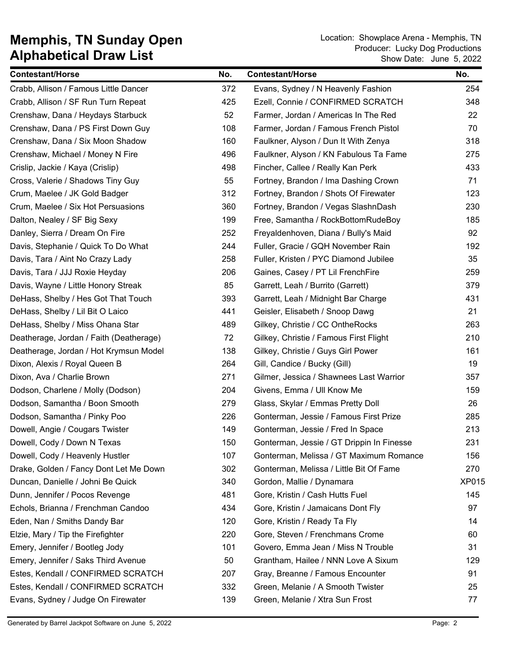| <b>Contestant/Horse</b>                 | No. | <b>Contestant/Horse</b>                   | No.          |
|-----------------------------------------|-----|-------------------------------------------|--------------|
| Crabb, Allison / Famous Little Dancer   | 372 | Evans, Sydney / N Heavenly Fashion        | 254          |
| Crabb, Allison / SF Run Turn Repeat     | 425 | Ezell, Connie / CONFIRMED SCRATCH         | 348          |
| Crenshaw, Dana / Heydays Starbuck       | 52  | Farmer, Jordan / Americas In The Red      | 22           |
| Crenshaw, Dana / PS First Down Guy      | 108 | Farmer, Jordan / Famous French Pistol     | 70           |
| Crenshaw, Dana / Six Moon Shadow        | 160 | Faulkner, Alyson / Dun It With Zenya      | 318          |
| Crenshaw, Michael / Money N Fire        | 496 | Faulkner, Alyson / KN Fabulous Ta Fame    | 275          |
| Crislip, Jackie / Kaya (Crislip)        | 498 | Fincher, Callee / Really Kan Perk         | 433          |
| Cross, Valerie / Shadows Tiny Guy       | 55  | Fortney, Brandon / Ima Dashing Crown      | 71           |
| Crum, Maelee / JK Gold Badger           | 312 | Fortney, Brandon / Shots Of Firewater     | 123          |
| Crum, Maelee / Six Hot Persuasions      | 360 | Fortney, Brandon / Vegas SlashnDash       | 230          |
| Dalton, Nealey / SF Big Sexy            | 199 | Free, Samantha / RockBottomRudeBoy        | 185          |
| Danley, Sierra / Dream On Fire          | 252 | Freyaldenhoven, Diana / Bully's Maid      | 92           |
| Davis, Stephanie / Quick To Do What     | 244 | Fuller, Gracie / GQH November Rain        | 192          |
| Davis, Tara / Aint No Crazy Lady        | 258 | Fuller, Kristen / PYC Diamond Jubilee     | 35           |
| Davis, Tara / JJJ Roxie Heyday          | 206 | Gaines, Casey / PT Lil FrenchFire         | 259          |
| Davis, Wayne / Little Honory Streak     | 85  | Garrett, Leah / Burrito (Garrett)         | 379          |
| DeHass, Shelby / Hes Got That Touch     | 393 | Garrett, Leah / Midnight Bar Charge       | 431          |
| DeHass, Shelby / Lil Bit O Laico        | 441 | Geisler, Elisabeth / Snoop Dawg           | 21           |
| DeHass, Shelby / Miss Ohana Star        | 489 | Gilkey, Christie / CC OntheRocks          | 263          |
| Deatherage, Jordan / Faith (Deatherage) | 72  | Gilkey, Christie / Famous First Flight    | 210          |
| Deatherage, Jordan / Hot Krymsun Model  | 138 | Gilkey, Christie / Guys Girl Power        | 161          |
| Dixon, Alexis / Royal Queen B           | 264 | Gill, Candice / Bucky (Gill)              | 19           |
| Dixon, Ava / Charlie Brown              | 271 | Gilmer, Jessica / Shawnees Last Warrior   | 357          |
| Dodson, Charlene / Molly (Dodson)       | 204 | Givens, Emma / Ull Know Me                | 159          |
| Dodson, Samantha / Boon Smooth          | 279 | Glass, Skylar / Emmas Pretty Doll         | 26           |
| Dodson, Samantha / Pinky Poo            | 226 | Gonterman, Jessie / Famous First Prize    | 285          |
| Dowell, Angie / Cougars Twister         | 149 | Gonterman, Jessie / Fred In Space         | 213          |
| Dowell, Cody / Down N Texas             | 150 | Gonterman, Jessie / GT Drippin In Finesse | 231          |
| Dowell, Cody / Heavenly Hustler         | 107 | Gonterman, Melissa / GT Maximum Romance   | 156          |
| Drake, Golden / Fancy Dont Let Me Down  | 302 | Gonterman, Melissa / Little Bit Of Fame   | 270          |
| Duncan, Danielle / Johni Be Quick       | 340 | Gordon, Mallie / Dynamara                 | <b>XP015</b> |
| Dunn, Jennifer / Pocos Revenge          | 481 | Gore, Kristin / Cash Hutts Fuel           | 145          |
| Echols, Brianna / Frenchman Candoo      | 434 | Gore, Kristin / Jamaicans Dont Fly        | 97           |
| Eden, Nan / Smiths Dandy Bar            | 120 | Gore, Kristin / Ready Ta Fly              | 14           |
| Elzie, Mary / Tip the Firefighter       | 220 | Gore, Steven / Frenchmans Crome           | 60           |
| Emery, Jennifer / Bootleg Jody          | 101 | Govero, Emma Jean / Miss N Trouble        | 31           |
| Emery, Jennifer / Saks Third Avenue     | 50  | Grantham, Hailee / NNN Love A Sixum       | 129          |
| Estes, Kendall / CONFIRMED SCRATCH      | 207 | Gray, Breanne / Famous Encounter          | 91           |
| Estes, Kendall / CONFIRMED SCRATCH      | 332 | Green, Melanie / A Smooth Twister         | 25           |
| Evans, Sydney / Judge On Firewater      | 139 | Green, Melanie / Xtra Sun Frost           | 77           |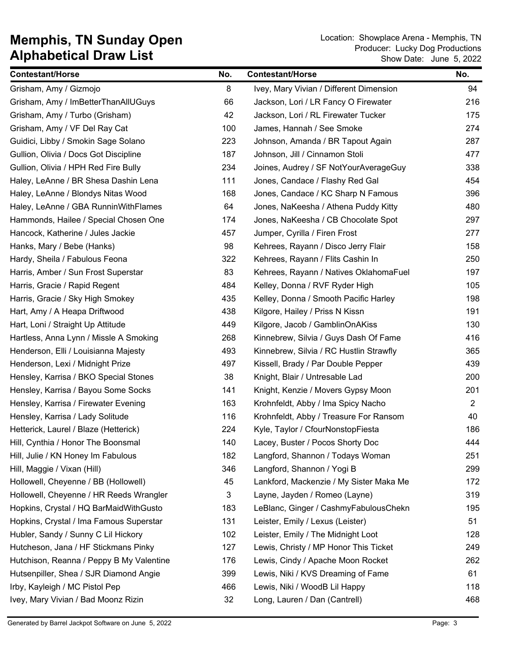| <b>Contestant/Horse</b>                  | No. | <b>Contestant/Horse</b>                 | No.                   |
|------------------------------------------|-----|-----------------------------------------|-----------------------|
| Grisham, Amy / Gizmojo                   | 8   | Ivey, Mary Vivian / Different Dimension | 94                    |
| Grisham, Amy / ImBetterThanAllUGuys      | 66  | Jackson, Lori / LR Fancy O Firewater    | 216                   |
| Grisham, Amy / Turbo (Grisham)           | 42  | Jackson, Lori / RL Firewater Tucker     | 175                   |
| Grisham, Amy / VF Del Ray Cat            | 100 | James, Hannah / See Smoke               | 274                   |
| Guidici, Libby / Smokin Sage Solano      | 223 | Johnson, Amanda / BR Tapout Again       | 287                   |
| Gullion, Olivia / Docs Got Discipline    | 187 | Johnson, Jill / Cinnamon Stoli          | 477                   |
| Gullion, Olivia / HPH Red Fire Bully     | 234 | Joines, Audrey / SF NotYourAverageGuy   | 338                   |
| Haley, LeAnne / BR Shesa Dashin Lena     | 111 | Jones, Candace / Flashy Red Gal         | 454                   |
| Haley, LeAnne / Blondys Nitas Wood       | 168 | Jones, Candace / KC Sharp N Famous      | 396                   |
| Haley, LeAnne / GBA RunninWithFlames     | 64  | Jones, NaKeesha / Athena Puddy Kitty    | 480                   |
| Hammonds, Hailee / Special Chosen One    | 174 | Jones, NaKeesha / CB Chocolate Spot     | 297                   |
| Hancock, Katherine / Jules Jackie        | 457 | Jumper, Cyrilla / Firen Frost           | 277                   |
| Hanks, Mary / Bebe (Hanks)               | 98  | Kehrees, Rayann / Disco Jerry Flair     | 158                   |
| Hardy, Sheila / Fabulous Feona           | 322 | Kehrees, Rayann / Flits Cashin In       | 250                   |
| Harris, Amber / Sun Frost Superstar      | 83  | Kehrees, Rayann / Natives OklahomaFuel  | 197                   |
| Harris, Gracie / Rapid Regent            | 484 | Kelley, Donna / RVF Ryder High          | 105                   |
| Harris, Gracie / Sky High Smokey         | 435 | Kelley, Donna / Smooth Pacific Harley   | 198                   |
| Hart, Amy / A Heapa Driftwood            | 438 | Kilgore, Hailey / Priss N Kissn         | 191                   |
| Hart, Loni / Straight Up Attitude        | 449 | Kilgore, Jacob / GamblinOnAKiss         | 130                   |
| Hartless, Anna Lynn / Missle A Smoking   | 268 | Kinnebrew, Silvia / Guys Dash Of Fame   | 416                   |
| Henderson, Elli / Louisianna Majesty     | 493 | Kinnebrew, Silvia / RC Hustlin Strawfly | 365                   |
| Henderson, Lexi / Midnight Prize         | 497 | Kissell, Brady / Par Double Pepper      | 439                   |
| Hensley, Karrisa / BKO Special Stones    | 38  | Knight, Blair / Untresable Lad          | 200                   |
| Hensley, Karrisa / Bayou Some Socks      | 141 | Knight, Kenzie / Movers Gypsy Moon      | 201                   |
| Hensley, Karrisa / Firewater Evening     | 163 | Krohnfeldt, Abby / Ima Spicy Nacho      | $\mathbf{2}^{\prime}$ |
| Hensley, Karrisa / Lady Solitude         | 116 | Krohnfeldt, Abby / Treasure For Ransom  | 40                    |
| Hetterick, Laurel / Blaze (Hetterick)    | 224 | Kyle, Taylor / CfourNonstopFiesta       | 186                   |
| Hill, Cynthia / Honor The Boonsmal       | 140 | Lacey, Buster / Pocos Shorty Doc        | 444                   |
| Hill, Julie / KN Honey Im Fabulous       | 182 | Langford, Shannon / Todays Woman        | 251                   |
| Hill, Maggie / Vixan (Hill)              | 346 | Langford, Shannon / Yogi B              | 299                   |
| Hollowell, Cheyenne / BB (Hollowell)     | 45  | Lankford, Mackenzie / My Sister Maka Me | 172                   |
| Hollowell, Cheyenne / HR Reeds Wrangler  | 3   | Layne, Jayden / Romeo (Layne)           | 319                   |
| Hopkins, Crystal / HQ BarMaidWithGusto   | 183 | LeBlanc, Ginger / CashmyFabulousChekn   | 195                   |
| Hopkins, Crystal / Ima Famous Superstar  | 131 | Leister, Emily / Lexus (Leister)        | 51                    |
| Hubler, Sandy / Sunny C Lil Hickory      | 102 | Leister, Emily / The Midnight Loot      | 128                   |
| Hutcheson, Jana / HF Stickmans Pinky     | 127 | Lewis, Christy / MP Honor This Ticket   | 249                   |
| Hutchison, Reanna / Peppy B My Valentine | 176 | Lewis, Cindy / Apache Moon Rocket       | 262                   |
| Hutsenpiller, Shea / SJR Diamond Angie   | 399 | Lewis, Niki / KVS Dreaming of Fame      | 61                    |
| Irby, Kayleigh / MC Pistol Pep           | 466 | Lewis, Niki / WoodB Lil Happy           | 118                   |
| Ivey, Mary Vivian / Bad Moonz Rizin      | 32  | Long, Lauren / Dan (Cantrell)           | 468                   |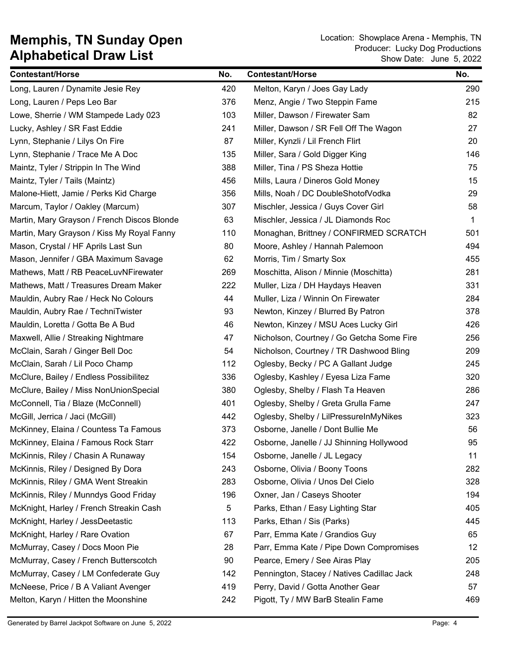| <b>Contestant/Horse</b>                     | No. | <b>Contestant/Horse</b>                    | No.         |
|---------------------------------------------|-----|--------------------------------------------|-------------|
| Long, Lauren / Dynamite Jesie Rey           | 420 | Melton, Karyn / Joes Gay Lady              | 290         |
| Long, Lauren / Peps Leo Bar                 | 376 | Menz, Angie / Two Steppin Fame             | 215         |
| Lowe, Sherrie / WM Stampede Lady 023        | 103 | Miller, Dawson / Firewater Sam             | 82          |
| Lucky, Ashley / SR Fast Eddie               | 241 | Miller, Dawson / SR Fell Off The Wagon     | 27          |
| Lynn, Stephanie / Lilys On Fire             | 87  | Miller, Kynzli / Lil French Flirt          | 20          |
| Lynn, Stephanie / Trace Me A Doc            | 135 | Miller, Sara / Gold Digger King            | 146         |
| Maintz, Tyler / Strippin In The Wind        | 388 | Miller, Tina / PS Sheza Hottie             | 75          |
| Maintz, Tyler / Tails (Maintz)              | 456 | Mills, Laura / Dineros Gold Money          | 15          |
| Malone-Hiett, Jamie / Perks Kid Charge      | 356 | Mills, Noah / DC DoubleShotofVodka         | 29          |
| Marcum, Taylor / Oakley (Marcum)            | 307 | Mischler, Jessica / Guys Cover Girl        | 58          |
| Martin, Mary Grayson / French Discos Blonde | 63  | Mischler, Jessica / JL Diamonds Roc        | $\mathbf 1$ |
| Martin, Mary Grayson / Kiss My Royal Fanny  | 110 | Monaghan, Brittney / CONFIRMED SCRATCH     | 501         |
| Mason, Crystal / HF Aprils Last Sun         | 80  | Moore, Ashley / Hannah Palemoon            | 494         |
| Mason, Jennifer / GBA Maximum Savage        | 62  | Morris, Tim / Smarty Sox                   | 455         |
| Mathews, Matt / RB PeaceLuvNFirewater       | 269 | Moschitta, Alison / Minnie (Moschitta)     | 281         |
| Mathews, Matt / Treasures Dream Maker       | 222 | Muller, Liza / DH Haydays Heaven           | 331         |
| Mauldin, Aubry Rae / Heck No Colours        | 44  | Muller, Liza / Winnin On Firewater         | 284         |
| Mauldin, Aubry Rae / TechniTwister          | 93  | Newton, Kinzey / Blurred By Patron         | 378         |
| Mauldin, Loretta / Gotta Be A Bud           | 46  | Newton, Kinzey / MSU Aces Lucky Girl       | 426         |
| Maxwell, Allie / Streaking Nightmare        | 47  | Nicholson, Courtney / Go Getcha Some Fire  | 256         |
| McClain, Sarah / Ginger Bell Doc            | 54  | Nicholson, Courtney / TR Dashwood Bling    | 209         |
| McClain, Sarah / Lil Poco Champ             | 112 | Oglesby, Becky / PC A Gallant Judge        | 245         |
| McClure, Bailey / Endless Possibilitez      | 336 | Oglesby, Kashley / Eyesa Liza Fame         | 320         |
| McClure, Bailey / Miss NonUnionSpecial      | 380 | Oglesby, Shelby / Flash Ta Heaven          | 286         |
| McConnell, Tia / Blaze (McConnell)          | 401 | Oglesby, Shelby / Greta Grulla Fame        | 247         |
| McGill, Jerrica / Jaci (McGill)             | 442 | Oglesby, Shelby / LilPressureInMyNikes     | 323         |
| McKinney, Elaina / Countess Ta Famous       | 373 | Osborne, Janelle / Dont Bullie Me          | 56          |
| McKinney, Elaina / Famous Rock Starr        | 422 | Osborne, Janelle / JJ Shinning Hollywood   | 95          |
| McKinnis, Riley / Chasin A Runaway          | 154 | Osborne, Janelle / JL Legacy               | 11          |
| McKinnis, Riley / Designed By Dora          | 243 | Osborne, Olivia / Boony Toons              | 282         |
| McKinnis, Riley / GMA Went Streakin         | 283 | Osborne, Olivia / Unos Del Cielo           | 328         |
| McKinnis, Riley / Munndys Good Friday       | 196 | Oxner, Jan / Caseys Shooter                | 194         |
| McKnight, Harley / French Streakin Cash     | 5   | Parks, Ethan / Easy Lighting Star          | 405         |
| McKnight, Harley / JessDeetastic            | 113 | Parks, Ethan / Sis (Parks)                 | 445         |
| McKnight, Harley / Rare Ovation             | 67  | Parr, Emma Kate / Grandios Guy             | 65          |
| McMurray, Casey / Docs Moon Pie             | 28  | Parr, Emma Kate / Pipe Down Compromises    | 12          |
| McMurray, Casey / French Butterscotch       | 90  | Pearce, Emery / See Airas Play             | 205         |
| McMurray, Casey / LM Confederate Guy        | 142 | Pennington, Stacey / Natives Cadillac Jack | 248         |
| McNeese, Price / B A Valiant Avenger        | 419 | Perry, David / Gotta Another Gear          | 57          |
| Melton, Karyn / Hitten the Moonshine        | 242 | Pigott, Ty / MW BarB Stealin Fame          | 469         |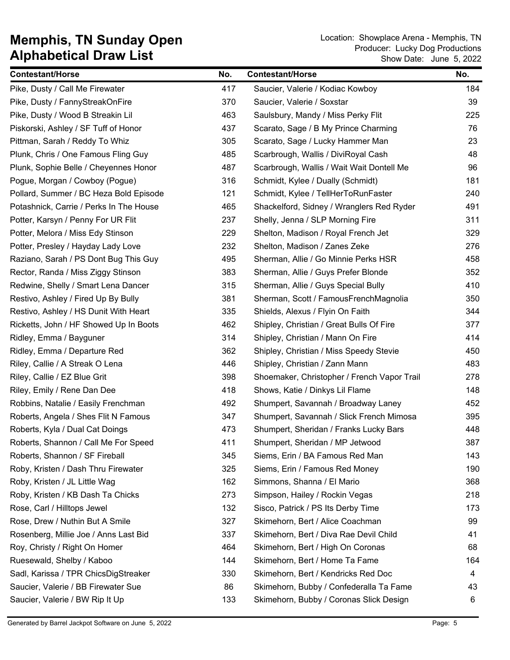| <b>Contestant/Horse</b>                 | No. | <b>Contestant/Horse</b>                     | No. |
|-----------------------------------------|-----|---------------------------------------------|-----|
| Pike, Dusty / Call Me Firewater         | 417 | Saucier, Valerie / Kodiac Kowboy            | 184 |
| Pike, Dusty / FannyStreakOnFire         | 370 | Saucier, Valerie / Soxstar                  | 39  |
| Pike, Dusty / Wood B Streakin Lil       | 463 | Saulsbury, Mandy / Miss Perky Flit          | 225 |
| Piskorski, Ashley / SF Tuff of Honor    | 437 | Scarato, Sage / B My Prince Charming        | 76  |
| Pittman, Sarah / Reddy To Whiz          | 305 | Scarato, Sage / Lucky Hammer Man            | 23  |
| Plunk, Chris / One Famous Fling Guy     | 485 | Scarbrough, Wallis / DiviRoyal Cash         | 48  |
| Plunk, Sophie Belle / Cheyennes Honor   | 487 | Scarbrough, Wallis / Wait Wait Dontell Me   | 96  |
| Pogue, Morgan / Cowboy (Pogue)          | 316 | Schmidt, Kylee / Dually (Schmidt)           | 181 |
| Pollard, Summer / BC Heza Bold Episode  | 121 | Schmidt, Kylee / TellHerToRunFaster         | 240 |
| Potashnick, Carrie / Perks In The House | 465 | Shackelford, Sidney / Wranglers Red Ryder   | 491 |
| Potter, Karsyn / Penny For UR Flit      | 237 | Shelly, Jenna / SLP Morning Fire            | 311 |
| Potter, Melora / Miss Edy Stinson       | 229 | Shelton, Madison / Royal French Jet         | 329 |
| Potter, Presley / Hayday Lady Love      | 232 | Shelton, Madison / Zanes Zeke               | 276 |
| Raziano, Sarah / PS Dont Bug This Guy   | 495 | Sherman, Allie / Go Minnie Perks HSR        | 458 |
| Rector, Randa / Miss Ziggy Stinson      | 383 | Sherman, Allie / Guys Prefer Blonde         | 352 |
| Redwine, Shelly / Smart Lena Dancer     | 315 | Sherman, Allie / Guys Special Bully         | 410 |
| Restivo, Ashley / Fired Up By Bully     | 381 | Sherman, Scott / FamousFrenchMagnolia       | 350 |
| Restivo, Ashley / HS Dunit With Heart   | 335 | Shields, Alexus / Flyin On Faith            | 344 |
| Ricketts, John / HF Showed Up In Boots  | 462 | Shipley, Christian / Great Bulls Of Fire    | 377 |
| Ridley, Emma / Bayguner                 | 314 | Shipley, Christian / Mann On Fire           | 414 |
| Ridley, Emma / Departure Red            | 362 | Shipley, Christian / Miss Speedy Stevie     | 450 |
| Riley, Callie / A Streak O Lena         | 446 | Shipley, Christian / Zann Mann              | 483 |
| Riley, Callie / EZ Blue Grit            | 398 | Shoemaker, Christopher / French Vapor Trail | 278 |
| Riley, Emily / Rene Dan Dee             | 418 | Shows, Katie / Dinkys Lil Flame             | 148 |
| Robbins, Natalie / Easily Frenchman     | 492 | Shumpert, Savannah / Broadway Laney         | 452 |
| Roberts, Angela / Shes Flit N Famous    | 347 | Shumpert, Savannah / Slick French Mimosa    | 395 |
| Roberts, Kyla / Dual Cat Doings         | 473 | Shumpert, Sheridan / Franks Lucky Bars      | 448 |
| Roberts, Shannon / Call Me For Speed    | 411 | Shumpert, Sheridan / MP Jetwood             | 387 |
| Roberts, Shannon / SF Fireball          | 345 | Siems, Erin / BA Famous Red Man             | 143 |
| Roby, Kristen / Dash Thru Firewater     | 325 | Siems, Erin / Famous Red Money              | 190 |
| Roby, Kristen / JL Little Wag           | 162 | Simmons, Shanna / El Mario                  | 368 |
| Roby, Kristen / KB Dash Ta Chicks       | 273 | Simpson, Hailey / Rockin Vegas              | 218 |
| Rose, Carl / Hilltops Jewel             | 132 | Sisco, Patrick / PS Its Derby Time          | 173 |
| Rose, Drew / Nuthin But A Smile         | 327 | Skimehorn, Bert / Alice Coachman            | 99  |
| Rosenberg, Millie Joe / Anns Last Bid   | 337 | Skimehorn, Bert / Diva Rae Devil Child      | 41  |
| Roy, Christy / Right On Homer           | 464 | Skimehorn, Bert / High On Coronas           | 68  |
| Ruesewald, Shelby / Kaboo               | 144 | Skimehorn, Bert / Home Ta Fame              | 164 |
| Sadl, Karissa / TPR ChicsDigStreaker    | 330 | Skimehorn, Bert / Kendricks Red Doc         | 4   |
| Saucier, Valerie / BB Firewater Sue     | 86  | Skimehorn, Bubby / Confederalla Ta Fame     | 43  |
| Saucier, Valerie / BW Rip It Up         | 133 | Skimehorn, Bubby / Coronas Slick Design     | 6   |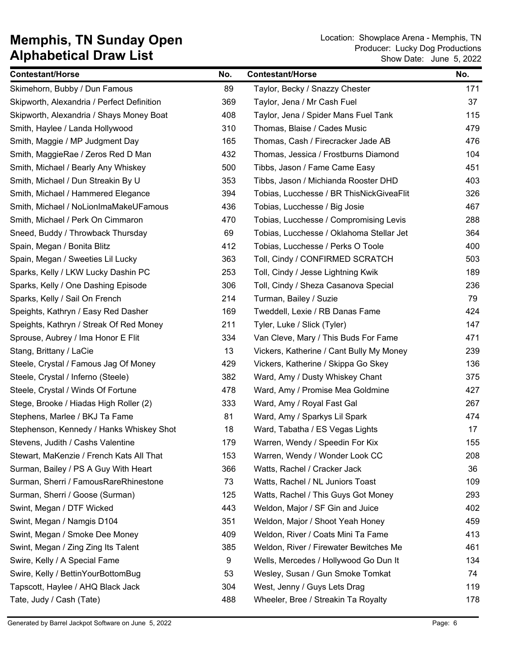| <b>Contestant/Horse</b>                    | No. | <b>Contestant/Horse</b>                  | No. |
|--------------------------------------------|-----|------------------------------------------|-----|
| Skimehorn, Bubby / Dun Famous              | 89  | Taylor, Becky / Snazzy Chester           | 171 |
| Skipworth, Alexandria / Perfect Definition | 369 | Taylor, Jena / Mr Cash Fuel              | 37  |
| Skipworth, Alexandria / Shays Money Boat   | 408 | Taylor, Jena / Spider Mans Fuel Tank     | 115 |
| Smith, Haylee / Landa Hollywood            | 310 | Thomas, Blaise / Cades Music             | 479 |
| Smith, Maggie / MP Judgment Day            | 165 | Thomas, Cash / Firecracker Jade AB       | 476 |
| Smith, MaggieRae / Zeros Red D Man         | 432 | Thomas, Jessica / Frostburns Diamond     | 104 |
| Smith, Michael / Bearly Any Whiskey        | 500 | Tibbs, Jason / Fame Came Easy            | 451 |
| Smith, Michael / Dun Streakin By U         | 353 | Tibbs, Jason / Michianda Rooster DHD     | 403 |
| Smith, Michael / Hammered Elegance         | 394 | Tobias, Lucchesse / BR ThisNickGiveaFlit | 326 |
| Smith, Michael / NoLionImaMakeUFamous      | 436 | Tobias, Lucchesse / Big Josie            | 467 |
| Smith, Michael / Perk On Cimmaron          | 470 | Tobias, Lucchesse / Compromising Levis   | 288 |
| Sneed, Buddy / Throwback Thursday          | 69  | Tobias, Lucchesse / Oklahoma Stellar Jet | 364 |
| Spain, Megan / Bonita Blitz                | 412 | Tobias, Lucchesse / Perks O Toole        | 400 |
| Spain, Megan / Sweeties Lil Lucky          | 363 | Toll, Cindy / CONFIRMED SCRATCH          | 503 |
| Sparks, Kelly / LKW Lucky Dashin PC        | 253 | Toll, Cindy / Jesse Lightning Kwik       | 189 |
| Sparks, Kelly / One Dashing Episode        | 306 | Toll, Cindy / Sheza Casanova Special     | 236 |
| Sparks, Kelly / Sail On French             | 214 | Turman, Bailey / Suzie                   | 79  |
| Speights, Kathryn / Easy Red Dasher        | 169 | Tweddell, Lexie / RB Danas Fame          | 424 |
| Speights, Kathryn / Streak Of Red Money    | 211 | Tyler, Luke / Slick (Tyler)              | 147 |
| Sprouse, Aubrey / Ima Honor E Flit         | 334 | Van Cleve, Mary / This Buds For Fame     | 471 |
| Stang, Brittany / LaCie                    | 13  | Vickers, Katherine / Cant Bully My Money | 239 |
| Steele, Crystal / Famous Jag Of Money      | 429 | Vickers, Katherine / Skippa Go Skey      | 136 |
| Steele, Crystal / Inferno (Steele)         | 382 | Ward, Amy / Dusty Whiskey Chant          | 375 |
| Steele, Crystal / Winds Of Fortune         | 478 | Ward, Amy / Promise Mea Goldmine         | 427 |
| Stege, Brooke / Hiadas High Roller (2)     | 333 | Ward, Amy / Royal Fast Gal               | 267 |
| Stephens, Marlee / BKJ Ta Fame             | 81  | Ward, Amy / Sparkys Lil Spark            | 474 |
| Stephenson, Kennedy / Hanks Whiskey Shot   | 18  | Ward, Tabatha / ES Vegas Lights          | 17  |
| Stevens, Judith / Cashs Valentine          | 179 | Warren, Wendy / Speedin For Kix          | 155 |
| Stewart, MaKenzie / French Kats All That   | 153 | Warren, Wendy / Wonder Look CC           | 208 |
| Surman, Bailey / PS A Guy With Heart       | 366 | Watts, Rachel / Cracker Jack             | 36  |
| Surman, Sherri / FamousRareRhinestone      | 73  | Watts, Rachel / NL Juniors Toast         | 109 |
| Surman, Sherri / Goose (Surman)            | 125 | Watts, Rachel / This Guys Got Money      | 293 |
| Swint, Megan / DTF Wicked                  | 443 | Weldon, Major / SF Gin and Juice         | 402 |
| Swint, Megan / Namgis D104                 | 351 | Weldon, Major / Shoot Yeah Honey         | 459 |
| Swint, Megan / Smoke Dee Money             | 409 | Weldon, River / Coats Mini Ta Fame       | 413 |
| Swint, Megan / Zing Zing Its Talent        | 385 | Weldon, River / Firewater Bewitches Me   | 461 |
| Swire, Kelly / A Special Fame              | 9   | Wells, Mercedes / Hollywood Go Dun It    | 134 |
| Swire, Kelly / BettinYourBottomBug         | 53  | Wesley, Susan / Gun Smoke Tomkat         | 74  |
| Tapscott, Haylee / AHQ Black Jack          | 304 | West, Jenny / Guys Lets Drag             | 119 |
| Tate, Judy / Cash (Tate)                   | 488 | Wheeler, Bree / Streakin Ta Royalty      | 178 |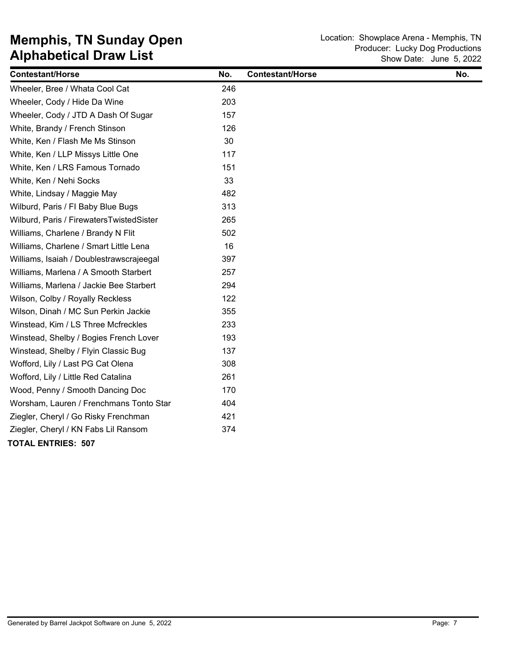| <b>Contestant/Horse</b>                  | No. | <b>Contestant/Horse</b> | No. |
|------------------------------------------|-----|-------------------------|-----|
| Wheeler, Bree / Whata Cool Cat           | 246 |                         |     |
| Wheeler, Cody / Hide Da Wine             | 203 |                         |     |
| Wheeler, Cody / JTD A Dash Of Sugar      | 157 |                         |     |
| White, Brandy / French Stinson           | 126 |                         |     |
| White, Ken / Flash Me Ms Stinson         | 30  |                         |     |
| White, Ken / LLP Missys Little One       | 117 |                         |     |
| White, Ken / LRS Famous Tornado          | 151 |                         |     |
| White, Ken / Nehi Socks                  | 33  |                         |     |
| White, Lindsay / Maggie May              | 482 |                         |     |
| Wilburd, Paris / FI Baby Blue Bugs       | 313 |                         |     |
| Wilburd, Paris / FirewatersTwistedSister | 265 |                         |     |
| Williams, Charlene / Brandy N Flit       | 502 |                         |     |
| Williams, Charlene / Smart Little Lena   | 16  |                         |     |
| Williams, Isaiah / Doublestrawscrajeegal | 397 |                         |     |
| Williams, Marlena / A Smooth Starbert    | 257 |                         |     |
| Williams, Marlena / Jackie Bee Starbert  | 294 |                         |     |
| Wilson, Colby / Royally Reckless         | 122 |                         |     |
| Wilson, Dinah / MC Sun Perkin Jackie     | 355 |                         |     |
| Winstead, Kim / LS Three Mcfreckles      | 233 |                         |     |
| Winstead, Shelby / Bogies French Lover   | 193 |                         |     |
| Winstead, Shelby / Flyin Classic Bug     | 137 |                         |     |
| Wofford, Lily / Last PG Cat Olena        | 308 |                         |     |
| Wofford, Lily / Little Red Catalina      | 261 |                         |     |
| Wood, Penny / Smooth Dancing Doc         | 170 |                         |     |
| Worsham, Lauren / Frenchmans Tonto Star  | 404 |                         |     |
| Ziegler, Cheryl / Go Risky Frenchman     | 421 |                         |     |
| Ziegler, Cheryl / KN Fabs Lil Ransom     | 374 |                         |     |
| <b>TOTAL ENTRIES: 507</b>                |     |                         |     |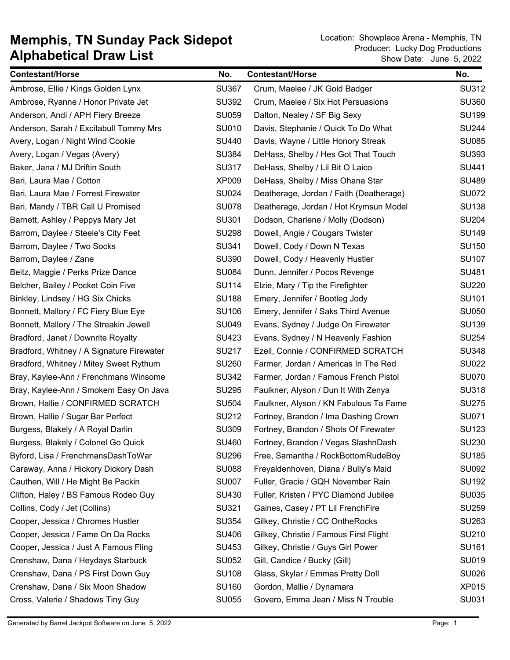| <b>Contestant/Horse</b>                   | No.          | <b>Contestant/Horse</b>                 | No.          |
|-------------------------------------------|--------------|-----------------------------------------|--------------|
| Ambrose, Ellie / Kings Golden Lynx        | <b>SU367</b> | Crum, Maelee / JK Gold Badger           | <b>SU312</b> |
| Ambrose, Ryanne / Honor Private Jet       | <b>SU392</b> | Crum, Maelee / Six Hot Persuasions      | <b>SU360</b> |
| Anderson, Andi / APH Fiery Breeze         | <b>SU059</b> | Dalton, Nealey / SF Big Sexy            | <b>SU199</b> |
| Anderson, Sarah / Excitabull Tommy Mrs    | <b>SU010</b> | Davis, Stephanie / Quick To Do What     | <b>SU244</b> |
| Avery, Logan / Night Wind Cookie          | <b>SU440</b> | Davis, Wayne / Little Honory Streak     | <b>SU085</b> |
| Avery, Logan / Vegas (Avery)              | <b>SU384</b> | DeHass, Shelby / Hes Got That Touch     | SU393        |
| Baker, Jana / MJ Driftin South            | <b>SU317</b> | DeHass, Shelby / Lil Bit O Laico        | SU441        |
| Bari, Laura Mae / Cotton                  | <b>XP009</b> | DeHass, Shelby / Miss Ohana Star        | <b>SU489</b> |
| Bari, Laura Mae / Forrest Firewater       | <b>SU024</b> | Deatherage, Jordan / Faith (Deatherage) | <b>SU072</b> |
| Bari, Mandy / TBR Call U Promised         | <b>SU078</b> | Deatherage, Jordan / Hot Krymsun Model  | <b>SU138</b> |
| Barnett, Ashley / Peppys Mary Jet         | SU301        | Dodson, Charlene / Molly (Dodson)       | <b>SU204</b> |
| Barrom, Daylee / Steele's City Feet       | <b>SU298</b> | Dowell, Angie / Cougars Twister         | <b>SU149</b> |
| Barrom, Daylee / Two Socks                | SU341        | Dowell, Cody / Down N Texas             | SU150        |
| Barrom, Daylee / Zane                     | <b>SU390</b> | Dowell, Cody / Heavenly Hustler         | <b>SU107</b> |
| Beitz, Maggie / Perks Prize Dance         | <b>SU084</b> | Dunn, Jennifer / Pocos Revenge          | SU481        |
| Belcher, Bailey / Pocket Coin Five        | <b>SU114</b> | Elzie, Mary / Tip the Firefighter       | <b>SU220</b> |
| Binkley, Lindsey / HG Six Chicks          | <b>SU188</b> | Emery, Jennifer / Bootleg Jody          | SU101        |
| Bonnett, Mallory / FC Fiery Blue Eye      | SU106        | Emery, Jennifer / Saks Third Avenue     | <b>SU050</b> |
| Bonnett, Mallory / The Streakin Jewell    | <b>SU049</b> | Evans, Sydney / Judge On Firewater      | <b>SU139</b> |
| Bradford, Janet / Downrite Royalty        | <b>SU423</b> | Evans, Sydney / N Heavenly Fashion      | <b>SU254</b> |
| Bradford, Whitney / A Signature Firewater | <b>SU217</b> | Ezell, Connie / CONFIRMED SCRATCH       | <b>SU348</b> |
| Bradford, Whitney / Mitey Sweet Rythum    | <b>SU260</b> | Farmer, Jordan / Americas In The Red    | <b>SU022</b> |
| Bray, Kaylee-Ann / Frenchmans Winsome     | <b>SU342</b> | Farmer, Jordan / Famous French Pistol   | <b>SU070</b> |
| Bray, Kaylee-Ann / Smokem Easy On Java    | <b>SU295</b> | Faulkner, Alyson / Dun It With Zenya    | <b>SU318</b> |
| Brown, Hallie / CONFIRMED SCRATCH         | <b>SU504</b> | Faulkner, Alyson / KN Fabulous Ta Fame  | <b>SU275</b> |
| Brown, Hallie / Sugar Bar Perfect         | SU212        | Fortney, Brandon / Ima Dashing Crown    | <b>SU071</b> |
| Burgess, Blakely / A Royal Darlin         | <b>SU309</b> | Fortney, Brandon / Shots Of Firewater   | <b>SU123</b> |
| Burgess, Blakely / Colonel Go Quick       | <b>SU460</b> | Fortney, Brandon / Vegas SlashnDash     | <b>SU230</b> |
| Byford, Lisa / FrenchmansDashToWar        | <b>SU296</b> | Free, Samantha / RockBottomRudeBoy      | <b>SU185</b> |
| Caraway, Anna / Hickory Dickory Dash      | <b>SU088</b> | Freyaldenhoven, Diana / Bully's Maid    | <b>SU092</b> |
| Cauthen, Will / He Might Be Packin        | <b>SU007</b> | Fuller, Gracie / GQH November Rain      | <b>SU192</b> |
| Clifton, Haley / BS Famous Rodeo Guy      | SU430        | Fuller, Kristen / PYC Diamond Jubilee   | <b>SU035</b> |
| Collins, Cody / Jet (Collins)             | SU321        | Gaines, Casey / PT Lil FrenchFire       | <b>SU259</b> |
| Cooper, Jessica / Chromes Hustler         | <b>SU354</b> | Gilkey, Christie / CC OntheRocks        | SU263        |
| Cooper, Jessica / Fame On Da Rocks        | SU406        | Gilkey, Christie / Famous First Flight  | SU210        |
| Cooper, Jessica / Just A Famous Fling     | SU453        | Gilkey, Christie / Guys Girl Power      | SU161        |
| Crenshaw, Dana / Heydays Starbuck         | <b>SU052</b> | Gill, Candice / Bucky (Gill)            | SU019        |
| Crenshaw, Dana / PS First Down Guy        | <b>SU108</b> | Glass, Skylar / Emmas Pretty Doll       | <b>SU026</b> |
| Crenshaw, Dana / Six Moon Shadow          | SU160        | Gordon, Mallie / Dynamara               | XP015        |
| Cross, Valerie / Shadows Tiny Guy         | <b>SU055</b> | Govero, Emma Jean / Miss N Trouble      | SU031        |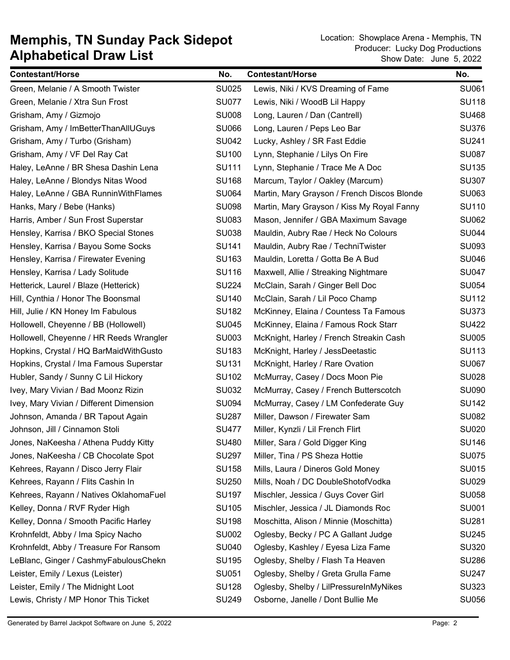| <b>Contestant/Horse</b>                 | No.          | <b>Contestant/Horse</b>                     | No.          |
|-----------------------------------------|--------------|---------------------------------------------|--------------|
| Green, Melanie / A Smooth Twister       | <b>SU025</b> | Lewis, Niki / KVS Dreaming of Fame          | SU061        |
| Green, Melanie / Xtra Sun Frost         | <b>SU077</b> | Lewis, Niki / WoodB Lil Happy               | <b>SU118</b> |
| Grisham, Amy / Gizmojo                  | <b>SU008</b> | Long, Lauren / Dan (Cantrell)               | <b>SU468</b> |
| Grisham, Amy / ImBetterThanAllUGuys     | <b>SU066</b> | Long, Lauren / Peps Leo Bar                 | <b>SU376</b> |
| Grisham, Amy / Turbo (Grisham)          | <b>SU042</b> | Lucky, Ashley / SR Fast Eddie               | <b>SU241</b> |
| Grisham, Amy / VF Del Ray Cat           | <b>SU100</b> | Lynn, Stephanie / Lilys On Fire             | <b>SU087</b> |
| Haley, LeAnne / BR Shesa Dashin Lena    | SU111        | Lynn, Stephanie / Trace Me A Doc            | <b>SU135</b> |
| Haley, LeAnne / Blondys Nitas Wood      | <b>SU168</b> | Marcum, Taylor / Oakley (Marcum)            | <b>SU307</b> |
| Haley, LeAnne / GBA RunninWithFlames    | <b>SU064</b> | Martin, Mary Grayson / French Discos Blonde | SU063        |
| Hanks, Mary / Bebe (Hanks)              | <b>SU098</b> | Martin, Mary Grayson / Kiss My Royal Fanny  | <b>SU110</b> |
| Harris, Amber / Sun Frost Superstar     | <b>SU083</b> | Mason, Jennifer / GBA Maximum Savage        | <b>SU062</b> |
| Hensley, Karrisa / BKO Special Stones   | <b>SU038</b> | Mauldin, Aubry Rae / Heck No Colours        | <b>SU044</b> |
| Hensley, Karrisa / Bayou Some Socks     | <b>SU141</b> | Mauldin, Aubry Rae / TechniTwister          | <b>SU093</b> |
| Hensley, Karrisa / Firewater Evening    | SU163        | Mauldin, Loretta / Gotta Be A Bud           | <b>SU046</b> |
| Hensley, Karrisa / Lady Solitude        | <b>SU116</b> | Maxwell, Allie / Streaking Nightmare        | <b>SU047</b> |
| Hetterick, Laurel / Blaze (Hetterick)   | <b>SU224</b> | McClain, Sarah / Ginger Bell Doc            | <b>SU054</b> |
| Hill, Cynthia / Honor The Boonsmal      | <b>SU140</b> | McClain, Sarah / Lil Poco Champ             | <b>SU112</b> |
| Hill, Julie / KN Honey Im Fabulous      | <b>SU182</b> | McKinney, Elaina / Countess Ta Famous       | <b>SU373</b> |
| Hollowell, Cheyenne / BB (Hollowell)    | <b>SU045</b> | McKinney, Elaina / Famous Rock Starr        | <b>SU422</b> |
| Hollowell, Cheyenne / HR Reeds Wrangler | SU003        | McKnight, Harley / French Streakin Cash     | <b>SU005</b> |
| Hopkins, Crystal / HQ BarMaidWithGusto  | SU183        | McKnight, Harley / JessDeetastic            | SU113        |
| Hopkins, Crystal / Ima Famous Superstar | SU131        | McKnight, Harley / Rare Ovation             | <b>SU067</b> |
| Hubler, Sandy / Sunny C Lil Hickory     | SU102        | McMurray, Casey / Docs Moon Pie             | <b>SU028</b> |
| Ivey, Mary Vivian / Bad Moonz Rizin     | <b>SU032</b> | McMurray, Casey / French Butterscotch       | <b>SU090</b> |
| Ivey, Mary Vivian / Different Dimension | <b>SU094</b> | McMurray, Casey / LM Confederate Guy        | <b>SU142</b> |
| Johnson, Amanda / BR Tapout Again       | <b>SU287</b> | Miller, Dawson / Firewater Sam              | <b>SU082</b> |
| Johnson, Jill / Cinnamon Stoli          | <b>SU477</b> | Miller, Kynzli / Lil French Flirt           | <b>SU020</b> |
| Jones, NaKeesha / Athena Puddy Kitty    | <b>SU480</b> | Miller, Sara / Gold Digger King             | <b>SU146</b> |
| Jones, NaKeesha / CB Chocolate Spot     | <b>SU297</b> | Miller, Tina / PS Sheza Hottie              | <b>SU075</b> |
| Kehrees, Rayann / Disco Jerry Flair     | <b>SU158</b> | Mills, Laura / Dineros Gold Money           | <b>SU015</b> |
| Kehrees, Rayann / Flits Cashin In       | <b>SU250</b> | Mills, Noah / DC DoubleShotofVodka          | <b>SU029</b> |
| Kehrees, Rayann / Natives OklahomaFuel  | <b>SU197</b> | Mischler, Jessica / Guys Cover Girl         | <b>SU058</b> |
| Kelley, Donna / RVF Ryder High          | SU105        | Mischler, Jessica / JL Diamonds Roc         | <b>SU001</b> |
| Kelley, Donna / Smooth Pacific Harley   | <b>SU198</b> | Moschitta, Alison / Minnie (Moschitta)      | <b>SU281</b> |
| Krohnfeldt, Abby / Ima Spicy Nacho      | <b>SU002</b> | Oglesby, Becky / PC A Gallant Judge         | <b>SU245</b> |
| Krohnfeldt, Abby / Treasure For Ransom  | <b>SU040</b> | Oglesby, Kashley / Eyesa Liza Fame          | <b>SU320</b> |
| LeBlanc, Ginger / CashmyFabulousChekn   | <b>SU195</b> | Oglesby, Shelby / Flash Ta Heaven           | <b>SU286</b> |
| Leister, Emily / Lexus (Leister)        | SU051        | Oglesby, Shelby / Greta Grulla Fame         | <b>SU247</b> |
| Leister, Emily / The Midnight Loot      | <b>SU128</b> | Oglesby, Shelby / LilPressureInMyNikes      | <b>SU323</b> |
| Lewis, Christy / MP Honor This Ticket   | <b>SU249</b> | Osborne, Janelle / Dont Bullie Me           | <b>SU056</b> |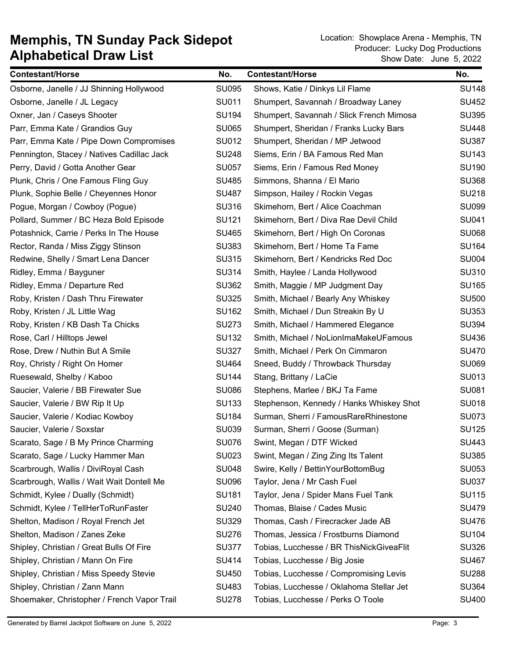| <b>Contestant/Horse</b>                     | No.          | <b>Contestant/Horse</b>                  | No.          |
|---------------------------------------------|--------------|------------------------------------------|--------------|
| Osborne, Janelle / JJ Shinning Hollywood    | <b>SU095</b> | Shows, Katie / Dinkys Lil Flame          | <b>SU148</b> |
| Osborne, Janelle / JL Legacy                | SU011        | Shumpert, Savannah / Broadway Laney      | SU452        |
| Oxner, Jan / Caseys Shooter                 | <b>SU194</b> | Shumpert, Savannah / Slick French Mimosa | <b>SU395</b> |
| Parr, Emma Kate / Grandios Guy              | <b>SU065</b> | Shumpert, Sheridan / Franks Lucky Bars   | <b>SU448</b> |
| Parr, Emma Kate / Pipe Down Compromises     | <b>SU012</b> | Shumpert, Sheridan / MP Jetwood          | <b>SU387</b> |
| Pennington, Stacey / Natives Cadillac Jack  | <b>SU248</b> | Siems, Erin / BA Famous Red Man          | <b>SU143</b> |
| Perry, David / Gotta Another Gear           | <b>SU057</b> | Siems, Erin / Famous Red Money           | <b>SU190</b> |
| Plunk, Chris / One Famous Fling Guy         | <b>SU485</b> | Simmons, Shanna / El Mario               | <b>SU368</b> |
| Plunk, Sophie Belle / Cheyennes Honor       | <b>SU487</b> | Simpson, Hailey / Rockin Vegas           | <b>SU218</b> |
| Pogue, Morgan / Cowboy (Pogue)              | <b>SU316</b> | Skimehorn, Bert / Alice Coachman         | <b>SU099</b> |
| Pollard, Summer / BC Heza Bold Episode      | SU121        | Skimehorn, Bert / Diva Rae Devil Child   | SU041        |
| Potashnick, Carrie / Perks In The House     | SU465        | Skimehorn, Bert / High On Coronas        | <b>SU068</b> |
| Rector, Randa / Miss Ziggy Stinson          | <b>SU383</b> | Skimehorn, Bert / Home Ta Fame           | <b>SU164</b> |
| Redwine, Shelly / Smart Lena Dancer         | <b>SU315</b> | Skimehorn, Bert / Kendricks Red Doc      | <b>SU004</b> |
| Ridley, Emma / Bayguner                     | <b>SU314</b> | Smith, Haylee / Landa Hollywood          | <b>SU310</b> |
| Ridley, Emma / Departure Red                | <b>SU362</b> | Smith, Maggie / MP Judgment Day          | <b>SU165</b> |
| Roby, Kristen / Dash Thru Firewater         | <b>SU325</b> | Smith, Michael / Bearly Any Whiskey      | <b>SU500</b> |
| Roby, Kristen / JL Little Wag               | <b>SU162</b> | Smith, Michael / Dun Streakin By U       | <b>SU353</b> |
| Roby, Kristen / KB Dash Ta Chicks           | <b>SU273</b> | Smith, Michael / Hammered Elegance       | <b>SU394</b> |
| Rose, Carl / Hilltops Jewel                 | <b>SU132</b> | Smith, Michael / NoLionImaMakeUFamous    | SU436        |
| Rose, Drew / Nuthin But A Smile             | <b>SU327</b> | Smith, Michael / Perk On Cimmaron        | <b>SU470</b> |
| Roy, Christy / Right On Homer               | SU464        | Sneed, Buddy / Throwback Thursday        | <b>SU069</b> |
| Ruesewald, Shelby / Kaboo                   | <b>SU144</b> | Stang, Brittany / LaCie                  | <b>SU013</b> |
| Saucier, Valerie / BB Firewater Sue         | <b>SU086</b> | Stephens, Marlee / BKJ Ta Fame           | <b>SU081</b> |
| Saucier, Valerie / BW Rip It Up             | <b>SU133</b> | Stephenson, Kennedy / Hanks Whiskey Shot | <b>SU018</b> |
| Saucier, Valerie / Kodiac Kowboy            | <b>SU184</b> | Surman, Sherri / FamousRareRhinestone    | <b>SU073</b> |
| Saucier, Valerie / Soxstar                  | <b>SU039</b> | Surman, Sherri / Goose (Surman)          | <b>SU125</b> |
| Scarato, Sage / B My Prince Charming        | <b>SU076</b> | Swint, Megan / DTF Wicked                | SU443        |
| Scarato, Sage / Lucky Hammer Man            | <b>SU023</b> | Swint, Megan / Zing Zing Its Talent      | <b>SU385</b> |
| Scarbrough, Wallis / DiviRoyal Cash         | <b>SU048</b> | Swire, Kelly / BettinYourBottomBug       | SU053        |
| Scarbrough, Wallis / Wait Wait Dontell Me   | <b>SU096</b> | Taylor, Jena / Mr Cash Fuel              | <b>SU037</b> |
| Schmidt, Kylee / Dually (Schmidt)           | SU181        | Taylor, Jena / Spider Mans Fuel Tank     | <b>SU115</b> |
| Schmidt, Kylee / TellHerToRunFaster         | <b>SU240</b> | Thomas, Blaise / Cades Music             | <b>SU479</b> |
| Shelton, Madison / Royal French Jet         | <b>SU329</b> | Thomas, Cash / Firecracker Jade AB       | <b>SU476</b> |
| Shelton, Madison / Zanes Zeke               | <b>SU276</b> | Thomas, Jessica / Frostburns Diamond     | <b>SU104</b> |
| Shipley, Christian / Great Bulls Of Fire    | <b>SU377</b> | Tobias, Lucchesse / BR ThisNickGiveaFlit | <b>SU326</b> |
| Shipley, Christian / Mann On Fire           | SU414        | Tobias, Lucchesse / Big Josie            | <b>SU467</b> |
| Shipley, Christian / Miss Speedy Stevie     | <b>SU450</b> | Tobias, Lucchesse / Compromising Levis   | <b>SU288</b> |
| Shipley, Christian / Zann Mann              | SU483        | Tobias, Lucchesse / Oklahoma Stellar Jet | <b>SU364</b> |
| Shoemaker, Christopher / French Vapor Trail | <b>SU278</b> | Tobias, Lucchesse / Perks O Toole        | <b>SU400</b> |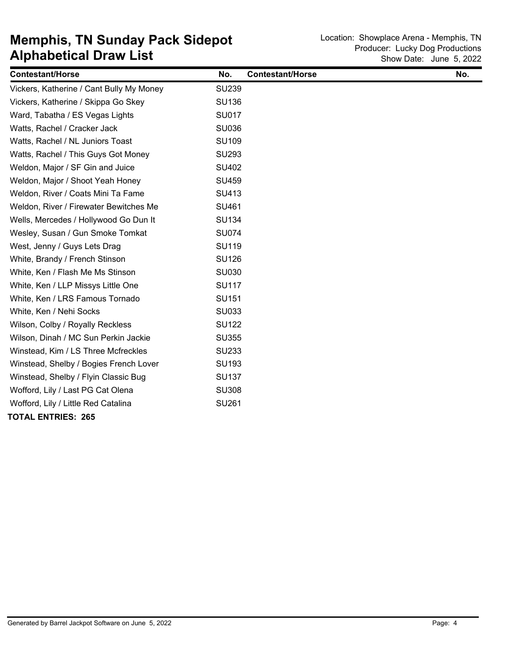| <b>Contestant/Horse</b>                  | No.          | <b>Contestant/Horse</b> | No. |
|------------------------------------------|--------------|-------------------------|-----|
| Vickers, Katherine / Cant Bully My Money | <b>SU239</b> |                         |     |
| Vickers, Katherine / Skippa Go Skey      | <b>SU136</b> |                         |     |
| Ward, Tabatha / ES Vegas Lights          | <b>SU017</b> |                         |     |
| Watts, Rachel / Cracker Jack             | <b>SU036</b> |                         |     |
| Watts, Rachel / NL Juniors Toast         | <b>SU109</b> |                         |     |
| Watts, Rachel / This Guys Got Money      | <b>SU293</b> |                         |     |
| Weldon, Major / SF Gin and Juice         | SU402        |                         |     |
| Weldon, Major / Shoot Yeah Honey         | <b>SU459</b> |                         |     |
| Weldon, River / Coats Mini Ta Fame       | SU413        |                         |     |
| Weldon, River / Firewater Bewitches Me   | SU461        |                         |     |
| Wells, Mercedes / Hollywood Go Dun It    | <b>SU134</b> |                         |     |
| Wesley, Susan / Gun Smoke Tomkat         | <b>SU074</b> |                         |     |
| West, Jenny / Guys Lets Drag             | <b>SU119</b> |                         |     |
| White, Brandy / French Stinson           | <b>SU126</b> |                         |     |
| White, Ken / Flash Me Ms Stinson         | <b>SU030</b> |                         |     |
| White, Ken / LLP Missys Little One       | <b>SU117</b> |                         |     |
| White, Ken / LRS Famous Tornado          | <b>SU151</b> |                         |     |
| White, Ken / Nehi Socks                  | SU033        |                         |     |
| Wilson, Colby / Royally Reckless         | <b>SU122</b> |                         |     |
| Wilson, Dinah / MC Sun Perkin Jackie     | <b>SU355</b> |                         |     |
| Winstead, Kim / LS Three Mcfreckles      | <b>SU233</b> |                         |     |
| Winstead, Shelby / Bogies French Lover   | SU193        |                         |     |
| Winstead, Shelby / Flyin Classic Bug     | <b>SU137</b> |                         |     |
| Wofford, Lily / Last PG Cat Olena        | <b>SU308</b> |                         |     |
| Wofford, Lily / Little Red Catalina      | <b>SU261</b> |                         |     |
| <b>TOTAL ENTRIES: 265</b>                |              |                         |     |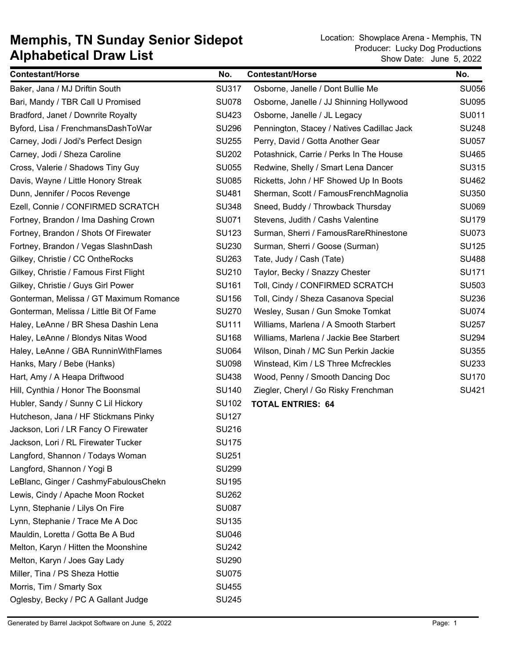| <b>Contestant/Horse</b>                 | No.          | <b>Contestant/Horse</b>                    | No.          |
|-----------------------------------------|--------------|--------------------------------------------|--------------|
| Baker, Jana / MJ Driftin South          | <b>SU317</b> | Osborne, Janelle / Dont Bullie Me          | <b>SU056</b> |
| Bari, Mandy / TBR Call U Promised       | <b>SU078</b> | Osborne, Janelle / JJ Shinning Hollywood   | <b>SU095</b> |
| Bradford, Janet / Downrite Royalty      | <b>SU423</b> | Osborne, Janelle / JL Legacy               | <b>SU011</b> |
| Byford, Lisa / FrenchmansDashToWar      | <b>SU296</b> | Pennington, Stacey / Natives Cadillac Jack | <b>SU248</b> |
| Carney, Jodi / Jodi's Perfect Design    | <b>SU255</b> | Perry, David / Gotta Another Gear          | <b>SU057</b> |
| Carney, Jodi / Sheza Caroline           | <b>SU202</b> | Potashnick, Carrie / Perks In The House    | <b>SU465</b> |
| Cross, Valerie / Shadows Tiny Guy       | <b>SU055</b> | Redwine, Shelly / Smart Lena Dancer        | <b>SU315</b> |
| Davis, Wayne / Little Honory Streak     | <b>SU085</b> | Ricketts, John / HF Showed Up In Boots     | SU462        |
| Dunn, Jennifer / Pocos Revenge          | SU481        | Sherman, Scott / FamousFrenchMagnolia      | <b>SU350</b> |
| Ezell, Connie / CONFIRMED SCRATCH       | <b>SU348</b> | Sneed, Buddy / Throwback Thursday          | <b>SU069</b> |
| Fortney, Brandon / Ima Dashing Crown    | SU071        | Stevens, Judith / Cashs Valentine          | <b>SU179</b> |
| Fortney, Brandon / Shots Of Firewater   | <b>SU123</b> | Surman, Sherri / FamousRareRhinestone      | <b>SU073</b> |
| Fortney, Brandon / Vegas SlashnDash     | <b>SU230</b> | Surman, Sherri / Goose (Surman)            | <b>SU125</b> |
| Gilkey, Christie / CC OntheRocks        | SU263        | Tate, Judy / Cash (Tate)                   | <b>SU488</b> |
| Gilkey, Christie / Famous First Flight  | SU210        | Taylor, Becky / Snazzy Chester             | <b>SU171</b> |
| Gilkey, Christie / Guys Girl Power      | SU161        | Toll, Cindy / CONFIRMED SCRATCH            | <b>SU503</b> |
| Gonterman, Melissa / GT Maximum Romance | <b>SU156</b> | Toll, Cindy / Sheza Casanova Special       | <b>SU236</b> |
| Gonterman, Melissa / Little Bit Of Fame | <b>SU270</b> | Wesley, Susan / Gun Smoke Tomkat           | <b>SU074</b> |
| Haley, LeAnne / BR Shesa Dashin Lena    | SU111        | Williams, Marlena / A Smooth Starbert      | <b>SU257</b> |
| Haley, LeAnne / Blondys Nitas Wood      | <b>SU168</b> | Williams, Marlena / Jackie Bee Starbert    | <b>SU294</b> |
| Haley, LeAnne / GBA RunninWithFlames    | <b>SU064</b> | Wilson, Dinah / MC Sun Perkin Jackie       | <b>SU355</b> |
| Hanks, Mary / Bebe (Hanks)              | <b>SU098</b> | Winstead, Kim / LS Three Mcfreckles        | <b>SU233</b> |
| Hart, Amy / A Heapa Driftwood           | <b>SU438</b> | Wood, Penny / Smooth Dancing Doc           | <b>SU170</b> |
| Hill, Cynthia / Honor The Boonsmal      | <b>SU140</b> | Ziegler, Cheryl / Go Risky Frenchman       | <b>SU421</b> |
| Hubler, Sandy / Sunny C Lil Hickory     | SU102        | <b>TOTAL ENTRIES: 64</b>                   |              |
| Hutcheson, Jana / HF Stickmans Pinky    | <b>SU127</b> |                                            |              |
| Jackson, Lori / LR Fancy O Firewater    | <b>SU216</b> |                                            |              |
| Jackson, Lori / RL Firewater Tucker     | <b>SU175</b> |                                            |              |
| Langford, Shannon / Todays Woman        | <b>SU251</b> |                                            |              |
| Langford, Shannon / Yogi B              | <b>SU299</b> |                                            |              |
| LeBlanc, Ginger / CashmyFabulousChekn   | <b>SU195</b> |                                            |              |
| Lewis, Cindy / Apache Moon Rocket       | <b>SU262</b> |                                            |              |
| Lynn, Stephanie / Lilys On Fire         | <b>SU087</b> |                                            |              |
| Lynn, Stephanie / Trace Me A Doc        | <b>SU135</b> |                                            |              |
| Mauldin, Loretta / Gotta Be A Bud       | <b>SU046</b> |                                            |              |
| Melton, Karyn / Hitten the Moonshine    | <b>SU242</b> |                                            |              |
| Melton, Karyn / Joes Gay Lady           | <b>SU290</b> |                                            |              |
| Miller, Tina / PS Sheza Hottie          | <b>SU075</b> |                                            |              |
| Morris, Tim / Smarty Sox                | <b>SU455</b> |                                            |              |
| Oglesby, Becky / PC A Gallant Judge     | <b>SU245</b> |                                            |              |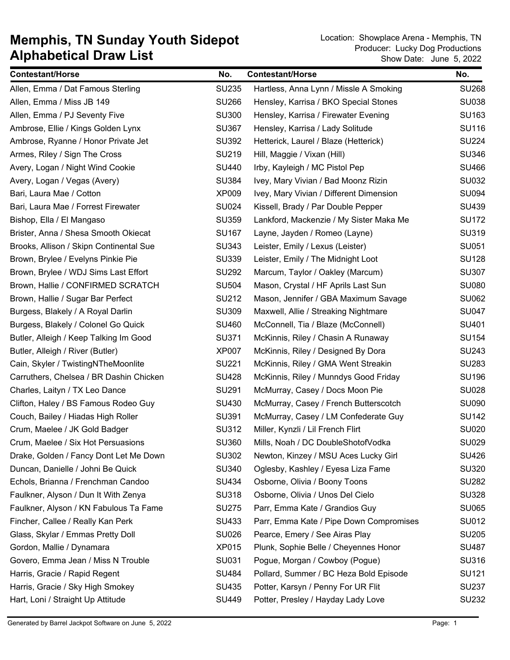| <b>Contestant/Horse</b>                 | No.          | <b>Contestant/Horse</b>                 | No.          |
|-----------------------------------------|--------------|-----------------------------------------|--------------|
| Allen, Emma / Dat Famous Sterling       | <b>SU235</b> | Hartless, Anna Lynn / Missle A Smoking  | <b>SU268</b> |
| Allen, Emma / Miss JB 149               | <b>SU266</b> | Hensley, Karrisa / BKO Special Stones   | <b>SU038</b> |
| Allen, Emma / PJ Seventy Five           | <b>SU300</b> | Hensley, Karrisa / Firewater Evening    | SU163        |
| Ambrose, Ellie / Kings Golden Lynx      | <b>SU367</b> | Hensley, Karrisa / Lady Solitude        | <b>SU116</b> |
| Ambrose, Ryanne / Honor Private Jet     | <b>SU392</b> | Hetterick, Laurel / Blaze (Hetterick)   | <b>SU224</b> |
| Armes, Riley / Sign The Cross           | SU219        | Hill, Maggie / Vixan (Hill)             | <b>SU346</b> |
| Avery, Logan / Night Wind Cookie        | <b>SU440</b> | Irby, Kayleigh / MC Pistol Pep          | <b>SU466</b> |
| Avery, Logan / Vegas (Avery)            | <b>SU384</b> | Ivey, Mary Vivian / Bad Moonz Rizin     | <b>SU032</b> |
| Bari, Laura Mae / Cotton                | <b>XP009</b> | Ivey, Mary Vivian / Different Dimension | <b>SU094</b> |
| Bari, Laura Mae / Forrest Firewater     | <b>SU024</b> | Kissell, Brady / Par Double Pepper      | <b>SU439</b> |
| Bishop, Ella / El Mangaso               | <b>SU359</b> | Lankford, Mackenzie / My Sister Maka Me | <b>SU172</b> |
| Brister, Anna / Shesa Smooth Okiecat    | <b>SU167</b> | Layne, Jayden / Romeo (Layne)           | <b>SU319</b> |
| Brooks, Allison / Skipn Continental Sue | <b>SU343</b> | Leister, Emily / Lexus (Leister)        | SU051        |
| Brown, Brylee / Evelyns Pinkie Pie      | <b>SU339</b> | Leister, Emily / The Midnight Loot      | <b>SU128</b> |
| Brown, Brylee / WDJ Sims Last Effort    | <b>SU292</b> | Marcum, Taylor / Oakley (Marcum)        | <b>SU307</b> |
| Brown, Hallie / CONFIRMED SCRATCH       | <b>SU504</b> | Mason, Crystal / HF Aprils Last Sun     | <b>SU080</b> |
| Brown, Hallie / Sugar Bar Perfect       | <b>SU212</b> | Mason, Jennifer / GBA Maximum Savage    | <b>SU062</b> |
| Burgess, Blakely / A Royal Darlin       | <b>SU309</b> | Maxwell, Allie / Streaking Nightmare    | <b>SU047</b> |
| Burgess, Blakely / Colonel Go Quick     | <b>SU460</b> | McConnell, Tia / Blaze (McConnell)      | SU401        |
| Butler, Alleigh / Keep Talking Im Good  | SU371        | McKinnis, Riley / Chasin A Runaway      | <b>SU154</b> |
| Butler, Alleigh / River (Butler)        | <b>XP007</b> | McKinnis, Riley / Designed By Dora      | SU243        |
| Cain, Skyler / TwistingNTheMoonlite     | SU221        | McKinnis, Riley / GMA Went Streakin     | <b>SU283</b> |
| Carruthers, Chelsea / BR Dashin Chicken | <b>SU428</b> | McKinnis, Riley / Munndys Good Friday   | <b>SU196</b> |
| Charles, Laityn / TX Leo Dance          | <b>SU291</b> | McMurray, Casey / Docs Moon Pie         | <b>SU028</b> |
| Clifton, Haley / BS Famous Rodeo Guy    | SU430        | McMurray, Casey / French Butterscotch   | <b>SU090</b> |
| Couch, Bailey / Hiadas High Roller      | SU391        | McMurray, Casey / LM Confederate Guy    | <b>SU142</b> |
| Crum, Maelee / JK Gold Badger           | <b>SU312</b> | Miller, Kynzli / Lil French Flirt       | <b>SU020</b> |
| Crum, Maelee / Six Hot Persuasions      | <b>SU360</b> | Mills, Noah / DC DoubleShotofVodka      | <b>SU029</b> |
| Drake, Golden / Fancy Dont Let Me Down  | <b>SU302</b> | Newton, Kinzey / MSU Aces Lucky Girl    | <b>SU426</b> |
| Duncan, Danielle / Johni Be Quick       | <b>SU340</b> | Oglesby, Kashley / Eyesa Liza Fame      | <b>SU320</b> |
| Echols, Brianna / Frenchman Candoo      | <b>SU434</b> | Osborne, Olivia / Boony Toons           | <b>SU282</b> |
| Faulkner, Alyson / Dun It With Zenya    | <b>SU318</b> | Osborne, Olivia / Unos Del Cielo        | <b>SU328</b> |
| Faulkner, Alyson / KN Fabulous Ta Fame  | <b>SU275</b> | Parr, Emma Kate / Grandios Guy          | <b>SU065</b> |
| Fincher, Callee / Really Kan Perk       | <b>SU433</b> | Parr, Emma Kate / Pipe Down Compromises | SU012        |
| Glass, Skylar / Emmas Pretty Doll       | <b>SU026</b> | Pearce, Emery / See Airas Play          | <b>SU205</b> |
| Gordon, Mallie / Dynamara               | <b>XP015</b> | Plunk, Sophie Belle / Cheyennes Honor   | <b>SU487</b> |
| Govero, Emma Jean / Miss N Trouble      | SU031        | Pogue, Morgan / Cowboy (Pogue)          | <b>SU316</b> |
| Harris, Gracie / Rapid Regent           | <b>SU484</b> | Pollard, Summer / BC Heza Bold Episode  | <b>SU121</b> |
| Harris, Gracie / Sky High Smokey        | SU435        | Potter, Karsyn / Penny For UR Flit      | <b>SU237</b> |
| Hart, Loni / Straight Up Attitude       | <b>SU449</b> | Potter, Presley / Hayday Lady Love      | <b>SU232</b> |